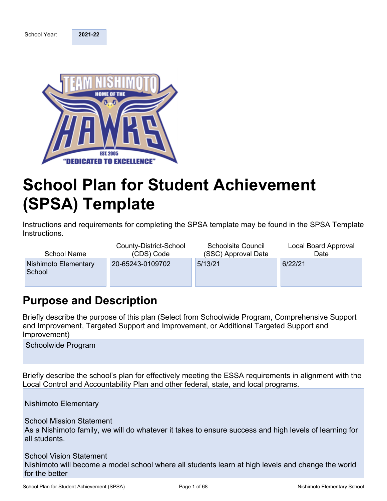School Year: **2021-22** 



# **School Plan for Student Achievement (SPSA) Template**

Instructions and requirements for completing the SPSA template may be found in the SPSA Template Instructions.

| <b>School Name</b>             | County-District-School | <b>Schoolsite Council</b> | Local Board Approval |
|--------------------------------|------------------------|---------------------------|----------------------|
|                                | (CDS) Code             | (SSC) Approval Date       | Date                 |
| Nishimoto Elementary<br>School | 20-65243-0109702       | 5/13/21                   | 6/22/21              |

## **Purpose and Description**

Briefly describe the purpose of this plan (Select from Schoolwide Program, Comprehensive Support and Improvement, Targeted Support and Improvement, or Additional Targeted Support and Improvement)

Schoolwide Program

Briefly describe the school's plan for effectively meeting the ESSA requirements in alignment with the Local Control and Accountability Plan and other federal, state, and local programs.

Nishimoto Elementary

School Mission Statement As a Nishimoto family, we will do whatever it takes to ensure success and high levels of learning for all students.

School Vision Statement Nishimoto will become a model school where all students learn at high levels and change the world for the better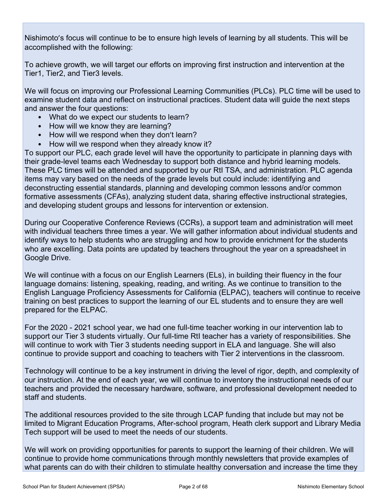Nishimoto's focus will continue to be to ensure high levels of learning by all students. This will be accomplished with the following:

To achieve growth, we will target our efforts on improving first instruction and intervention at the Tier1, Tier2, and Tier3 levels.

We will focus on improving our Professional Learning Communities (PLCs). PLC time will be used to examine student data and reflect on instructional practices. Student data will guide the next steps and answer the four questions:

- What do we expect our students to learn?
- How will we know they are learning?
- How will we respond when they don't learn?
- How will we respond when they already know it?

To support our PLC, each grade level will have the opportunity to participate in planning days with their grade-level teams each Wednesday to support both distance and hybrid learning models. These PLC times will be attended and supported by our RtI TSA, and administration. PLC agenda items may vary based on the needs of the grade levels but could include: identifying and deconstructing essential standards, planning and developing common lessons and/or common formative assessments (CFAs), analyzing student data, sharing effective instructional strategies, and developing student groups and lessons for intervention or extension.

During our Cooperative Conference Reviews (CCRs), a support team and administration will meet with individual teachers three times a year. We will gather information about individual students and identify ways to help students who are struggling and how to provide enrichment for the students who are excelling. Data points are updated by teachers throughout the year on a spreadsheet in Google Drive.

We will continue with a focus on our English Learners (ELs), in building their fluency in the four language domains: listening, speaking, reading, and writing. As we continue to transition to the English Language Proficiency Assessments for California (ELPAC), teachers will continue to receive training on best practices to support the learning of our EL students and to ensure they are well prepared for the ELPAC.

For the 2020 - 2021 school year, we had one full-time teacher working in our intervention lab to support our Tier 3 students virtually. Our full-time RtI teacher has a variety of responsibilities. She will continue to work with Tier 3 students needing support in ELA and language. She will also continue to provide support and coaching to teachers with Tier 2 interventions in the classroom.

Technology will continue to be a key instrument in driving the level of rigor, depth, and complexity of our instruction. At the end of each year, we will continue to inventory the instructional needs of our teachers and provided the necessary hardware, software, and professional development needed to staff and students.

The additional resources provided to the site through LCAP funding that include but may not be limited to Migrant Education Programs, After-school program, Heath clerk support and Library Media Tech support will be used to meet the needs of our students.

We will work on providing opportunities for parents to support the learning of their children. We will continue to provide home communications through monthly newsletters that provide examples of what parents can do with their children to stimulate healthy conversation and increase the time they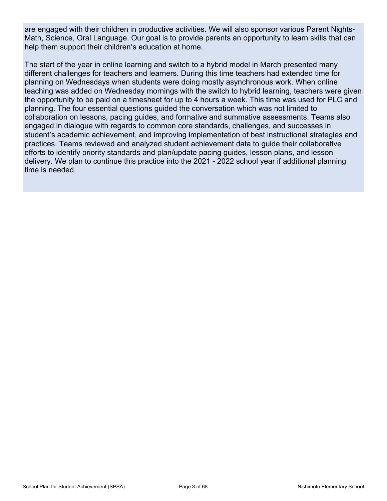are engaged with their children in productive activities. We will also sponsor various Parent Nights-Math, Science, Oral Language. Our goal is to provide parents an opportunity to learn skills that can help them support their children's education at home.

The start of the year in online learning and switch to a hybrid model in March presented many different challenges for teachers and learners. During this time teachers had extended time for planning on Wednesdays when students were doing mostly asynchronous work. When online teaching was added on Wednesday mornings with the switch to hybrid learning, teachers were given the opportunity to be paid on a timesheet for up to 4 hours a week. This time was used for PLC and planning. The four essential questions guided the conversation which was not limited to collaboration on lessons, pacing guides, and formative and summative assessments. Teams also engaged in dialogue with regards to common core standards, challenges, and successes in student's academic achievement, and improving implementation of best instructional strategies and practices. Teams reviewed and analyzed student achievement data to guide their collaborative efforts to identify priority standards and plan/update pacing guides, lesson plans, and lesson delivery. We plan to continue this practice into the 2021 - 2022 school year if additional planning time is needed.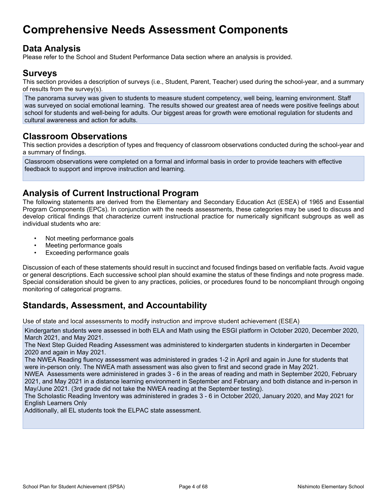## **Comprehensive Needs Assessment Components**

### **Data Analysis**

Please refer to the School and Student Performance Data section where an analysis is provided.

#### **Surveys**

This section provides a description of surveys (i.e., Student, Parent, Teacher) used during the school-year, and a summary of results from the survey(s).

The panorama survey was given to students to measure student competency, well being, learning environment. Staff was surveyed on social emotional learning. The results showed our greatest area of needs were positive feelings about school for students and well-being for adults. Our biggest areas for growth were emotional regulation for students and cultural awareness and action for adults.

### **Classroom Observations**

This section provides a description of types and frequency of classroom observations conducted during the school-year and a summary of findings.

Classroom observations were completed on a formal and informal basis in order to provide teachers with effective feedback to support and improve instruction and learning.

### **Analysis of Current Instructional Program**

The following statements are derived from the Elementary and Secondary Education Act (ESEA) of 1965 and Essential Program Components (EPCs). In conjunction with the needs assessments, these categories may be used to discuss and develop critical findings that characterize current instructional practice for numerically significant subgroups as well as individual students who are:

- Not meeting performance goals
- Meeting performance goals
- Exceeding performance goals

Discussion of each of these statements should result in succinct and focused findings based on verifiable facts. Avoid vague or general descriptions. Each successive school plan should examine the status of these findings and note progress made. Special consideration should be given to any practices, policies, or procedures found to be noncompliant through ongoing monitoring of categorical programs.

### **Standards, Assessment, and Accountability**

Use of state and local assessments to modify instruction and improve student achievement (ESEA)

Kindergarten students were assessed in both ELA and Math using the ESGI platform in October 2020, December 2020, March 2021, and May 2021.

The Next Step Guided Reading Assessment was administered to kindergarten students in kindergarten in December 2020 and again in May 2021.

The NWEA Reading fluency assessment was administered in grades 1-2 in April and again in June for students that were in-person only. The NWEA math assessment was also given to first and second grade in May 2021.

NWEA Assessments were administered in grades 3 - 6 in the areas of reading and math in September 2020, February 2021, and May 2021 in a distance learning environment in September and February and both distance and in-person in May/June 2021. (3rd grade did not take the NWEA reading at the September testing).

The Scholastic Reading Inventory was administered in grades 3 - 6 in October 2020, January 2020, and May 2021 for English Learners Only

Additionally, all EL students took the ELPAC state assessment.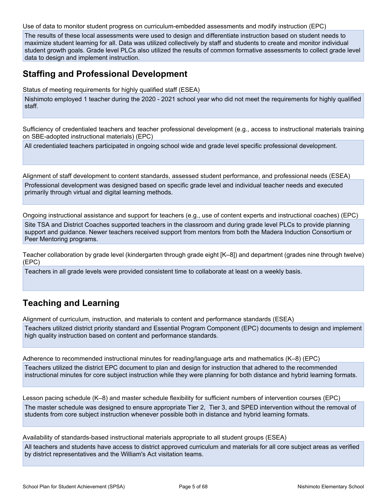Use of data to monitor student progress on curriculum-embedded assessments and modify instruction (EPC)

The results of these local assessments were used to design and differentiate instruction based on student needs to maximize student learning for all. Data was utilized collectively by staff and students to create and monitor individual student growth goals. Grade level PLCs also utilized the results of common formative assessments to collect grade level data to design and implement instruction.

### **Staffing and Professional Development**

Status of meeting requirements for highly qualified staff (ESEA)

Nishimoto employed 1 teacher during the 2020 - 2021 school year who did not meet the requirements for highly qualified staff.

Sufficiency of credentialed teachers and teacher professional development (e.g., access to instructional materials training on SBE-adopted instructional materials) (EPC)

All credentialed teachers participated in ongoing school wide and grade level specific professional development.

Alignment of staff development to content standards, assessed student performance, and professional needs (ESEA) Professional development was designed based on specific grade level and individual teacher needs and executed primarily through virtual and digital learning methods.

Ongoing instructional assistance and support for teachers (e.g., use of content experts and instructional coaches) (EPC) Site TSA and District Coaches supported teachers in the classroom and during grade level PLCs to provide planning support and guidance. Newer teachers received support from mentors from both the Madera Induction Consortium or Peer Mentoring programs.

Teacher collaboration by grade level (kindergarten through grade eight [K–8]) and department (grades nine through twelve) (EPC)

Teachers in all grade levels were provided consistent time to collaborate at least on a weekly basis.

### **Teaching and Learning**

Alignment of curriculum, instruction, and materials to content and performance standards (ESEA)

Teachers utilized district priority standard and Essential Program Component (EPC) documents to design and implement high quality instruction based on content and performance standards.

Adherence to recommended instructional minutes for reading/language arts and mathematics (K–8) (EPC) Teachers utilized the district EPC document to plan and design for instruction that adhered to the recommended instructional minutes for core subject instruction while they were planning for both distance and hybrid learning formats.

Lesson pacing schedule (K–8) and master schedule flexibility for sufficient numbers of intervention courses (EPC) The master schedule was designed to ensure appropriate Tier 2, Tier 3, and SPED intervention without the removal of students from core subject instruction whenever possible both in distance and hybrid learning formats.

Availability of standards-based instructional materials appropriate to all student groups (ESEA) All teachers and students have access to district approved curriculum and materials for all core subject areas as verified by district representatives and the William's Act visitation teams.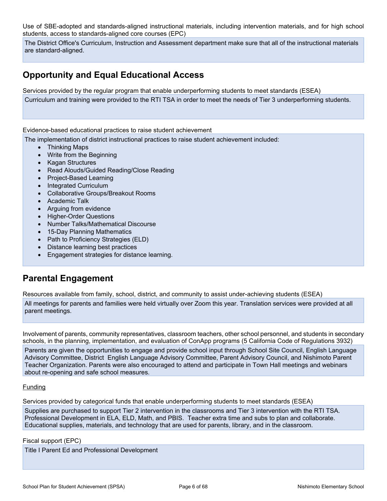Use of SBE-adopted and standards-aligned instructional materials, including intervention materials, and for high school students, access to standards-aligned core courses (EPC)

The District Office's Curriculum, Instruction and Assessment department make sure that all of the instructional materials are standard-aligned.

### **Opportunity and Equal Educational Access**

Services provided by the regular program that enable underperforming students to meet standards (ESEA) Curriculum and training were provided to the RTI TSA in order to meet the needs of Tier 3 underperforming students.

#### Evidence-based educational practices to raise student achievement

The implementation of district instructional practices to raise student achievement included:

- Thinking Maps
- Write from the Beginning
- Kagan Structures
- Read Alouds/Guided Reading/Close Reading
- Project-Based Learning
- Integrated Curriculum
- Collaborative Groups/Breakout Rooms
- Academic Talk
- Arguing from evidence
- Higher-Order Questions
- Number Talks/Mathematical Discourse
- 15-Day Planning Mathematics
- Path to Proficiency Strategies (ELD)
- Distance learning best practices
- Engagement strategies for distance learning.

### **Parental Engagement**

Resources available from family, school, district, and community to assist under-achieving students (ESEA)

All meetings for parents and families were held virtually over Zoom this year. Translation services were provided at all parent meetings.

Involvement of parents, community representatives, classroom teachers, other school personnel, and students in secondary schools, in the planning, implementation, and evaluation of ConApp programs (5 California Code of Regulations 3932)

Parents are given the opportunities to engage and provide school input through School Site Council, English Language Advisory Committee, District English Language Advisory Committee, Parent Advisory Council, and Nishimoto Parent Teacher Organization. Parents were also encouraged to attend and participate in Town Hall meetings and webinars about re-opening and safe school measures.

#### Funding

Services provided by categorical funds that enable underperforming students to meet standards (ESEA)

Supplies are purchased to support Tier 2 intervention in the classrooms and Tier 3 intervention with the RTI TSA. Professional Development in ELA, ELD, Math, and PBIS. Teacher extra time and subs to plan and collaborate. Educational supplies, materials, and technology that are used for parents, library, and in the classroom.

Fiscal support (EPC)

Title I Parent Ed and Professional Development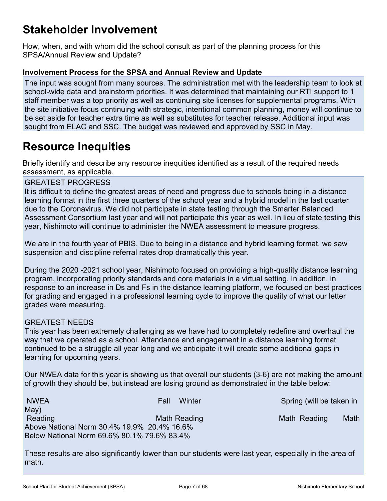## **Stakeholder Involvement**

How, when, and with whom did the school consult as part of the planning process for this SPSA/Annual Review and Update?

#### **Involvement Process for the SPSA and Annual Review and Update**

The input was sought from many sources. The administration met with the leadership team to look at school-wide data and brainstorm priorities. It was determined that maintaining our RTI support to 1 staff member was a top priority as well as continuing site licenses for supplemental programs. With the site initiative focus continuing with strategic, intentional common planning, money will continue to be set aside for teacher extra time as well as substitutes for teacher release. Additional input was sought from ELAC and SSC. The budget was reviewed and approved by SSC in May.

## **Resource Inequities**

Briefly identify and describe any resource inequities identified as a result of the required needs assessment, as applicable.

#### GREATEST PROGRESS

It is difficult to define the greatest areas of need and progress due to schools being in a distance learning format in the first three quarters of the school year and a hybrid model in the last quarter due to the Coronavirus. We did not participate in state testing through the Smarter Balanced Assessment Consortium last year and will not participate this year as well. In lieu of state testing this year, Nishimoto will continue to administer the NWEA assessment to measure progress.

We are in the fourth year of PBIS. Due to being in a distance and hybrid learning format, we saw suspension and discipline referral rates drop dramatically this year.

During the 2020 -2021 school year, Nishimoto focused on providing a high-quality distance learning program, incorporating priority standards and core materials in a virtual setting. In addition, in response to an increase in Ds and Fs in the distance learning platform, we focused on best practices for grading and engaged in a professional learning cycle to improve the quality of what our letter grades were measuring.

#### GREATEST NEEDS

This year has been extremely challenging as we have had to completely redefine and overhaul the way that we operated as a school. Attendance and engagement in a distance learning format continued to be a struggle all year long and we anticipate it will create some additional gaps in learning for upcoming years.

Our NWEA data for this year is showing us that overall our students (3-6) are not making the amount of growth they should be, but instead are losing ground as demonstrated in the table below:

NWEA Fall Winter Spring (will be taken in May) Reading Math Reading Math Reading Math Reading Math Reading Math Above National Norm 30.4% 19.9% 20.4% 16.6% Below National Norm 69.6% 80.1% 79.6% 83.4%

These results are also significantly lower than our students were last year, especially in the area of math.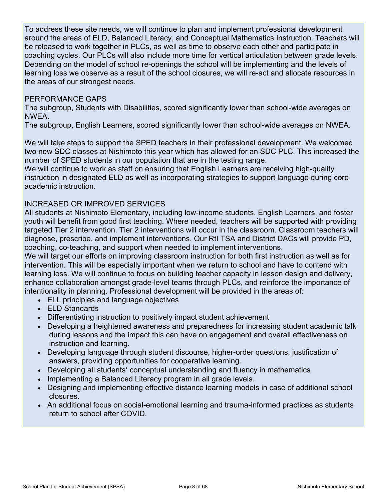To address these site needs, we will continue to plan and implement professional development around the areas of ELD, Balanced Literacy, and Conceptual Mathematics Instruction. Teachers will be released to work together in PLCs, as well as time to observe each other and participate in coaching cycles. Our PLCs will also include more time for vertical articulation between grade levels. Depending on the model of school re-openings the school will be implementing and the levels of learning loss we observe as a result of the school closures, we will re-act and allocate resources in the areas of our strongest needs.

#### PERFORMANCE GAPS

The subgroup, Students with Disabilities, scored significantly lower than school-wide averages on NWEA.

The subgroup, English Learners, scored significantly lower than school-wide averages on NWEA.

We will take steps to support the SPED teachers in their professional development. We welcomed two new SDC classes at Nishimoto this year which has allowed for an SDC PLC. This increased the number of SPED students in our population that are in the testing range.

We will continue to work as staff on ensuring that English Learners are receiving high-quality instruction in designated ELD as well as incorporating strategies to support language during core academic instruction.

#### INCREASED OR IMPROVED SERVICES

All students at Nishimoto Elementary, including low-income students, English Learners, and foster youth will benefit from good first teaching. Where needed, teachers will be supported with providing targeted Tier 2 intervention. Tier 2 interventions will occur in the classroom. Classroom teachers will diagnose, prescribe, and implement interventions. Our RtI TSA and District DACs will provide PD, coaching, co-teaching, and support when needed to implement interventions.

We will target our efforts on improving classroom instruction for both first instruction as well as for intervention. This will be especially important when we return to school and have to contend with learning loss. We will continue to focus on building teacher capacity in lesson design and delivery, enhance collaboration amongst grade-level teams through PLCs, and reinforce the importance of intentionality in planning. Professional development will be provided in the areas of:

- ELL principles and language objectives
- ELD Standards
- Differentiating instruction to positively impact student achievement
- Developing a heightened awareness and preparedness for increasing student academic talk during lessons and the impact this can have on engagement and overall effectiveness on instruction and learning.
- Developing language through student discourse, higher-order questions, justification of answers, providing opportunities for cooperative learning.
- Developing all students' conceptual understanding and fluency in mathematics
- Implementing a Balanced Literacy program in all grade levels.
- Designing and implementing effective distance learning models in case of additional school closures.
- An additional focus on social-emotional learning and trauma-informed practices as students return to school after COVID.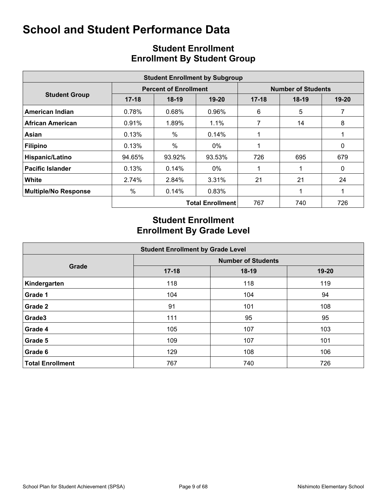|                             |           |                              | <b>Student Enrollment by Subgroup</b> |                           |         |              |  |  |  |
|-----------------------------|-----------|------------------------------|---------------------------------------|---------------------------|---------|--------------|--|--|--|
|                             |           | <b>Percent of Enrollment</b> |                                       | <b>Number of Students</b> |         |              |  |  |  |
| <b>Student Group</b>        | $17 - 18$ | $18-19$                      | $19 - 20$                             | $17 - 18$                 | $18-19$ | 19-20        |  |  |  |
| American Indian             | 0.78%     | 0.68%                        | 0.96%                                 | 6                         | 5       | 7            |  |  |  |
| African American            | 0.91%     | 1.89%                        | 1.1%                                  | 7                         | 14      | 8            |  |  |  |
| Asian                       | 0.13%     | $\%$                         | 0.14%                                 |                           |         |              |  |  |  |
| <b>Filipino</b>             | 0.13%     | $\%$                         | $0\%$                                 |                           |         | $\mathbf{0}$ |  |  |  |
| Hispanic/Latino             | 94.65%    | 93.92%                       | 93.53%                                | 726                       | 695     | 679          |  |  |  |
| <b>Pacific Islander</b>     | 0.13%     | 0.14%                        | 0%                                    |                           |         | 0            |  |  |  |
| <b>White</b>                | 2.74%     | 2.84%                        | 3.31%                                 | 21                        | 21      | 24           |  |  |  |
| <b>Multiple/No Response</b> | $\%$      | 0.14%                        | 0.83%                                 |                           |         |              |  |  |  |
|                             |           |                              | <b>Total Enrollment</b>               | 767                       | 740     | 726          |  |  |  |

### **Student Enrollment Enrollment By Student Group**

### **Student Enrollment Enrollment By Grade Level**

|                         | <b>Student Enrollment by Grade Level</b> |         |           |  |  |  |  |  |  |  |  |  |  |
|-------------------------|------------------------------------------|---------|-----------|--|--|--|--|--|--|--|--|--|--|
|                         | <b>Number of Students</b>                |         |           |  |  |  |  |  |  |  |  |  |  |
| Grade                   | $17 - 18$                                | $18-19$ | $19 - 20$ |  |  |  |  |  |  |  |  |  |  |
| Kindergarten            | 118                                      | 118     | 119       |  |  |  |  |  |  |  |  |  |  |
| Grade 1                 | 104                                      | 104     | 94        |  |  |  |  |  |  |  |  |  |  |
| Grade 2                 | 91                                       | 101     | 108       |  |  |  |  |  |  |  |  |  |  |
| Grade3                  | 111                                      | 95      | 95        |  |  |  |  |  |  |  |  |  |  |
| Grade 4                 | 105                                      | 107     | 103       |  |  |  |  |  |  |  |  |  |  |
| Grade 5                 | 109                                      | 107     | 101       |  |  |  |  |  |  |  |  |  |  |
| Grade 6                 | 129                                      | 108     | 106       |  |  |  |  |  |  |  |  |  |  |
| <b>Total Enrollment</b> | 767                                      | 740     | 726       |  |  |  |  |  |  |  |  |  |  |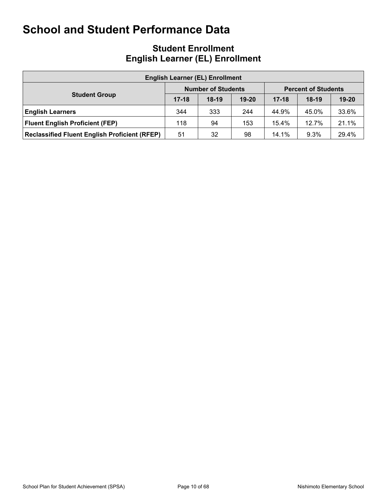### **Student Enrollment English Learner (EL) Enrollment**

| <b>English Learner (EL) Enrollment</b>               |           |                           |           |                            |         |           |  |  |  |  |  |  |  |
|------------------------------------------------------|-----------|---------------------------|-----------|----------------------------|---------|-----------|--|--|--|--|--|--|--|
|                                                      |           | <b>Number of Students</b> |           | <b>Percent of Students</b> |         |           |  |  |  |  |  |  |  |
| <b>Student Group</b>                                 | $17 - 18$ | $18-19$                   | $19 - 20$ | $17 - 18$                  | $18-19$ | $19 - 20$ |  |  |  |  |  |  |  |
| <b>English Learners</b>                              | 344       | 333                       | 244       | 44.9%                      | 45.0%   | 33.6%     |  |  |  |  |  |  |  |
| <b>Fluent English Proficient (FEP)</b>               | 118       | 94                        | 153       | 15.4%                      | 12.7%   | 21.1%     |  |  |  |  |  |  |  |
| <b>Reclassified Fluent English Proficient (RFEP)</b> | 51        | 32                        | 98        | 14.1%                      | 9.3%    | 29.4%     |  |  |  |  |  |  |  |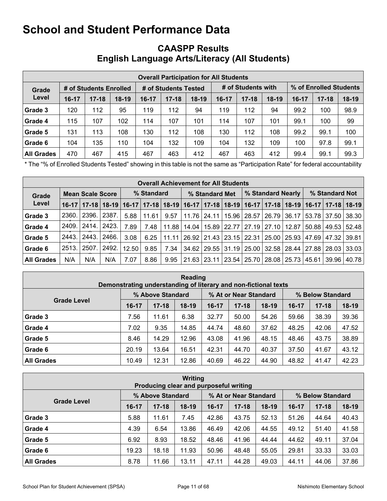### **CAASPP Results English Language Arts/Literacy (All Students)**

|                   |       |                        |         |         |                      | <b>Overall Participation for All Students</b> |                               |                    |     |                        |           |         |  |
|-------------------|-------|------------------------|---------|---------|----------------------|-----------------------------------------------|-------------------------------|--------------------|-----|------------------------|-----------|---------|--|
| Grade             |       | # of Students Enrolled |         |         | # of Students Tested |                                               |                               | # of Students with |     | % of Enrolled Students |           |         |  |
| Level             | 16-17 | $17 - 18$              | $18-19$ | $16-17$ | $17 - 18$            | $18-19$                                       | $17 - 18$<br>$18-19$<br>16-17 |                    |     | $16-17$                | $17 - 18$ | $18-19$ |  |
| Grade 3           | 120   | 112                    | 95      | 119     | 112                  | 94                                            | 119                           | 112                | 94  | 99.2                   | 100       | 98.9    |  |
| Grade 4           | 115   | 107                    | 102     | 114     | 107                  | 101                                           | 114                           | 107                | 101 | 99.1                   | 100       | 99      |  |
| Grade 5           | 131   | 113                    | 108     | 130     | 112                  | 108                                           | 130                           | 112                | 108 | 99.2                   | 99.1      | 100     |  |
| Grade 6           | 104   | 135                    | 110     | 104     | 132                  | 109                                           | 104                           | 132                | 109 | 100                    | 97.8      | 99.1    |  |
| <b>All Grades</b> | 470   | 467                    | 415     | 467     | 463                  | 412                                           | 467                           | 463                | 412 | 99.4                   | 99.1      | 99.3    |  |

\* The "% of Enrolled Students Tested" showing in this table is not the same as "Participation Rate" for federal accountability purposes.

|                   | <b>Overall Achievement for All Students</b> |                         |       |       |            |       |                |  |  |                       |                         |                                               |                |       |                                                                                                                       |
|-------------------|---------------------------------------------|-------------------------|-------|-------|------------|-------|----------------|--|--|-----------------------|-------------------------|-----------------------------------------------|----------------|-------|-----------------------------------------------------------------------------------------------------------------------|
| Grade             |                                             | <b>Mean Scale Score</b> |       |       | % Standard |       | % Standard Met |  |  | % Standard Nearly     |                         |                                               | % Standard Not |       |                                                                                                                       |
| Level             |                                             |                         |       |       |            |       |                |  |  |                       |                         |                                               |                |       | 16-17   17-18   18-19   16-17   17-18   18-19   16-17   17-18   18-19   16-17   17-18   18-19   16-17   17-18   18-19 |
| Grade 3           | 2360.                                       | 2396.                   | 2387  | 5.88  | 11.61      | 9.57  | 11.76          |  |  | 24.11   15.96   28.57 | 26.79                   | 36.17                                         | 53.78 37.50    |       | 38.30                                                                                                                 |
| Grade 4           | 2409.                                       | l 2414.                 | 2423. | 7.89  | 7.48       | 11.88 | 14.04          |  |  | 15.89   22.77   27.19 | $127.10$ $\overline{ }$ | 12.87                                         | 50.88          | 49.53 | 52.48                                                                                                                 |
| Grade 5           | 2443.                                       | 2443.                   | 2466. | 3.08  | 6.25       | 11.11 |                |  |  |                       |                         | 26.92   21.43   23.15   22.31   25.00   25.93 | 47.69   47.32  |       | 39.81                                                                                                                 |
| Grade 6           | 2513.                                       | 2507.                   | 2492. | 12.50 | 9.85       | 7.34  | 34.62          |  |  |                       |                         | 29.55   31.19   25.00   32.58   28.44         | 27.88   28.03  |       | 33.03                                                                                                                 |
| <b>All Grades</b> | N/A                                         | N/A                     | N/A   | 7.07  | 8.86       | 9.95  | 21.63          |  |  |                       |                         | 23.11 23.54 25.70 28.08 25.73                 | 45.61          | 39.96 | 40.78                                                                                                                 |

| Reading<br>Demonstrating understanding of literary and non-fictional texts |       |                  |         |       |                       |         |                  |           |         |  |  |  |  |
|----------------------------------------------------------------------------|-------|------------------|---------|-------|-----------------------|---------|------------------|-----------|---------|--|--|--|--|
|                                                                            |       | % Above Standard |         |       | % At or Near Standard |         | % Below Standard |           |         |  |  |  |  |
| <b>Grade Level</b>                                                         | 16-17 | $17 - 18$        | $18-19$ | 16-17 | $17 - 18$             | $18-19$ | $16-17$          | $17 - 18$ | $18-19$ |  |  |  |  |
| Grade 3                                                                    | 7.56  | 11.61            | 6.38    | 32.77 | 50.00                 | 54.26   | 59.66            | 38.39     | 39.36   |  |  |  |  |
| Grade 4                                                                    | 7.02  | 9.35             | 14.85   | 44.74 | 48.60                 | 37.62   | 48.25            | 42.06     | 47.52   |  |  |  |  |
| Grade 5                                                                    | 8.46  | 14.29            | 12.96   | 43.08 | 41.96                 | 48.15   | 48.46            | 43.75     | 38.89   |  |  |  |  |
| Grade 6                                                                    | 20.19 | 13.64            | 16.51   | 42.31 | 44.70                 | 40.37   | 37.50            | 41.67     | 43.12   |  |  |  |  |
| <b>All Grades</b>                                                          | 10.49 | 12.31            | 12.86   | 40.69 | 46.22                 | 44.90   | 48.82            | 41.47     | 42.23   |  |  |  |  |

| Writing<br>Producing clear and purposeful writing             |           |           |         |       |           |         |         |           |         |  |  |  |  |
|---------------------------------------------------------------|-----------|-----------|---------|-------|-----------|---------|---------|-----------|---------|--|--|--|--|
| % Above Standard<br>% At or Near Standard<br>% Below Standard |           |           |         |       |           |         |         |           |         |  |  |  |  |
| <b>Grade Level</b>                                            | $16 - 17$ | $17 - 18$ | $18-19$ | 16-17 | $17 - 18$ | $18-19$ | $16-17$ | $17 - 18$ | $18-19$ |  |  |  |  |
| Grade 3                                                       | 5.88      | 11.61     | 7.45    | 42.86 | 43.75     | 52.13   | 51.26   | 44.64     | 40.43   |  |  |  |  |
| Grade 4                                                       | 4.39      | 6.54      | 13.86   | 46.49 | 42.06     | 44.55   | 49.12   | 51.40     | 41.58   |  |  |  |  |
| Grade 5                                                       | 6.92      | 8.93      | 18.52   | 48.46 | 41.96     | 44.44   | 44.62   | 49.11     | 37.04   |  |  |  |  |
| Grade 6                                                       | 19.23     | 18.18     | 11.93   | 50.96 | 48.48     | 55.05   | 29.81   | 33.33     | 33.03   |  |  |  |  |
| <b>All Grades</b>                                             | 8.78      | 11.66     | 13.11   | 47.11 | 44.28     | 49.03   | 44.11   | 44.06     | 37.86   |  |  |  |  |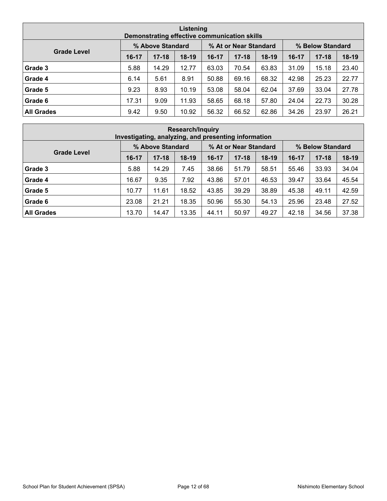| Listening<br>Demonstrating effective communication skills                           |       |           |         |       |           |         |       |           |         |  |  |  |  |
|-------------------------------------------------------------------------------------|-------|-----------|---------|-------|-----------|---------|-------|-----------|---------|--|--|--|--|
| % Above Standard<br>% At or Near Standard<br>% Below Standard<br><b>Grade Level</b> |       |           |         |       |           |         |       |           |         |  |  |  |  |
|                                                                                     | 16-17 | $17 - 18$ | $18-19$ | 16-17 | $17 - 18$ | $18-19$ | 16-17 | $17 - 18$ | $18-19$ |  |  |  |  |
| Grade 3                                                                             | 5.88  | 14.29     | 12.77   | 63.03 | 70.54     | 63.83   | 31.09 | 15.18     | 23.40   |  |  |  |  |
| Grade 4                                                                             | 6.14  | 5.61      | 8.91    | 50.88 | 69.16     | 68.32   | 42.98 | 25.23     | 22.77   |  |  |  |  |
| Grade 5                                                                             | 9.23  | 8.93      | 10.19   | 53.08 | 58.04     | 62.04   | 37.69 | 33.04     | 27.78   |  |  |  |  |
| Grade 6                                                                             | 17.31 | 9.09      | 11.93   | 58.65 | 68.18     | 57.80   | 24.04 | 22.73     | 30.28   |  |  |  |  |
| <b>All Grades</b>                                                                   | 9.42  | 9.50      | 10.92   | 56.32 | 66.52     | 62.86   | 34.26 | 23.97     | 26.21   |  |  |  |  |

|                                                               | <b>Research/Inquiry</b><br>Investigating, analyzing, and presenting information |           |         |       |           |         |         |           |         |  |  |  |  |  |
|---------------------------------------------------------------|---------------------------------------------------------------------------------|-----------|---------|-------|-----------|---------|---------|-----------|---------|--|--|--|--|--|
| % Above Standard<br>% At or Near Standard<br>% Below Standard |                                                                                 |           |         |       |           |         |         |           |         |  |  |  |  |  |
| <b>Grade Level</b>                                            | $16 - 17$                                                                       | $17 - 18$ | $18-19$ | 16-17 | $17 - 18$ | $18-19$ | $16-17$ | $17 - 18$ | $18-19$ |  |  |  |  |  |
| Grade 3                                                       | 5.88                                                                            | 14.29     | 7.45    | 38.66 | 51.79     | 58.51   | 55.46   | 33.93     | 34.04   |  |  |  |  |  |
| Grade 4                                                       | 16.67                                                                           | 9.35      | 7.92    | 43.86 | 57.01     | 46.53   | 39.47   | 33.64     | 45.54   |  |  |  |  |  |
| Grade 5                                                       | 10.77                                                                           | 11.61     | 18.52   | 43.85 | 39.29     | 38.89   | 45.38   | 49.11     | 42.59   |  |  |  |  |  |
| Grade 6                                                       | 23.08                                                                           | 21.21     | 18.35   | 50.96 | 55.30     | 54.13   | 25.96   | 23.48     | 27.52   |  |  |  |  |  |
| <b>All Grades</b>                                             | 13.70                                                                           | 14.47     | 13.35   | 44.11 | 50.97     | 49.27   | 42.18   | 34.56     | 37.38   |  |  |  |  |  |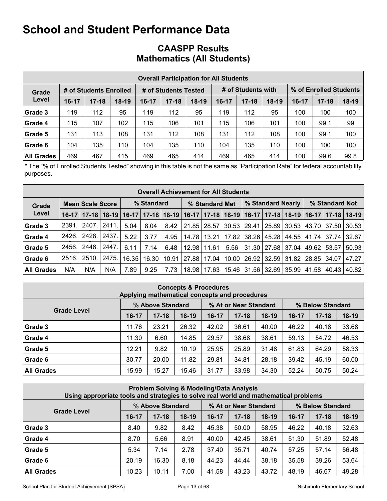|                   |         |                        |         |       |                      | <b>Overall Participation for All Students</b> |       |                    |         |                        |           |         |  |
|-------------------|---------|------------------------|---------|-------|----------------------|-----------------------------------------------|-------|--------------------|---------|------------------------|-----------|---------|--|
| Grade             |         | # of Students Enrolled |         |       | # of Students Tested |                                               |       | # of Students with |         | % of Enrolled Students |           |         |  |
| Level             | $16-17$ | $17 - 18$              | $18-19$ | 16-17 | $17 - 18$            | $18-19$                                       | 16-17 | $17 - 18$          | $18-19$ | $16-17$                | $17 - 18$ | $18-19$ |  |
| Grade 3           | 119     | 112                    | 95      | 119   | 112                  | 95                                            | 119   | 112                | 95      | 100                    | 100       | 100     |  |
| Grade 4           | 115     | 107                    | 102     | 115   | 106                  | 101                                           | 115   | 106                | 101     | 100                    | 99.1      | 99      |  |
| Grade 5           | 131     | 113                    | 108     | 131   | 112                  | 108                                           | 131   | 112                | 108     | 100                    | 99.1      | 100     |  |
| Grade 6           | 104     | 135                    | 110     | 104   | 135                  | 110                                           | 104   | 135                | 110     | 100                    | 100       | 100     |  |
| <b>All Grades</b> | 469     | 467                    | 415     | 469   | 465                  | 414                                           | 469   | 465                | 414     | 100                    | 99.6      | 99.8    |  |

### **CAASPP Results Mathematics (All Students)**

\* The "% of Enrolled Students Tested" showing in this table is not the same as "Participation Rate" for federal accountability purposes.

|                   | <b>Overall Achievement for All Students</b> |                         |       |       |                                                       |      |               |                |       |               |       |                               |                |                                       |       |
|-------------------|---------------------------------------------|-------------------------|-------|-------|-------------------------------------------------------|------|---------------|----------------|-------|---------------|-------|-------------------------------|----------------|---------------------------------------|-------|
| Grade             |                                             | <b>Mean Scale Score</b> |       |       | % Standard                                            |      |               | % Standard Met |       |               |       | % Standard Nearly             | % Standard Not |                                       |       |
| Level             | $16-17$                                     | $17 - 18$               |       |       | 18-19   16-17   17-18   18-19   16-17   17-18   18-19 |      |               |                |       | $16-17$       |       |                               |                | 17-18   18-19   16-17   17-18   18-19 |       |
| Grade 3           | 2391.                                       | 2407.                   | 2411. | 5.04  | 8.04                                                  | 8.42 |               | 21.85   28.57  |       | 30.53   29.41 | 25.89 | 130.53                        |                | 43.70   37.50                         | 30.53 |
| Grade 4           | 2426.                                       | 2428.                   | 2437. | 5.22  | 3.77                                                  | 4.95 | 14.78         | 13.21          | 17.82 | 38.26         | 45.28 | 44.55                         |                | 41.74 37.74 32.67                     |       |
| Grade 5           | 2456.                                       | 2446.                   | 2447. | 6.11  | 7.14                                                  | 6.48 | 12.98         | 11.61          | 5.56  | 31.30         | 27.68 | 37.04 L                       | 49.62          | 53.57                                 | 50.93 |
| Grade 6           | 2516.                                       | 2510.                   | 2475. | 16.35 | 16.30                                                 |      | 10.91   27.88 | 17.04          | 10.00 | 26.92         |       | 32.59   31.82   28.85   34.07 |                |                                       | 47.27 |
| <b>All Grades</b> | N/A                                         | N/A                     | N/A   | 7.89  | 9.25                                                  | 7.73 | 18.98         | 17.63          | 15.46 |               |       | 31.56 32.69 35.99             | 41.58          | 40.43                                 | 40.82 |

| <b>Concepts &amp; Procedures</b><br>Applying mathematical concepts and procedures |                                                               |           |       |       |           |         |         |           |         |  |
|-----------------------------------------------------------------------------------|---------------------------------------------------------------|-----------|-------|-------|-----------|---------|---------|-----------|---------|--|
|                                                                                   | % At or Near Standard<br>% Above Standard<br>% Below Standard |           |       |       |           |         |         |           |         |  |
| <b>Grade Level</b>                                                                | $16-17$                                                       | $17 - 18$ | 18-19 | 16-17 | $17 - 18$ | $18-19$ | $16-17$ | $17 - 18$ | $18-19$ |  |
| Grade 3                                                                           | 11.76                                                         | 23.21     | 26.32 | 42.02 | 36.61     | 40.00   | 46.22   | 40.18     | 33.68   |  |
| Grade 4                                                                           | 11.30                                                         | 6.60      | 14.85 | 29.57 | 38.68     | 38.61   | 59.13   | 54.72     | 46.53   |  |
| Grade 5                                                                           | 12.21                                                         | 9.82      | 10.19 | 25.95 | 25.89     | 31.48   | 61.83   | 64.29     | 58.33   |  |
| Grade 6                                                                           | 30.77                                                         | 20.00     | 11.82 | 29.81 | 34.81     | 28.18   | 39.42   | 45.19     | 60.00   |  |
| <b>All Grades</b>                                                                 | 15.99                                                         | 15.27     | 15.46 | 31.77 | 33.98     | 34.30   | 52.24   | 50.75     | 50.24   |  |

| Problem Solving & Modeling/Data Analysis<br>Using appropriate tools and strategies to solve real world and mathematical problems |         |           |         |           |           |         |           |           |                  |  |  |
|----------------------------------------------------------------------------------------------------------------------------------|---------|-----------|---------|-----------|-----------|---------|-----------|-----------|------------------|--|--|
| % Above Standard<br>% At or Near Standard                                                                                        |         |           |         |           |           |         |           |           | % Below Standard |  |  |
| <b>Grade Level</b>                                                                                                               | $16-17$ | $17 - 18$ | $18-19$ | $16 - 17$ | $17 - 18$ | $18-19$ | $16 - 17$ | $17 - 18$ | $18-19$          |  |  |
| Grade 3                                                                                                                          | 8.40    | 9.82      | 8.42    | 45.38     | 50.00     | 58.95   | 46.22     | 40.18     | 32.63            |  |  |
| Grade 4                                                                                                                          | 8.70    | 5.66      | 8.91    | 40.00     | 42.45     | 38.61   | 51.30     | 51.89     | 52.48            |  |  |
| Grade 5                                                                                                                          | 5.34    | 7.14      | 2.78    | 37.40     | 35.71     | 40.74   | 57.25     | 57.14     | 56.48            |  |  |
| Grade 6                                                                                                                          | 20.19   | 16.30     | 8.18    | 44.23     | 44.44     | 38.18   | 35.58     | 39.26     | 53.64            |  |  |
| <b>All Grades</b>                                                                                                                | 10.23   | 10.11     | 7.00    | 41.58     | 43.23     | 43.72   | 48.19     | 46.67     | 49.28            |  |  |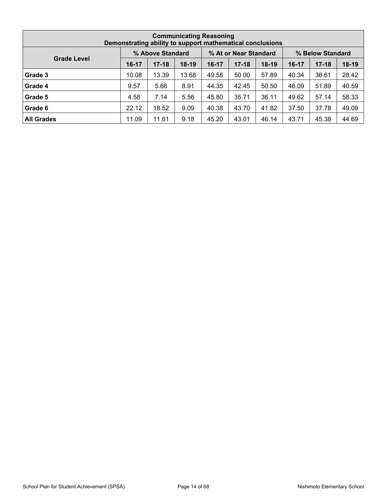| <b>Communicating Reasoning</b><br>Demonstrating ability to support mathematical conclusions |                                                               |           |         |       |           |         |         |           |         |  |
|---------------------------------------------------------------------------------------------|---------------------------------------------------------------|-----------|---------|-------|-----------|---------|---------|-----------|---------|--|
|                                                                                             | % At or Near Standard<br>% Above Standard<br>% Below Standard |           |         |       |           |         |         |           |         |  |
| <b>Grade Level</b>                                                                          | $16 - 17$                                                     | $17 - 18$ | $18-19$ | 16-17 | $17 - 18$ | $18-19$ | $16-17$ | $17 - 18$ | $18-19$ |  |
| Grade 3                                                                                     | 10.08                                                         | 13.39     | 13.68   | 49.58 | 50.00     | 57.89   | 40.34   | 36.61     | 28.42   |  |
| Grade 4                                                                                     | 9.57                                                          | 5.66      | 8.91    | 44.35 | 42.45     | 50.50   | 46.09   | 51.89     | 40.59   |  |
| Grade 5                                                                                     | 4.58                                                          | 7.14      | 5.56    | 45.80 | 35.71     | 36.11   | 49.62   | 57.14     | 58.33   |  |
| Grade 6                                                                                     | 22.12                                                         | 18.52     | 9.09    | 40.38 | 43.70     | 41.82   | 37.50   | 37.78     | 49.09   |  |
| <b>All Grades</b>                                                                           | 11.09                                                         | 11.61     | 9.18    | 45.20 | 43.01     | 46.14   | 43.71   | 45.38     | 44.69   |  |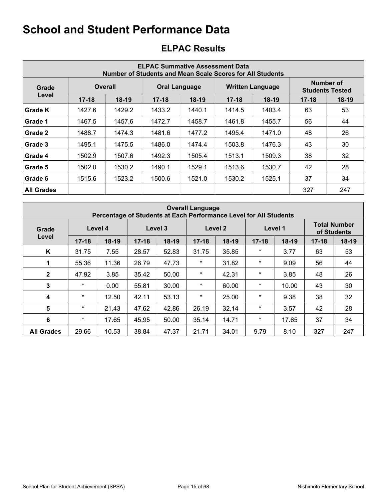| <b>ELPAC Summative Assessment Data</b><br>Number of Students and Mean Scale Scores for All Students |           |                |           |                      |           |                         |                                     |         |  |
|-----------------------------------------------------------------------------------------------------|-----------|----------------|-----------|----------------------|-----------|-------------------------|-------------------------------------|---------|--|
| Grade                                                                                               |           | <b>Overall</b> |           | <b>Oral Language</b> |           | <b>Written Language</b> | Number of<br><b>Students Tested</b> |         |  |
| Level                                                                                               | $17 - 18$ | $18-19$        | $17 - 18$ | $18-19$              | $17 - 18$ | $18-19$                 | $17 - 18$                           | $18-19$ |  |
| Grade K                                                                                             | 1427.6    | 1429.2         | 1433.2    | 1440.1               | 1414.5    | 1403.4                  | 63                                  | 53      |  |
| Grade 1                                                                                             | 1467.5    | 1457.6         | 1472.7    | 1458.7               | 1461.8    | 1455.7                  | 56                                  | 44      |  |
| Grade 2                                                                                             | 1488.7    | 1474.3         | 1481.6    | 1477.2               | 1495.4    | 1471.0                  | 48                                  | 26      |  |
| Grade 3                                                                                             | 1495.1    | 1475.5         | 1486.0    | 1474.4               | 1503.8    | 1476.3                  | 43                                  | 30      |  |
| Grade 4                                                                                             | 1502.9    | 1507.6         | 1492.3    | 1505.4               | 1513.1    | 1509.3                  | 38                                  | 32      |  |
| Grade 5                                                                                             | 1502.0    | 1530.2         | 1490.1    | 1529.1               | 1513.6    | 1530.7                  | 42                                  | 28      |  |
| Grade 6                                                                                             | 1515.6    | 1523.2         | 1500.6    | 1521.0               | 1530.2    | 1525.1                  | 37                                  | 34      |  |
| <b>All Grades</b>                                                                                   |           |                |           |                      |           |                         | 327                                 | 247     |  |

## **ELPAC Results**

|                   | <b>Overall Language</b><br>Percentage of Students at Each Performance Level for All Students |         |           |         |           |         |           |                                    |           |       |
|-------------------|----------------------------------------------------------------------------------------------|---------|-----------|---------|-----------|---------|-----------|------------------------------------|-----------|-------|
| Grade             | Level 4<br>Level 3                                                                           |         |           |         | Level 2   |         | Level 1   | <b>Total Number</b><br>of Students |           |       |
| Level             | $17 - 18$                                                                                    | $18-19$ | $17 - 18$ | $18-19$ | $17 - 18$ | $18-19$ | $17 - 18$ | $18-19$                            | $17 - 18$ | 18-19 |
| K                 | 31.75                                                                                        | 7.55    | 28.57     | 52.83   | 31.75     | 35.85   | $\ast$    | 3.77                               | 63        | 53    |
|                   | 55.36                                                                                        | 11.36   | 26.79     | 47.73   | $\star$   | 31.82   | $\ast$    | 9.09                               | 56        | 44    |
| $\mathbf{2}$      | 47.92                                                                                        | 3.85    | 35.42     | 50.00   | $\star$   | 42.31   | $\star$   | 3.85                               | 48        | 26    |
| 3                 | $\star$                                                                                      | 0.00    | 55.81     | 30.00   | $^\ast$   | 60.00   | $\ast$    | 10.00                              | 43        | 30    |
| 4                 | $\star$                                                                                      | 12.50   | 42.11     | 53.13   | $\ast$    | 25.00   | $\ast$    | 9.38                               | 38        | 32    |
| $5\phantom{1}$    | $\star$                                                                                      | 21.43   | 47.62     | 42.86   | 26.19     | 32.14   | $\ast$    | 3.57                               | 42        | 28    |
| 6                 | $\star$                                                                                      | 17.65   | 45.95     | 50.00   | 35.14     | 14.71   | $\ast$    | 17.65                              | 37        | 34    |
| <b>All Grades</b> | 29.66                                                                                        | 10.53   | 38.84     | 47.37   | 21.71     | 34.01   | 9.79      | 8.10                               | 327       | 247   |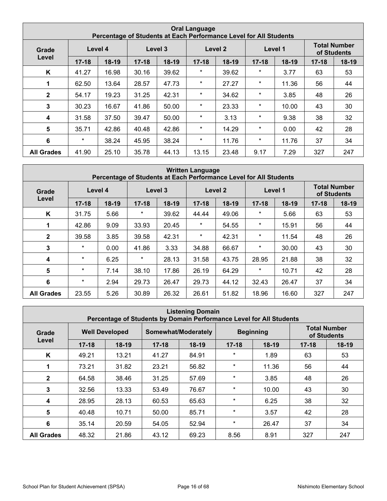| <b>Oral Language</b><br>Percentage of Students at Each Performance Level for All Students |           |                    |           |         |           |       |           |                                    |           |         |
|-------------------------------------------------------------------------------------------|-----------|--------------------|-----------|---------|-----------|-------|-----------|------------------------------------|-----------|---------|
| Grade                                                                                     |           | Level 3<br>Level 4 |           |         | Level 2   |       | Level 1   | <b>Total Number</b><br>of Students |           |         |
| Level                                                                                     | $17 - 18$ | $18-19$            | $17 - 18$ | $18-19$ | $17 - 18$ | 18-19 | $17 - 18$ | $18-19$                            | $17 - 18$ | $18-19$ |
| K                                                                                         | 41.27     | 16.98              | 30.16     | 39.62   | $\star$   | 39.62 | $\ast$    | 3.77                               | 63        | 53      |
| 1                                                                                         | 62.50     | 13.64              | 28.57     | 47.73   | $\star$   | 27.27 | $\star$   | 11.36                              | 56        | 44      |
| $\mathbf{2}$                                                                              | 54.17     | 19.23              | 31.25     | 42.31   | $\star$   | 34.62 | $\ast$    | 3.85                               | 48        | 26      |
| 3                                                                                         | 30.23     | 16.67              | 41.86     | 50.00   | $\star$   | 23.33 | $\ast$    | 10.00                              | 43        | 30      |
| 4                                                                                         | 31.58     | 37.50              | 39.47     | 50.00   | $\star$   | 3.13  | $\ast$    | 9.38                               | 38        | 32      |
| 5                                                                                         | 35.71     | 42.86              | 40.48     | 42.86   | $\star$   | 14.29 | $\ast$    | 0.00                               | 42        | 28      |
| $6\phantom{1}6$                                                                           | $\star$   | 38.24              | 45.95     | 38.24   | $\star$   | 11.76 | $\ast$    | 11.76                              | 37        | 34      |
| <b>All Grades</b>                                                                         | 41.90     | 25.10              | 35.78     | 44.13   | 13.15     | 23.48 | 9.17      | 7.29                               | 327       | 247     |

|                   | <b>Written Language</b><br>Percentage of Students at Each Performance Level for All Students |         |           |         |           |         |           |         |                                    |         |
|-------------------|----------------------------------------------------------------------------------------------|---------|-----------|---------|-----------|---------|-----------|---------|------------------------------------|---------|
| Level 4<br>Grade  |                                                                                              |         | Level 3   |         |           | Level 2 |           | Level 1 | <b>Total Number</b><br>of Students |         |
| Level             | $17 - 18$                                                                                    | $18-19$ | $17 - 18$ | $18-19$ | $17 - 18$ | $18-19$ | $17 - 18$ | $18-19$ | $17 - 18$                          | $18-19$ |
| K                 | 31.75                                                                                        | 5.66    | $\ast$    | 39.62   | 44.44     | 49.06   | $^\star$  | 5.66    | 63                                 | 53      |
| 1                 | 42.86                                                                                        | 9.09    | 33.93     | 20.45   | $\ast$    | 54.55   | $\ast$    | 15.91   | 56                                 | 44      |
| $\mathbf{2}$      | 39.58                                                                                        | 3.85    | 39.58     | 42.31   | $\star$   | 42.31   | $\ast$    | 11.54   | 48                                 | 26      |
| 3                 | $\star$                                                                                      | 0.00    | 41.86     | 3.33    | 34.88     | 66.67   | $^\star$  | 30.00   | 43                                 | 30      |
| 4                 | $\star$                                                                                      | 6.25    | $\star$   | 28.13   | 31.58     | 43.75   | 28.95     | 21.88   | 38                                 | 32      |
| $5\phantom{1}$    | $\star$                                                                                      | 7.14    | 38.10     | 17.86   | 26.19     | 64.29   | $\ast$    | 10.71   | 42                                 | 28      |
| 6                 | $\star$                                                                                      | 2.94    | 29.73     | 26.47   | 29.73     | 44.12   | 32.43     | 26.47   | 37                                 | 34      |
| <b>All Grades</b> | 23.55                                                                                        | 5.26    | 30.89     | 26.32   | 26.61     | 51.82   | 18.96     | 16.60   | 327                                | 247     |

| <b>Listening Domain</b><br>Percentage of Students by Domain Performance Level for All Students |           |                       |           |                     |           |                  |                                    |         |
|------------------------------------------------------------------------------------------------|-----------|-----------------------|-----------|---------------------|-----------|------------------|------------------------------------|---------|
| Grade                                                                                          |           | <b>Well Developed</b> |           | Somewhat/Moderately |           | <b>Beginning</b> | <b>Total Number</b><br>of Students |         |
| Level                                                                                          | $17 - 18$ | $18-19$               | $17 - 18$ | $18-19$             | $17 - 18$ | $18-19$          | $17 - 18$                          | $18-19$ |
| K                                                                                              | 49.21     | 13.21                 | 41.27     | 84.91               | $\star$   | 1.89             | 63                                 | 53      |
|                                                                                                | 73.21     | 31.82                 | 23.21     | 56.82               | $\star$   | 11.36            | 56                                 | 44      |
| $\overline{2}$                                                                                 | 64.58     | 38.46                 | 31.25     | 57.69               | $\star$   | 3.85             | 48                                 | 26      |
| 3                                                                                              | 32.56     | 13.33                 | 53.49     | 76.67               | $\star$   | 10.00            | 43                                 | 30      |
| $\boldsymbol{4}$                                                                               | 28.95     | 28.13                 | 60.53     | 65.63               | $\star$   | 6.25             | 38                                 | 32      |
| 5                                                                                              | 40.48     | 10.71                 | 50.00     | 85.71               | $\star$   | 3.57             | 42                                 | 28      |
| 6                                                                                              | 35.14     | 20.59                 | 54.05     | 52.94               | $\star$   | 26.47            | 37                                 | 34      |
| <b>All Grades</b>                                                                              | 48.32     | 21.86                 | 43.12     | 69.23               | 8.56      | 8.91             | 327                                | 247     |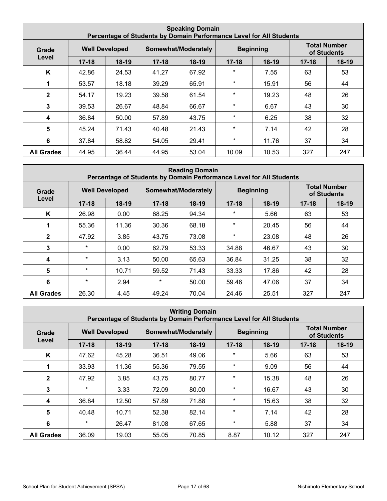|                   | <b>Speaking Domain</b><br>Percentage of Students by Domain Performance Level for All Students |                       |           |                     |           |                  |           |                                    |  |
|-------------------|-----------------------------------------------------------------------------------------------|-----------------------|-----------|---------------------|-----------|------------------|-----------|------------------------------------|--|
| Grade             |                                                                                               | <b>Well Developed</b> |           | Somewhat/Moderately |           | <b>Beginning</b> |           | <b>Total Number</b><br>of Students |  |
| Level             | $17 - 18$                                                                                     | $18-19$               | $17 - 18$ | $18-19$             | $17 - 18$ | $18-19$          | $17 - 18$ | 18-19                              |  |
| K                 | 42.86                                                                                         | 24.53                 | 41.27     | 67.92               | $\star$   | 7.55             | 63        | 53                                 |  |
| 1                 | 53.57                                                                                         | 18.18                 | 39.29     | 65.91               | $\star$   | 15.91            | 56        | 44                                 |  |
| $\mathbf{2}$      | 54.17                                                                                         | 19.23                 | 39.58     | 61.54               | $\star$   | 19.23            | 48        | 26                                 |  |
| 3                 | 39.53                                                                                         | 26.67                 | 48.84     | 66.67               | $\star$   | 6.67             | 43        | 30                                 |  |
| 4                 | 36.84                                                                                         | 50.00                 | 57.89     | 43.75               | $\star$   | 6.25             | 38        | 32                                 |  |
| $5\phantom{1}$    | 45.24                                                                                         | 71.43                 | 40.48     | 21.43               | $\star$   | 7.14             | 42        | 28                                 |  |
| 6                 | 37.84                                                                                         | 58.82                 | 54.05     | 29.41               | $\star$   | 11.76            | 37        | 34                                 |  |
| <b>All Grades</b> | 44.95                                                                                         | 36.44                 | 44.95     | 53.04               | 10.09     | 10.53            | 327       | 247                                |  |

| <b>Reading Domain</b><br>Percentage of Students by Domain Performance Level for All Students |           |                       |           |                     |           |                  |                                    |         |
|----------------------------------------------------------------------------------------------|-----------|-----------------------|-----------|---------------------|-----------|------------------|------------------------------------|---------|
| Grade                                                                                        |           | <b>Well Developed</b> |           | Somewhat/Moderately |           | <b>Beginning</b> | <b>Total Number</b><br>of Students |         |
| Level                                                                                        | $17 - 18$ | $18-19$               | $17 - 18$ | 18-19               | $17 - 18$ | $18-19$          | $17 - 18$                          | $18-19$ |
| K                                                                                            | 26.98     | 0.00                  | 68.25     | 94.34               | $\ast$    | 5.66             | 63                                 | 53      |
| 1                                                                                            | 55.36     | 11.36                 | 30.36     | 68.18               | $\star$   | 20.45            | 56                                 | 44      |
| $\mathbf{2}$                                                                                 | 47.92     | 3.85                  | 43.75     | 73.08               | $\star$   | 23.08            | 48                                 | 26      |
| 3                                                                                            | $\star$   | 0.00                  | 62.79     | 53.33               | 34.88     | 46.67            | 43                                 | 30      |
| $\boldsymbol{4}$                                                                             | $\star$   | 3.13                  | 50.00     | 65.63               | 36.84     | 31.25            | 38                                 | 32      |
| 5                                                                                            | $\star$   | 10.71                 | 59.52     | 71.43               | 33.33     | 17.86            | 42                                 | 28      |
| 6                                                                                            | $\star$   | 2.94                  | $\star$   | 50.00               | 59.46     | 47.06            | 37                                 | 34      |
| <b>All Grades</b>                                                                            | 26.30     | 4.45                  | 49.24     | 70.04               | 24.46     | 25.51            | 327                                | 247     |

| <b>Writing Domain</b><br>Percentage of Students by Domain Performance Level for All Students |           |                       |           |                     |           |                  |                                    |         |
|----------------------------------------------------------------------------------------------|-----------|-----------------------|-----------|---------------------|-----------|------------------|------------------------------------|---------|
| Grade                                                                                        |           | <b>Well Developed</b> |           | Somewhat/Moderately |           | <b>Beginning</b> | <b>Total Number</b><br>of Students |         |
| Level                                                                                        | $17 - 18$ | $18-19$               | $17 - 18$ | $18-19$             | $17 - 18$ | $18-19$          | $17 - 18$                          | $18-19$ |
| K                                                                                            | 47.62     | 45.28                 | 36.51     | 49.06               | $\star$   | 5.66             | 63                                 | 53      |
|                                                                                              | 33.93     | 11.36                 | 55.36     | 79.55               | $\star$   | 9.09             | 56                                 | 44      |
| $\mathbf{2}$                                                                                 | 47.92     | 3.85                  | 43.75     | 80.77               | $\star$   | 15.38            | 48                                 | 26      |
| 3                                                                                            | $\star$   | 3.33                  | 72.09     | 80.00               | $\star$   | 16.67            | 43                                 | 30      |
| $\boldsymbol{4}$                                                                             | 36.84     | 12.50                 | 57.89     | 71.88               | $\star$   | 15.63            | 38                                 | 32      |
| 5                                                                                            | 40.48     | 10.71                 | 52.38     | 82.14               | $\ast$    | 7.14             | 42                                 | 28      |
| 6                                                                                            | $\star$   | 26.47                 | 81.08     | 67.65               | $\star$   | 5.88             | 37                                 | 34      |
| <b>All Grades</b>                                                                            | 36.09     | 19.03                 | 55.05     | 70.85               | 8.87      | 10.12            | 327                                | 247     |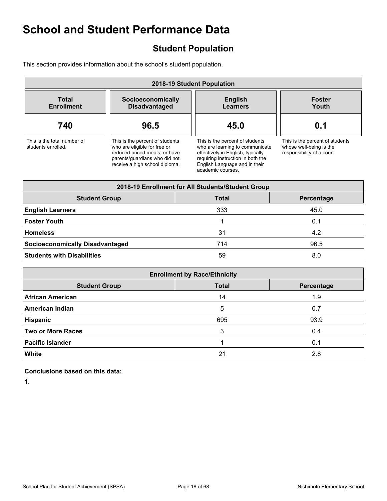## **Student Population**

This section provides information about the school's student population.

| 2018-19 Student Population                        |                                                                                                                                                                     |                                                                                                                                                                                                    |                                                                                          |  |  |  |  |  |  |
|---------------------------------------------------|---------------------------------------------------------------------------------------------------------------------------------------------------------------------|----------------------------------------------------------------------------------------------------------------------------------------------------------------------------------------------------|------------------------------------------------------------------------------------------|--|--|--|--|--|--|
| <b>Total</b><br><b>Enrollment</b>                 | Socioeconomically<br><b>Disadvantaged</b>                                                                                                                           | <b>English</b><br><b>Learners</b>                                                                                                                                                                  | <b>Foster</b><br>Youth                                                                   |  |  |  |  |  |  |
| 740                                               | 96.5                                                                                                                                                                | 45.0                                                                                                                                                                                               | 0.1                                                                                      |  |  |  |  |  |  |
| This is the total number of<br>students enrolled. | This is the percent of students<br>who are eligible for free or<br>reduced priced meals; or have<br>parents/guardians who did not<br>receive a high school diploma. | This is the percent of students<br>who are learning to communicate<br>effectively in English, typically<br>requiring instruction in both the<br>English Language and in their<br>academic courses. | This is the percent of students<br>whose well-being is the<br>responsibility of a court. |  |  |  |  |  |  |

| 2018-19 Enrollment for All Students/Student Group  |     |      |  |  |  |
|----------------------------------------------------|-----|------|--|--|--|
| <b>Student Group</b><br><b>Total</b><br>Percentage |     |      |  |  |  |
| <b>English Learners</b>                            | 333 | 45.0 |  |  |  |
| <b>Foster Youth</b>                                |     | 0.1  |  |  |  |
| <b>Homeless</b>                                    | 31  | 4.2  |  |  |  |
| <b>Socioeconomically Disadvantaged</b>             | 714 | 96.5 |  |  |  |
| <b>Students with Disabilities</b>                  | 59  | 8.0  |  |  |  |

| <b>Enrollment by Race/Ethnicity</b>                |     |      |  |  |  |
|----------------------------------------------------|-----|------|--|--|--|
| <b>Total</b><br><b>Student Group</b><br>Percentage |     |      |  |  |  |
| <b>African American</b>                            | 14  | 1.9  |  |  |  |
| <b>American Indian</b>                             | 5   | 0.7  |  |  |  |
| Hispanic                                           | 695 | 93.9 |  |  |  |
| <b>Two or More Races</b>                           | 3   | 0.4  |  |  |  |
| <b>Pacific Islander</b>                            |     | 0.1  |  |  |  |
| <b>White</b>                                       | 21  | 2.8  |  |  |  |

#### **Conclusions based on this data:**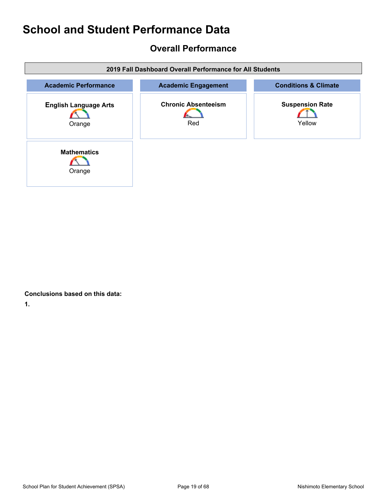### **Overall Performance**

| 2019 Fall Dashboard Overall Performance for All Students |                                   |                                  |  |  |
|----------------------------------------------------------|-----------------------------------|----------------------------------|--|--|
| <b>Academic Performance</b>                              | <b>Academic Engagement</b>        | <b>Conditions &amp; Climate</b>  |  |  |
| <b>English Language Arts</b><br>Orange                   | <b>Chronic Absenteeism</b><br>Red | <b>Suspension Rate</b><br>Yellow |  |  |
| <b>Mathematics</b><br>Orange                             |                                   |                                  |  |  |

**Conclusions based on this data:**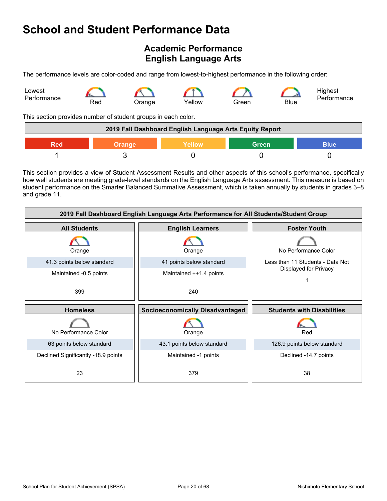### **Academic Performance English Language Arts**

The performance levels are color-coded and range from lowest-to-highest performance in the following order:



This section provides number of student groups in each color.

| 2019 Fall Dashboard English Language Arts Equity Report              |  |  |  |  |
|----------------------------------------------------------------------|--|--|--|--|
| <b>Green</b><br><b>Yellow</b><br><b>Blue</b><br><b>Orange</b><br>Red |  |  |  |  |
|                                                                      |  |  |  |  |

This section provides a view of Student Assessment Results and other aspects of this school's performance, specifically how well students are meeting grade-level standards on the English Language Arts assessment. This measure is based on student performance on the Smarter Balanced Summative Assessment, which is taken annually by students in grades 3–8 and grade 11.

| 2019 Fall Dashboard English Language Arts Performance for All Students/Student Group |                                        |                                   |  |  |  |
|--------------------------------------------------------------------------------------|----------------------------------------|-----------------------------------|--|--|--|
| <b>All Students</b>                                                                  | <b>English Learners</b>                | <b>Foster Youth</b>               |  |  |  |
| Orange                                                                               | Orange                                 | No Performance Color              |  |  |  |
| 41.3 points below standard                                                           | 41 points below standard               | Less than 11 Students - Data Not  |  |  |  |
| Maintained -0.5 points                                                               | Maintained ++1.4 points                | Displayed for Privacy             |  |  |  |
| 399                                                                                  | 240                                    |                                   |  |  |  |
| <b>Homeless</b>                                                                      | <b>Socioeconomically Disadvantaged</b> | <b>Students with Disabilities</b> |  |  |  |
|                                                                                      |                                        |                                   |  |  |  |
| No Performance Color                                                                 | Orange                                 | Red                               |  |  |  |
| 63 points below standard                                                             | 43.1 points below standard             | 126.9 points below standard       |  |  |  |
| Declined Significantly -18.9 points                                                  | Maintained -1 points                   | Declined -14.7 points             |  |  |  |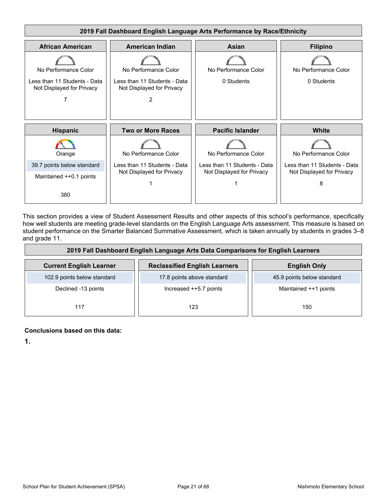

This section provides a view of Student Assessment Results and other aspects of this school's performance, specifically how well students are meeting grade-level standards on the English Language Arts assessment. This measure is based on student performance on the Smarter Balanced Summative Assessment, which is taken annually by students in grades 3–8 and grade 11.

| 2019 Fall Dashboard English Language Arts Data Comparisons for English Learners |                                      |                            |  |  |  |
|---------------------------------------------------------------------------------|--------------------------------------|----------------------------|--|--|--|
| <b>Current English Learner</b>                                                  | <b>Reclassified English Learners</b> | <b>English Only</b>        |  |  |  |
| 102.9 points below standard                                                     | 17.8 points above standard           | 45.9 points below standard |  |  |  |
| Declined -13 points                                                             | Increased ++5.7 points               | Maintained ++1 points      |  |  |  |
| 117                                                                             | 123                                  | 150                        |  |  |  |

#### **Conclusions based on this data:**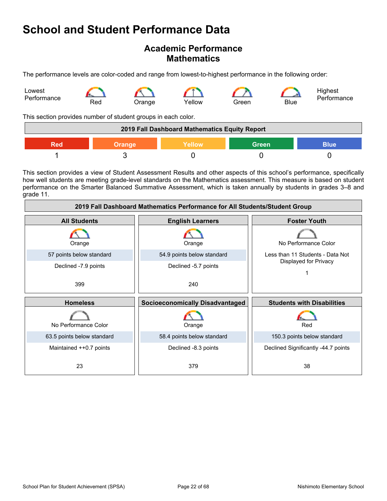### **Academic Performance Mathematics**

The performance levels are color-coded and range from lowest-to-highest performance in the following order:



This section provides number of student groups in each color.

| 2019 Fall Dashboard Mathematics Equity Report |        |        |              |             |
|-----------------------------------------------|--------|--------|--------------|-------------|
| Red                                           | Orange | Yellow | <b>Green</b> | <b>Blue</b> |
|                                               |        |        |              |             |

This section provides a view of Student Assessment Results and other aspects of this school's performance, specifically how well students are meeting grade-level standards on the Mathematics assessment. This measure is based on student performance on the Smarter Balanced Summative Assessment, which is taken annually by students in grades 3–8 and grade 11.

| 2019 Fall Dashboard Mathematics Performance for All Students/Student Group |                                        |                                     |  |  |  |
|----------------------------------------------------------------------------|----------------------------------------|-------------------------------------|--|--|--|
| <b>All Students</b>                                                        | <b>English Learners</b>                | <b>Foster Youth</b>                 |  |  |  |
| Orange                                                                     | Orange                                 | No Performance Color                |  |  |  |
| 57 points below standard                                                   | 54.9 points below standard             | Less than 11 Students - Data Not    |  |  |  |
| Declined -7.9 points                                                       | Declined -5.7 points                   | Displayed for Privacy               |  |  |  |
| 399                                                                        | 240                                    |                                     |  |  |  |
| <b>Homeless</b>                                                            | <b>Socioeconomically Disadvantaged</b> | <b>Students with Disabilities</b>   |  |  |  |
| No Performance Color                                                       | Orange                                 | Red                                 |  |  |  |
| 63.5 points below standard                                                 | 58.4 points below standard             | 150.3 points below standard         |  |  |  |
| Maintained ++0.7 points                                                    | Declined -8.3 points                   | Declined Significantly -44.7 points |  |  |  |
| 23                                                                         | 379                                    | 38                                  |  |  |  |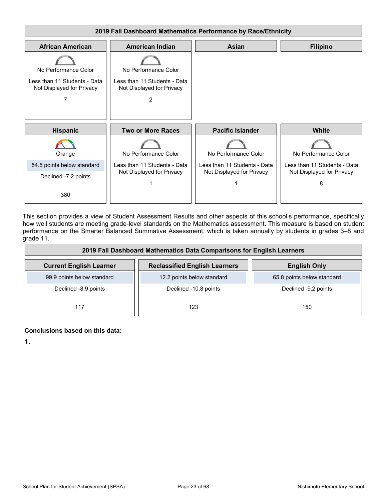

This section provides a view of Student Assessment Results and other aspects of this school's performance, specifically how well students are meeting grade-level standards on the Mathematics assessment. This measure is based on student performance on the Smarter Balanced Summative Assessment, which is taken annually by students in grades 3–8 and grade 11.

| 2019 Fall Dashboard Mathematics Data Comparisons for English Learners |                                      |                            |  |  |  |
|-----------------------------------------------------------------------|--------------------------------------|----------------------------|--|--|--|
| <b>Current English Learner</b>                                        | <b>Reclassified English Learners</b> | <b>English Only</b>        |  |  |  |
| 99.9 points below standard                                            | 12.2 points below standard           | 65.8 points below standard |  |  |  |
| Declined -8.9 points                                                  | Declined -10.8 points                | Declined -9.2 points       |  |  |  |
| 117                                                                   | 123                                  | 150                        |  |  |  |

#### **Conclusions based on this data:**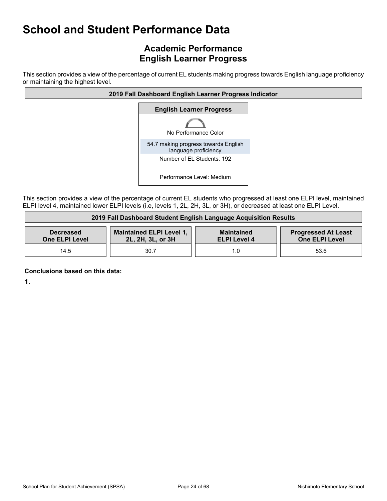### **Academic Performance English Learner Progress**

This section provides a view of the percentage of current EL students making progress towards English language proficiency or maintaining the highest level.



This section provides a view of the percentage of current EL students who progressed at least one ELPI level, maintained ELPI level 4, maintained lower ELPI levels (i.e, levels 1, 2L, 2H, 3L, or 3H), or decreased at least one ELPI Level.

| 2019 Fall Dashboard Student English Language Acquisition Results                                                                                                                              |      |     |      |  |
|-----------------------------------------------------------------------------------------------------------------------------------------------------------------------------------------------|------|-----|------|--|
| Maintained ELPI Level 1,<br><b>Progressed At Least</b><br><b>Maintained</b><br><b>Decreased</b><br><b>One ELPI Level</b><br>2L, 2H, 3L, or 3H<br><b>One ELPI Level</b><br><b>ELPI Level 4</b> |      |     |      |  |
| 14.5                                                                                                                                                                                          | 30.7 | 1.0 | 53.6 |  |

**Conclusions based on this data:**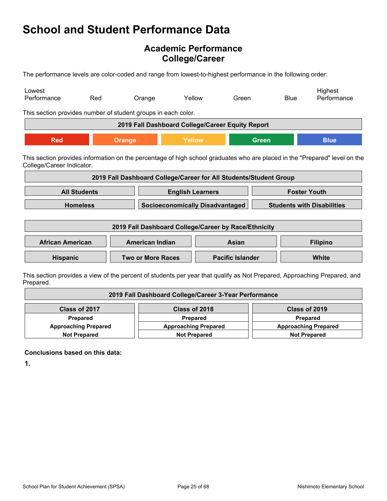### **Academic Performance College/Career**

The performance levels are color-coded and range from lowest-to-highest performance in the following order:

| Lowest<br>Performance                                                                                                                                   | Red                 | Orange                                                            | Yellow                  |                                        | Green |              | <b>Blue</b>         | Highest<br>Performance            |
|---------------------------------------------------------------------------------------------------------------------------------------------------------|---------------------|-------------------------------------------------------------------|-------------------------|----------------------------------------|-------|--------------|---------------------|-----------------------------------|
| This section provides number of student groups in each color.                                                                                           |                     |                                                                   |                         |                                        |       |              |                     |                                   |
|                                                                                                                                                         |                     | 2019 Fall Dashboard College/Career Equity Report                  |                         |                                        |       |              |                     |                                   |
| <b>Red</b>                                                                                                                                              |                     | Orange                                                            | Yellow                  |                                        |       | <b>Green</b> |                     | <b>Blue</b>                       |
| This section provides information on the percentage of high school graduates who are placed in the "Prepared" level on the<br>College/Career Indicator. |                     |                                                                   |                         |                                        |       |              |                     |                                   |
|                                                                                                                                                         |                     | 2019 Fall Dashboard College/Career for All Students/Student Group |                         |                                        |       |              |                     |                                   |
|                                                                                                                                                         | <b>All Students</b> |                                                                   | <b>English Learners</b> |                                        |       |              | <b>Foster Youth</b> |                                   |
|                                                                                                                                                         | <b>Homeless</b>     |                                                                   |                         | <b>Socioeconomically Disadvantaged</b> |       |              |                     | <b>Students with Disabilities</b> |
| 2019 Fall Dashboard College/Career by Race/Ethnicity                                                                                                    |                     |                                                                   |                         |                                        |       |              |                     |                                   |
| <b>African American</b>                                                                                                                                 |                     | <b>American Indian</b>                                            | Asian                   |                                        |       |              |                     | <b>Filipino</b>                   |
| Hispanic                                                                                                                                                |                     | <b>Two or More Races</b>                                          | <b>Pacific Islander</b> |                                        |       |              |                     | <b>White</b>                      |
| This section provides a view of the percent of students per vear that qualify as Not Prepared. Approaching Prepared, and                                |                     |                                                                   |                         |                                        |       |              |                     |                                   |

ts per year that qualify as Not Prepared, Approaching Prep Prepared.

| 2019 Fall Dashboard College/Career 3-Year Performance                                            |                             |  |  |  |  |
|--------------------------------------------------------------------------------------------------|-----------------------------|--|--|--|--|
| Class of 2017<br>Class of 2018<br>Class of 2019                                                  |                             |  |  |  |  |
| Prepared                                                                                         | <b>Prepared</b><br>Prepared |  |  |  |  |
| <b>Approaching Prepared</b>                                                                      | <b>Approaching Prepared</b> |  |  |  |  |
| <b>Approaching Prepared</b><br><b>Not Prepared</b><br><b>Not Prepared</b><br><b>Not Prepared</b> |                             |  |  |  |  |

**Conclusions based on this data:**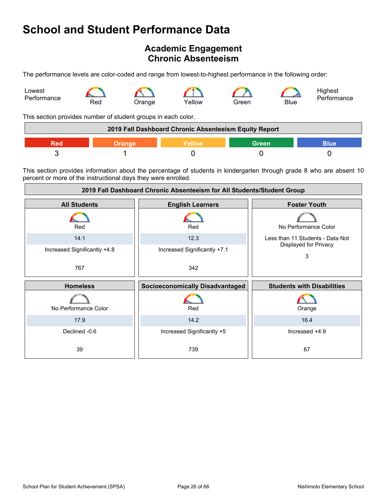### **Academic Engagement Chronic Absenteeism**

The performance levels are color-coded and range from lowest-to-highest performance in the following order:



This section provides number of student groups in each color.

| 2019 Fall Dashboard Chronic Absenteeism Equity Report |  |  |  |  |
|-------------------------------------------------------|--|--|--|--|
| Green<br><b>Nellow</b><br>3lue                        |  |  |  |  |
|                                                       |  |  |  |  |

This section provides information about the percentage of students in kindergarten through grade 8 who are absent 10 percent or more of the instructional days they were enrolled.

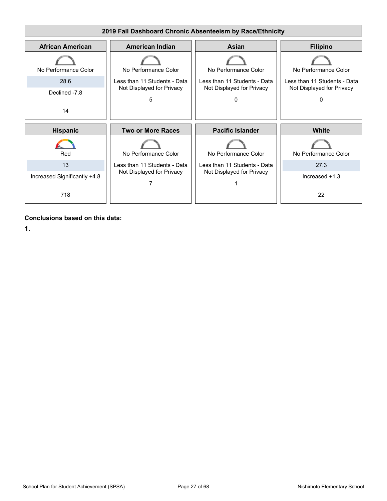

**Conclusions based on this data:**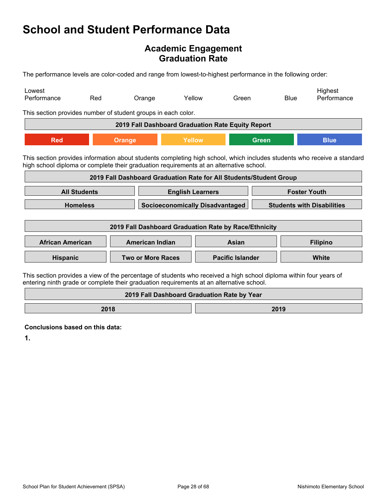### **Academic Engagement Graduation Rate**

The performance levels are color-coded and range from lowest-to-highest performance in the following order:

| Lowest<br>Performance                                                                                                                                                                                              | Red                                                                | Orange                   | Yellow |                         | Green |              | <b>Blue</b> | Highest<br>Performance |
|--------------------------------------------------------------------------------------------------------------------------------------------------------------------------------------------------------------------|--------------------------------------------------------------------|--------------------------|--------|-------------------------|-------|--------------|-------------|------------------------|
|                                                                                                                                                                                                                    | This section provides number of student groups in each color.      |                          |        |                         |       |              |             |                        |
| 2019 Fall Dashboard Graduation Rate Equity Report                                                                                                                                                                  |                                                                    |                          |        |                         |       |              |             |                        |
| <b>Red</b>                                                                                                                                                                                                         | <b>Orange</b>                                                      |                          | Yellow |                         |       | <b>Green</b> |             | <b>Blue</b>            |
| This section provides information about students completing high school, which includes students who receive a standard<br>high school diploma or complete their graduation requirements at an alternative school. |                                                                    |                          |        |                         |       |              |             |                        |
|                                                                                                                                                                                                                    | 2019 Fall Dashboard Graduation Rate for All Students/Student Group |                          |        |                         |       |              |             |                        |
| <b>All Students</b><br><b>Foster Youth</b><br><b>English Learners</b>                                                                                                                                              |                                                                    |                          |        |                         |       |              |             |                        |
| <b>Homeless</b><br><b>Socioeconomically Disadvantaged</b><br><b>Students with Disabilities</b>                                                                                                                     |                                                                    |                          |        |                         |       |              |             |                        |
| 2019 Fall Dashboard Graduation Rate by Race/Ethnicity                                                                                                                                                              |                                                                    |                          |        |                         |       |              |             |                        |
| <b>African American</b>                                                                                                                                                                                            |                                                                    | <b>American Indian</b>   |        |                         | Asian |              |             | <b>Filipino</b>        |
| Hispanic                                                                                                                                                                                                           |                                                                    | <b>Two or More Races</b> |        | <b>Pacific Islander</b> |       |              | White       |                        |
| This section provides a view of the percentage of students who received a high school diploma within four years of<br>entering ninth grade or complete their graduation requirements at an alternative school.     |                                                                    |                          |        |                         |       |              |             |                        |
| 2019 Fall Dashboard Graduation Rate by Year                                                                                                                                                                        |                                                                    |                          |        |                         |       |              |             |                        |

**2018 2019** 

**Conclusions based on this data:**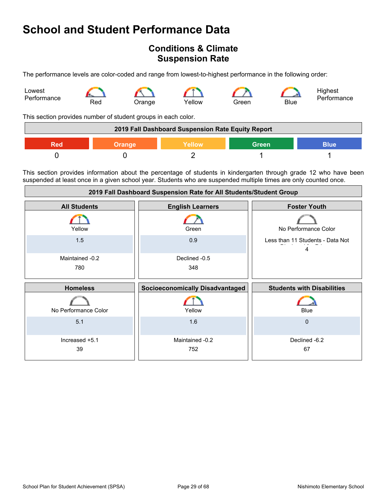### **Conditions & Climate Suspension Rate**

The performance levels are color-coded and range from lowest-to-highest performance in the following order:



This section provides number of student groups in each color.

| 2019 Fall Dashboard Suspension Rate Equity Report |               |        |              |             |
|---------------------------------------------------|---------------|--------|--------------|-------------|
| Red                                               | <b>Orange</b> | Yellow | <b>Green</b> | <b>Blue</b> |
|                                                   |               |        |              |             |

This section provides information about the percentage of students in kindergarten through grade 12 who have been suspended at least once in a given school year. Students who are suspended multiple times are only counted once.

| 2019 Fall Dashboard Suspension Rate for All Students/Student Group |                                        |                                       |  |
|--------------------------------------------------------------------|----------------------------------------|---------------------------------------|--|
| <b>All Students</b>                                                | <b>English Learners</b>                | <b>Foster Youth</b>                   |  |
| Yellow                                                             | Green                                  | No Performance Color                  |  |
| 1.5                                                                | 0.9                                    | Less than 11 Students - Data Not<br>4 |  |
| Maintained -0.2                                                    | Declined -0.5                          |                                       |  |
| 780                                                                | 348                                    |                                       |  |
|                                                                    |                                        |                                       |  |
|                                                                    |                                        |                                       |  |
| <b>Homeless</b>                                                    | <b>Socioeconomically Disadvantaged</b> | <b>Students with Disabilities</b>     |  |
| No Performance Color                                               | Yellow                                 | <b>Blue</b>                           |  |
| 5.1                                                                | 1.6                                    | 0                                     |  |
| Increased +5.1                                                     | Maintained -0.2                        | Declined -6.2                         |  |
| 39                                                                 | 752                                    | 67                                    |  |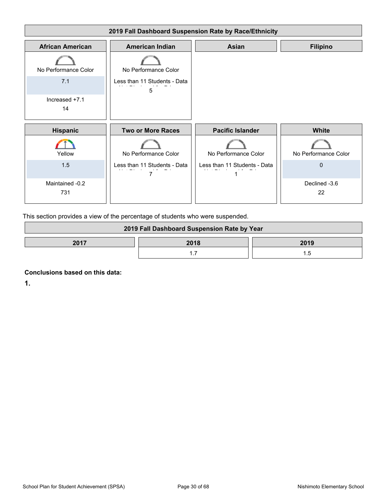

This section provides a view of the percentage of students who were suspended.

| 2019 Fall Dashboard Suspension Rate by Year |      |      |  |
|---------------------------------------------|------|------|--|
| 2017                                        | 2018 | 2019 |  |
|                                             |      |      |  |

**Conclusions based on this data:**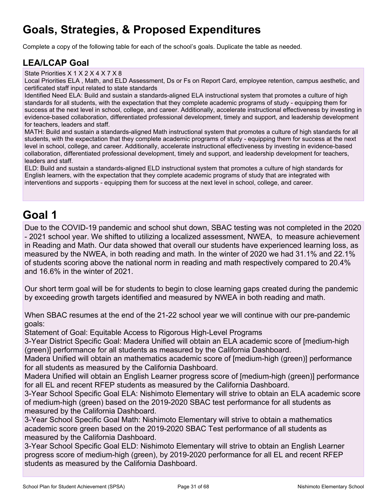## **Goals, Strategies, & Proposed Expenditures**

Complete a copy of the following table for each of the school's goals. Duplicate the table as needed.

### **LEA/LCAP Goal**

State Priorities X 1 X 2 X 4 X 7 X 8

Local Priorities ELA , Math, and ELD Assessment, Ds or Fs on Report Card, employee retention, campus aesthetic, and certificated staff input related to state standards

Identified Need ELA: Build and sustain a standards-aligned ELA instructional system that promotes a culture of high standards for all students, with the expectation that they complete academic programs of study - equipping them for success at the next level in school, college, and career. Additionally, accelerate instructional effectiveness by investing in evidence-based collaboration, differentiated professional development, timely and support, and leadership development for teachers, leaders and staff.

MATH: Build and sustain a standards-aligned Math instructional system that promotes a culture of high standards for all students, with the expectation that they complete academic programs of study - equipping them for success at the next level in school, college, and career. Additionally, accelerate instructional effectiveness by investing in evidence-based collaboration, differentiated professional development, timely and support, and leadership development for teachers, leaders and staff.

ELD: Build and sustain a standards-aligned ELD instructional system that promotes a culture of high standards for English learners, with the expectation that they complete academic programs of study that are integrated with interventions and supports - equipping them for success at the next level in school, college, and career.

## **Goal 1**

Due to the COVID-19 pandemic and school shut down, SBAC testing was not completed in the 2020 - 2021 school year. We shifted to utilizing a localized assessment, NWEA, to measure achievement in Reading and Math. Our data showed that overall our students have experienced learning loss, as measured by the NWEA, in both reading and math. In the winter of 2020 we had 31.1% and 22.1% of students scoring above the national norm in reading and math respectively compared to 20.4% and 16.6% in the winter of 2021.

Our short term goal will be for students to begin to close learning gaps created during the pandemic by exceeding growth targets identified and measured by NWEA in both reading and math.

When SBAC resumes at the end of the 21-22 school year we will continue with our pre-pandemic goals:

Statement of Goal: Equitable Access to Rigorous High-Level Programs

3-Year District Specific Goal: Madera Unified will obtain an ELA academic score of [medium-high (green)] performance for all students as measured by the California Dashboard.

Madera Unified will obtain an mathematics academic score of [medium-high (green)] performance for all students as measured by the California Dashboard.

Madera Unified will obtain an English Learner progress score of [medium-high (green)] performance for all EL and recent RFEP students as measured by the California Dashboard.

3-Year School Specific Goal ELA: Nishimoto Elementary will strive to obtain an ELA academic score of medium-high (green) based on the 2019-2020 SBAC test performance for all students as measured by the California Dashboard.

3-Year School Specific Goal Math: Nishimoto Elementary will strive to obtain a mathematics academic score green based on the 2019-2020 SBAC Test performance of all students as measured by the California Dashboard.

3-Year School Specific Goal ELD: Nishimoto Elementary will strive to obtain an English Learner progress score of medium-high (green), by 2019-2020 performance for all EL and recent RFEP students as measured by the California Dashboard.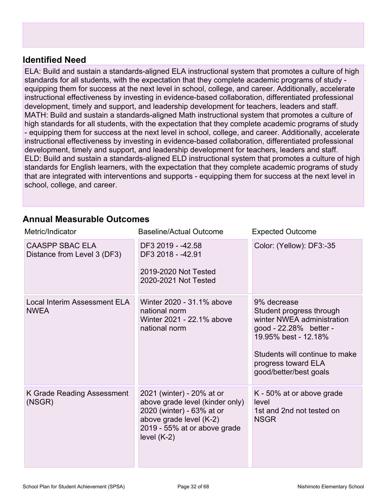### **Identified Need**

ELA: Build and sustain a standards-aligned ELA instructional system that promotes a culture of high standards for all students, with the expectation that they complete academic programs of study equipping them for success at the next level in school, college, and career. Additionally, accelerate instructional effectiveness by investing in evidence-based collaboration, differentiated professional development, timely and support, and leadership development for teachers, leaders and staff. MATH: Build and sustain a standards-aligned Math instructional system that promotes a culture of high standards for all students, with the expectation that they complete academic programs of study - equipping them for success at the next level in school, college, and career. Additionally, accelerate instructional effectiveness by investing in evidence-based collaboration, differentiated professional development, timely and support, and leadership development for teachers, leaders and staff. ELD: Build and sustain a standards-aligned ELD instructional system that promotes a culture of high standards for English learners, with the expectation that they complete academic programs of study that are integrated with interventions and supports - equipping them for success at the next level in school, college, and career.

### **Annual Measurable Outcomes**

| Metric/Indicator                                      | <b>Baseline/Actual Outcome</b>                                                                                                                                        | <b>Expected Outcome</b>                                                                                                                                                                                    |
|-------------------------------------------------------|-----------------------------------------------------------------------------------------------------------------------------------------------------------------------|------------------------------------------------------------------------------------------------------------------------------------------------------------------------------------------------------------|
| <b>CAASPP SBAC ELA</b><br>Distance from Level 3 (DF3) | DF3 2019 - -42.58<br>DF3 2018 - -42.91<br>2019-2020 Not Tested<br>2020-2021 Not Tested                                                                                | Color: (Yellow): DF3:-35                                                                                                                                                                                   |
| Local Interim Assessment ELA<br><b>NWEA</b>           | Winter 2020 - 31.1% above<br>national norm<br>Winter 2021 - 22.1% above<br>national norm                                                                              | 9% decrease<br>Student progress through<br>winter NWEA administration<br>good - 22.28% better -<br>19.95% best - 12.18%<br>Students will continue to make<br>progress toward ELA<br>good/better/best goals |
| K Grade Reading Assessment<br>(NSGR)                  | 2021 (winter) - 20% at or<br>above grade level (kinder only)<br>2020 (winter) - 63% at or<br>above grade level (K-2)<br>2019 - 55% at or above grade<br>level $(K-2)$ | K - 50% at or above grade<br>level<br>1st and 2nd not tested on<br><b>NSGR</b>                                                                                                                             |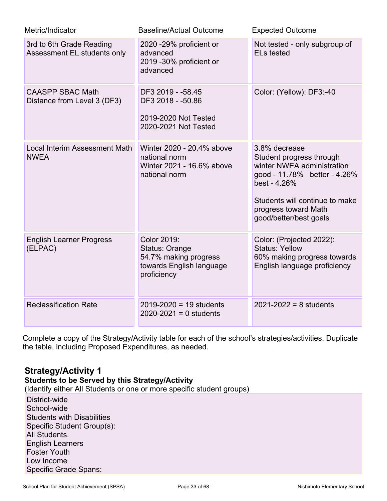| Metric/Indicator                                        | <b>Baseline/Actual Outcome</b>                                                                    | <b>Expected Outcome</b>                                                                                                                                                                                     |
|---------------------------------------------------------|---------------------------------------------------------------------------------------------------|-------------------------------------------------------------------------------------------------------------------------------------------------------------------------------------------------------------|
| 3rd to 6th Grade Reading<br>Assessment EL students only | 2020 - 29% proficient or<br>advanced<br>2019 -30% proficient or<br>advanced                       | Not tested - only subgroup of<br><b>ELs tested</b>                                                                                                                                                          |
| <b>CAASPP SBAC Math</b><br>Distance from Level 3 (DF3)  | DF3 2019 - - 58.45<br>DF3 2018 - -50.86<br>2019-2020 Not Tested<br>2020-2021 Not Tested           | Color: (Yellow): DF3:-40                                                                                                                                                                                    |
| <b>Local Interim Assessment Math</b><br><b>NWEA</b>     | Winter 2020 - 20.4% above<br>national norm<br>Winter 2021 - 16.6% above<br>national norm          | 3.8% decrease<br>Student progress through<br>winter NWEA administration<br>good - 11.78% better - 4.26%<br>best - 4.26%<br>Students will continue to make<br>progress toward Math<br>good/better/best goals |
| <b>English Learner Progress</b><br>(ELPAC)              | Color 2019:<br>Status: Orange<br>54.7% making progress<br>towards English language<br>proficiency | Color: (Projected 2022):<br><b>Status: Yellow</b><br>60% making progress towards<br>English language proficiency                                                                                            |
| <b>Reclassification Rate</b>                            | $2019 - 2020 = 19$ students<br>$2020 - 2021 = 0$ students                                         | $2021 - 2022 = 8$ students                                                                                                                                                                                  |

Complete a copy of the Strategy/Activity table for each of the school's strategies/activities. Duplicate the table, including Proposed Expenditures, as needed.

### **Strategy/Activity 1**

### **Students to be Served by this Strategy/Activity**

(Identify either All Students or one or more specific student groups)

District-wide School-wide Students with Disabilities Specific Student Group(s): All Students. English Learners Foster Youth Low Income Specific Grade Spans: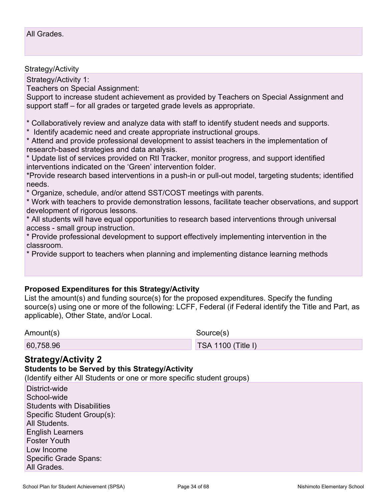#### Strategy/Activity

Strategy/Activity 1:

Teachers on Special Assignment:

Support to increase student achievement as provided by Teachers on Special Assignment and support staff – for all grades or targeted grade levels as appropriate.

\* Collaboratively review and analyze data with staff to identify student needs and supports.

\* Identify academic need and create appropriate instructional groups.

\* Attend and provide professional development to assist teachers in the implementation of research-based strategies and data analysis.

\* Update list of services provided on RtI Tracker, monitor progress, and support identified interventions indicated on the 'Green' intervention folder.

\*Provide research based interventions in a push-in or pull-out model, targeting students; identified needs.

\* Organize, schedule, and/or attend SST/COST meetings with parents.

\* Work with teachers to provide demonstration lessons, facilitate teacher observations, and support development of rigorous lessons.

\* All students will have equal opportunities to research based interventions through universal access - small group instruction.

\* Provide professional development to support effectively implementing intervention in the classroom.

\* Provide support to teachers when planning and implementing distance learning methods

#### **Proposed Expenditures for this Strategy/Activity**

List the amount(s) and funding source(s) for the proposed expenditures. Specify the funding source(s) using one or more of the following: LCFF, Federal (if Federal identify the Title and Part, as applicable), Other State, and/or Local.

Amount(s) Source(s)

60,758.96 TSA 1100 (Title I)

#### **Strategy/Activity 2**

#### **Students to be Served by this Strategy/Activity**

(Identify either All Students or one or more specific student groups)

District-wide School-wide Students with Disabilities Specific Student Group(s): All Students. English Learners Foster Youth Low Income Specific Grade Spans: All Grades.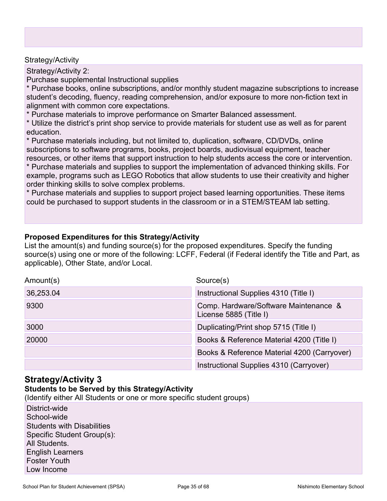#### Strategy/Activity

Strategy/Activity 2:

Purchase supplemental Instructional supplies

\* Purchase books, online subscriptions, and/or monthly student magazine subscriptions to increase student's decoding, fluency, reading comprehension, and/or exposure to more non-fiction text in alignment with common core expectations.

\* Purchase materials to improve performance on Smarter Balanced assessment.

\* Utilize the district's print shop service to provide materials for student use as well as for parent education.

\* Purchase materials including, but not limited to, duplication, software, CD/DVDs, online subscriptions to software programs, books, project boards, audiovisual equipment, teacher resources, or other items that support instruction to help students access the core or intervention.

\* Purchase materials and supplies to support the implementation of advanced thinking skills. For example, programs such as LEGO Robotics that allow students to use their creativity and higher order thinking skills to solve complex problems.

\* Purchase materials and supplies to support project based learning opportunities. These items could be purchased to support students in the classroom or in a STEM/STEAM lab setting.

#### **Proposed Expenditures for this Strategy/Activity**

List the amount(s) and funding source(s) for the proposed expenditures. Specify the funding source(s) using one or more of the following: LCFF, Federal (if Federal identify the Title and Part, as applicable), Other State, and/or Local.

| Amount(s) | Source(s)                                                       |
|-----------|-----------------------------------------------------------------|
| 36,253.04 | Instructional Supplies 4310 (Title I)                           |
| 9300      | Comp. Hardware/Software Maintenance &<br>License 5885 (Title I) |
| 3000      | Duplicating/Print shop 5715 (Title I)                           |
| 20000     | Books & Reference Material 4200 (Title I)                       |
|           | Books & Reference Material 4200 (Carryover)                     |
|           | Instructional Supplies 4310 (Carryover)                         |

### **Strategy/Activity 3**

#### **Students to be Served by this Strategy/Activity**

(Identify either All Students or one or more specific student groups)

District-wide School-wide Students with Disabilities Specific Student Group(s): All Students. English Learners Foster Youth Low Income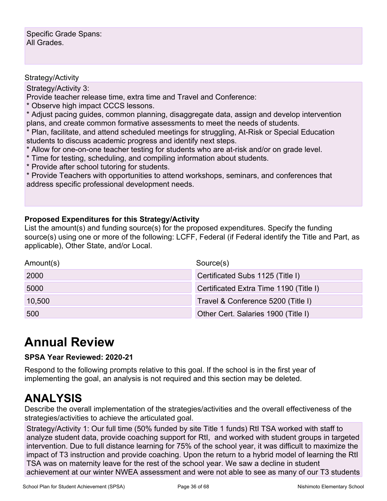Specific Grade Spans: All Grades.

#### Strategy/Activity

Strategy/Activity 3:

Provide teacher release time, extra time and Travel and Conference:

\* Observe high impact CCCS lessons.

\* Adjust pacing guides, common planning, disaggregate data, assign and develop intervention plans, and create common formative assessments to meet the needs of students.

\* Plan, facilitate, and attend scheduled meetings for struggling, At-Risk or Special Education students to discuss academic progress and identify next steps.

\* Allow for one-on-one teacher testing for students who are at-risk and/or on grade level.

- \* Time for testing, scheduling, and compiling information about students.
- \* Provide after school tutoring for students.

\* Provide Teachers with opportunities to attend workshops, seminars, and conferences that address specific professional development needs.

#### **Proposed Expenditures for this Strategy/Activity**

List the amount(s) and funding source(s) for the proposed expenditures. Specify the funding source(s) using one or more of the following: LCFF, Federal (if Federal identify the Title and Part, as applicable), Other State, and/or Local.

| Amount(s) | Source(s)                              |
|-----------|----------------------------------------|
| 2000      | Certificated Subs 1125 (Title I)       |
| 5000      | Certificated Extra Time 1190 (Title I) |
| 10,500    | Travel & Conference 5200 (Title I)     |
| 500       | Other Cert. Salaries 1900 (Title I)    |

## **Annual Review**

#### **SPSA Year Reviewed: 2020-21**

Respond to the following prompts relative to this goal. If the school is in the first year of implementing the goal, an analysis is not required and this section may be deleted.

## **ANALYSIS**

Describe the overall implementation of the strategies/activities and the overall effectiveness of the strategies/activities to achieve the articulated goal.

Strategy/Activity 1: Our full time (50% funded by site Title 1 funds) RtI TSA worked with staff to analyze student data, provide coaching support for RtI, and worked with student groups in targeted intervention. Due to full distance learning for 75% of the school year, it was difficult to maximize the impact of T3 instruction and provide coaching. Upon the return to a hybrid model of learning the RtI TSA was on maternity leave for the rest of the school year. We saw a decline in student achievement at our winter NWEA assessment and were not able to see as many of our T3 students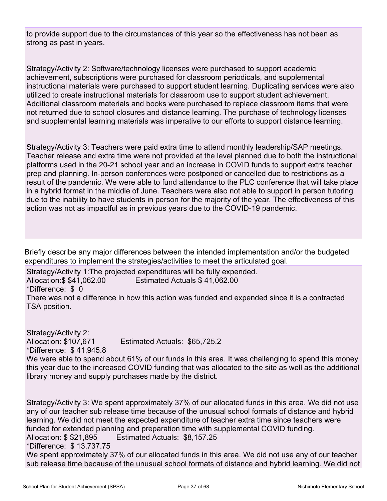to provide support due to the circumstances of this year so the effectiveness has not been as strong as past in years.

Strategy/Activity 2: Software/technology licenses were purchased to support academic achievement, subscriptions were purchased for classroom periodicals, and supplemental instructional materials were purchased to support student learning. Duplicating services were also utilized to create instructional materials for classroom use to support student achievement. Additional classroom materials and books were purchased to replace classroom items that were not returned due to school closures and distance learning. The purchase of technology licenses and supplemental learning materials was imperative to our efforts to support distance learning.

Strategy/Activity 3: Teachers were paid extra time to attend monthly leadership/SAP meetings. Teacher release and extra time were not provided at the level planned due to both the instructional platforms used in the 20-21 school year and an increase in COVID funds to support extra teacher prep and planning. In-person conferences were postponed or cancelled due to restrictions as a result of the pandemic. We were able to fund attendance to the PLC conference that will take place in a hybrid format in the middle of June. Teachers were also not able to support in person tutoring due to the inability to have students in person for the majority of the year. The effectiveness of this action was not as impactful as in previous years due to the COVID-19 pandemic.

Briefly describe any major differences between the intended implementation and/or the budgeted expenditures to implement the strategies/activities to meet the articulated goal.

Strategy/Activity 1:The projected expenditures will be fully expended.

Allocation:\$ \$41,062.00 Estimated Actuals \$ 41,062.00

\*Difference: \$ 0

There was not a difference in how this action was funded and expended since it is a contracted TSA position.

Strategy/Activity 2: Allocation: \$107,671 Estimated Actuals: \$65,725.2 \*Difference: \$ 41,945.8 We were able to spend about 61% of our funds in this area. It was challenging to spend this money this year due to the increased COVID funding that was allocated to the site as well as the additional library money and supply purchases made by the district.

Strategy/Activity 3: We spent approximately 37% of our allocated funds in this area. We did not use any of our teacher sub release time because of the unusual school formats of distance and hybrid learning. We did not meet the expected expenditure of teacher extra time since teachers were funded for extended planning and preparation time with supplemental COVID funding. Allocation: \$ \$21,895 Estimated Actuals: \$8,157.25 \*Difference: \$ 13,737.75 We spent approximately 37% of our allocated funds in this area. We did not use any of our teacher

sub release time because of the unusual school formats of distance and hybrid learning. We did not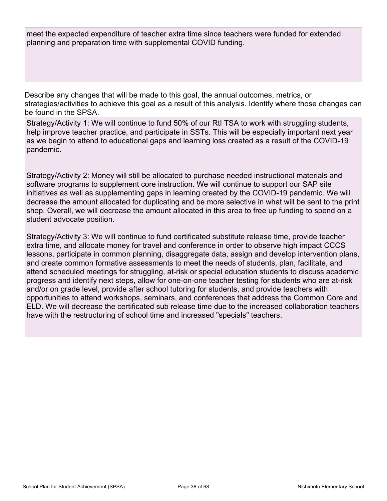meet the expected expenditure of teacher extra time since teachers were funded for extended planning and preparation time with supplemental COVID funding.

Describe any changes that will be made to this goal, the annual outcomes, metrics, or strategies/activities to achieve this goal as a result of this analysis. Identify where those changes can be found in the SPSA.

Strategy/Activity 1: We will continue to fund 50% of our RtI TSA to work with struggling students, help improve teacher practice, and participate in SSTs. This will be especially important next year as we begin to attend to educational gaps and learning loss created as a result of the COVID-19 pandemic.

Strategy/Activity 2: Money will still be allocated to purchase needed instructional materials and software programs to supplement core instruction. We will continue to support our SAP site initiatives as well as supplementing gaps in learning created by the COVID-19 pandemic. We will decrease the amount allocated for duplicating and be more selective in what will be sent to the print shop. Overall, we will decrease the amount allocated in this area to free up funding to spend on a student advocate position.

Strategy/Activity 3: We will continue to fund certificated substitute release time, provide teacher extra time, and allocate money for travel and conference in order to observe high impact CCCS lessons, participate in common planning, disaggregate data, assign and develop intervention plans, and create common formative assessments to meet the needs of students, plan, facilitate, and attend scheduled meetings for struggling, at-risk or special education students to discuss academic progress and identify next steps, allow for one-on-one teacher testing for students who are at-risk and/or on grade level, provide after school tutoring for students, and provide teachers with opportunities to attend workshops, seminars, and conferences that address the Common Core and ELD. We will decrease the certificated sub release time due to the increased collaboration teachers have with the restructuring of school time and increased "specials" teachers.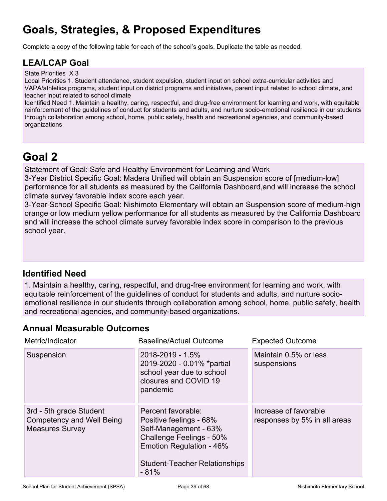# **Goals, Strategies, & Proposed Expenditures**

Complete a copy of the following table for each of the school's goals. Duplicate the table as needed.

### **LEA/LCAP Goal**

State Priorities X 3

Local Priorities 1. Student attendance, student expulsion, student input on school extra-curricular activities and VAPA/athletics programs, student input on district programs and initiatives, parent input related to school climate, and teacher input related to school climate

Identified Need 1. Maintain a healthy, caring, respectful, and drug-free environment for learning and work, with equitable reinforcement of the guidelines of conduct for students and adults, and nurture socio-emotional resilience in our students through collaboration among school, home, public safety, health and recreational agencies, and community-based organizations.

## **Goal 2**

Statement of Goal: Safe and Healthy Environment for Learning and Work

3-Year District Specific Goal: Madera Unified will obtain an Suspension score of [medium-low] performance for all students as measured by the California Dashboard,and will increase the school climate survey favorable index score each year.

3-Year School Specific Goal: Nishimoto Elementary will obtain an Suspension score of medium-high orange or low medium yellow performance for all students as measured by the California Dashboard and will increase the school climate survey favorable index score in comparison to the previous school year.

### **Identified Need**

1. Maintain a healthy, caring, respectful, and drug-free environment for learning and work, with equitable reinforcement of the guidelines of conduct for students and adults, and nurture socioemotional resilience in our students through collaboration among school, home, public safety, health and recreational agencies, and community-based organizations.

### **Annual Measurable Outcomes**

| Metric/Indicator                                                                      | <b>Baseline/Actual Outcome</b>                                                                                                                                                   | <b>Expected Outcome</b>                               |
|---------------------------------------------------------------------------------------|----------------------------------------------------------------------------------------------------------------------------------------------------------------------------------|-------------------------------------------------------|
| Suspension                                                                            | 2018-2019 - 1.5%<br>2019-2020 - 0.01% *partial<br>school year due to school<br>closures and COVID 19<br>pandemic                                                                 | Maintain 0.5% or less<br>suspensions                  |
| 3rd - 5th grade Student<br><b>Competency and Well Being</b><br><b>Measures Survey</b> | Percent favorable:<br>Positive feelings - 68%<br>Self-Management - 63%<br>Challenge Feelings - 50%<br>Emotion Regulation - 46%<br><b>Student-Teacher Relationships</b><br>$-81%$ | Increase of favorable<br>responses by 5% in all areas |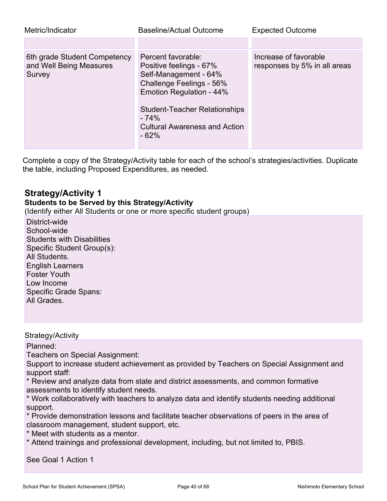| Metric/Indicator                                                  | <b>Baseline/Actual Outcome</b>                                                                                                                                                                                                     | <b>Expected Outcome</b>                               |
|-------------------------------------------------------------------|------------------------------------------------------------------------------------------------------------------------------------------------------------------------------------------------------------------------------------|-------------------------------------------------------|
|                                                                   |                                                                                                                                                                                                                                    |                                                       |
| 6th grade Student Competency<br>and Well Being Measures<br>Survey | Percent favorable:<br>Positive feelings - 67%<br>Self-Management - 64%<br>Challenge Feelings - 56%<br>Emotion Regulation - 44%<br><b>Student-Teacher Relationships</b><br>$-74%$<br><b>Cultural Awareness and Action</b><br>$-62%$ | Increase of favorable<br>responses by 5% in all areas |

Complete a copy of the Strategy/Activity table for each of the school's strategies/activities. Duplicate the table, including Proposed Expenditures, as needed.

### **Strategy/Activity 1**

### **Students to be Served by this Strategy/Activity**

(Identify either All Students or one or more specific student groups)

District-wide School-wide Students with Disabilities Specific Student Group(s): All Students. English Learners Foster Youth Low Income Specific Grade Spans: All Grades.

#### Strategy/Activity

Planned:

Teachers on Special Assignment:

Support to increase student achievement as provided by Teachers on Special Assignment and support staff:

\* Review and analyze data from state and district assessments, and common formative assessments to identify student needs.

\* Work collaboratively with teachers to analyze data and identify students needing additional support.

\* Provide demonstration lessons and facilitate teacher observations of peers in the area of classroom management, student support, etc.

\* Meet with students as a mentor.

\* Attend trainings and professional development, including, but not limited to, PBIS.

See Goal 1 Action 1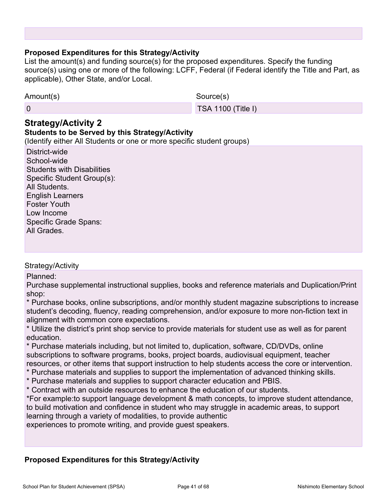#### **Proposed Expenditures for this Strategy/Activity**

List the amount(s) and funding source(s) for the proposed expenditures. Specify the funding source(s) using one or more of the following: LCFF, Federal (if Federal identify the Title and Part, as applicable), Other State, and/or Local.

| Amount(s) | Source(s)                 |
|-----------|---------------------------|
|           | <b>TSA 1100 (Title I)</b> |

### **Strategy/Activity 2**

### **Students to be Served by this Strategy/Activity**

(Identify either All Students or one or more specific student groups)

| District-wide                     |
|-----------------------------------|
| School-wide                       |
| <b>Students with Disabilities</b> |
| Specific Student Group(s):        |
| All Students.                     |
| <b>English Learners</b>           |
| <b>Foster Youth</b>               |
| Low Income                        |
| <b>Specific Grade Spans:</b>      |
| All Grades.                       |

#### Strategy/Activity

Planned:

Purchase supplemental instructional supplies, books and reference materials and Duplication/Print shop:

\* Purchase books, online subscriptions, and/or monthly student magazine subscriptions to increase student's decoding, fluency, reading comprehension, and/or exposure to more non-fiction text in alignment with common core expectations.

\* Utilize the district's print shop service to provide materials for student use as well as for parent education.

\* Purchase materials including, but not limited to, duplication, software, CD/DVDs, online subscriptions to software programs, books, project boards, audiovisual equipment, teacher resources, or other items that support instruction to help students access the core or intervention.

- \* Purchase materials and supplies to support the implementation of advanced thinking skills.
- \* Purchase materials and supplies to support character education and PBIS.
- \* Contract with an outside resources to enhance the education of our students.

\*For example:to support language development & math concepts, to improve student attendance, to build motivation and confidence in student who may struggle in academic areas, to support learning through a variety of modalities, to provide authentic

experiences to promote writing, and provide guest speakers.

#### **Proposed Expenditures for this Strategy/Activity**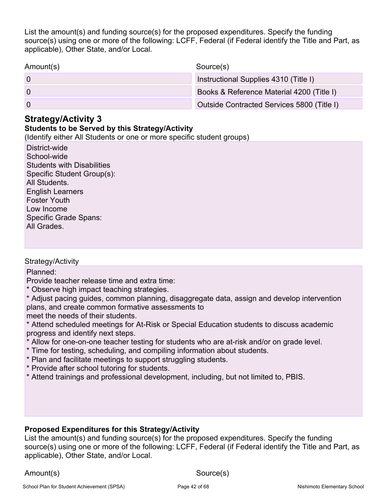List the amount(s) and funding source(s) for the proposed expenditures. Specify the funding source(s) using one or more of the following: LCFF, Federal (if Federal identify the Title and Part, as applicable), Other State, and/or Local.

Amount(s) Source(s)

0 Instructional Supplies 4310 (Title I)

0 Books & Reference Material 4200 (Title I)

0 Outside Contracted Services 5800 (Title I)

### **Strategy/Activity 3**

### **Students to be Served by this Strategy/Activity**

(Identify either All Students or one or more specific student groups)

District-wide School-wide Students with Disabilities Specific Student Group(s): All Students. English Learners Foster Youth Low Income Specific Grade Spans: All Grades.

#### Strategy/Activity

Planned:

Provide teacher release time and extra time:

\* Observe high impact teaching strategies.

\* Adjust pacing guides, common planning, disaggregate data, assign and develop intervention plans, and create common formative assessments to

meet the needs of their students.

\* Attend scheduled meetings for At-Risk or Special Education students to discuss academic progress and identify next steps.

- \* Allow for one-on-one teacher testing for students who are at-risk and/or on grade level.
- \* Time for testing, scheduling, and compiling information about students.
- \* Plan and facilitate meetings to support struggling students.
- \* Provide after school tutoring for students.
- \* Attend trainings and professional development, including, but not limited to, PBIS.

### **Proposed Expenditures for this Strategy/Activity**

List the amount(s) and funding source(s) for the proposed expenditures. Specify the funding source(s) using one or more of the following: LCFF, Federal (if Federal identify the Title and Part, as applicable), Other State, and/or Local.

Amount(s) Source(s)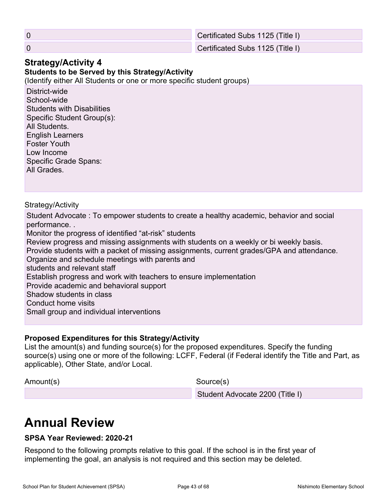0 Certificated Subs 1125 (Title I)

0 Certificated Subs 1125 (Title I)

### **Strategy/Activity 4**

**Students to be Served by this Strategy/Activity**

(Identify either All Students or one or more specific student groups)

District-wide School-wide Students with Disabilities Specific Student Group(s): All Students. English Learners Foster Youth Low Income Specific Grade Spans: All Grades.

### Strategy/Activity

Student Advocate : To empower students to create a healthy academic, behavior and social performance. . Monitor the progress of identified "at-risk" students Review progress and missing assignments with students on a weekly or bi weekly basis. Provide students with a packet of missing assignments, current grades/GPA and attendance. Organize and schedule meetings with parents and students and relevant staff Establish progress and work with teachers to ensure implementation Provide academic and behavioral support Shadow students in class Conduct home visits Small group and individual interventions

### **Proposed Expenditures for this Strategy/Activity**

List the amount(s) and funding source(s) for the proposed expenditures. Specify the funding source(s) using one or more of the following: LCFF, Federal (if Federal identify the Title and Part, as applicable), Other State, and/or Local.

Amount(s) Source(s)

Student Advocate 2200 (Title I)

# **Annual Review**

### **SPSA Year Reviewed: 2020-21**

Respond to the following prompts relative to this goal. If the school is in the first year of implementing the goal, an analysis is not required and this section may be deleted.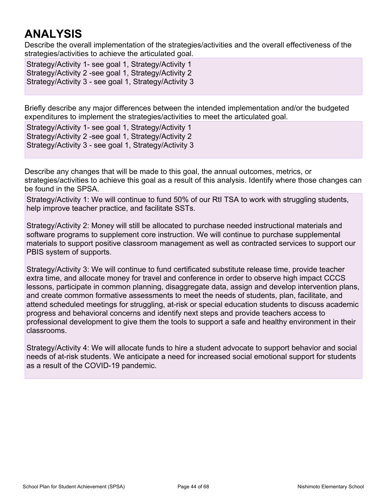# **ANALYSIS**

Describe the overall implementation of the strategies/activities and the overall effectiveness of the strategies/activities to achieve the articulated goal.

Strategy/Activity 1- see goal 1, Strategy/Activity 1 Strategy/Activity 2 -see goal 1, Strategy/Activity 2 Strategy/Activity 3 - see goal 1, Strategy/Activity 3

Briefly describe any major differences between the intended implementation and/or the budgeted expenditures to implement the strategies/activities to meet the articulated goal.

Strategy/Activity 1- see goal 1, Strategy/Activity 1 Strategy/Activity 2 -see goal 1, Strategy/Activity 2 Strategy/Activity 3 - see goal 1, Strategy/Activity 3

Describe any changes that will be made to this goal, the annual outcomes, metrics, or strategies/activities to achieve this goal as a result of this analysis. Identify where those changes can be found in the SPSA.

Strategy/Activity 1: We will continue to fund 50% of our RtI TSA to work with struggling students, help improve teacher practice, and facilitate SSTs.

Strategy/Activity 2: Money will still be allocated to purchase needed instructional materials and software programs to supplement core instruction. We will continue to purchase supplemental materials to support positive classroom management as well as contracted services to support our PBIS system of supports.

Strategy/Activity 3: We will continue to fund certificated substitute release time, provide teacher extra time, and allocate money for travel and conference in order to observe high impact CCCS lessons, participate in common planning, disaggregate data, assign and develop intervention plans, and create common formative assessments to meet the needs of students, plan, facilitate, and attend scheduled meetings for struggling, at-risk or special education students to discuss academic progress and behavioral concerns and identify next steps and provide teachers access to professional development to give them the tools to support a safe and healthy environment in their classrooms.

Strategy/Activity 4: We will allocate funds to hire a student advocate to support behavior and social needs of at-risk students. We anticipate a need for increased social emotional support for students as a result of the COVID-19 pandemic.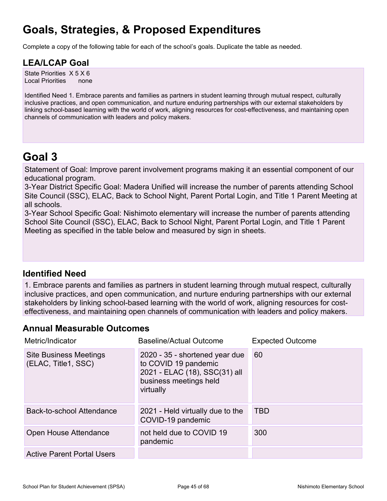# **Goals, Strategies, & Proposed Expenditures**

Complete a copy of the following table for each of the school's goals. Duplicate the table as needed.

### **LEA/LCAP Goal**

State Priorities X 5 X 6 Local Priorities none

Identified Need 1. Embrace parents and families as partners in student learning through mutual respect, culturally inclusive practices, and open communication, and nurture enduring partnerships with our external stakeholders by linking school-based learning with the world of work, aligning resources for cost-effectiveness, and maintaining open channels of communication with leaders and policy makers.

### **Goal 3**

Statement of Goal: Improve parent involvement programs making it an essential component of our educational program.

3-Year District Specific Goal: Madera Unified will increase the number of parents attending School Site Council (SSC), ELAC, Back to School Night, Parent Portal Login, and Title 1 Parent Meeting at all schools.

3-Year School Specific Goal: Nishimoto elementary will increase the number of parents attending School Site Council (SSC), ELAC, Back to School Night, Parent Portal Login, and Title 1 Parent Meeting as specified in the table below and measured by sign in sheets.

### **Identified Need**

1. Embrace parents and families as partners in student learning through mutual respect, culturally inclusive practices, and open communication, and nurture enduring partnerships with our external stakeholders by linking school-based learning with the world of work, aligning resources for costeffectiveness, and maintaining open channels of communication with leaders and policy makers.

### **Annual Measurable Outcomes**

| Metric/Indicator                                     | <b>Baseline/Actual Outcome</b>                                                                                                 | <b>Expected Outcome</b> |
|------------------------------------------------------|--------------------------------------------------------------------------------------------------------------------------------|-------------------------|
| <b>Site Business Meetings</b><br>(ELAC, Title1, SSC) | 2020 - 35 - shortened year due<br>to COVID 19 pandemic<br>2021 - ELAC (18), SSC(31) all<br>business meetings held<br>virtually | 60                      |
| Back-to-school Attendance                            | 2021 - Held virtually due to the<br>COVID-19 pandemic                                                                          | <b>TBD</b>              |
| Open House Attendance                                | not held due to COVID 19<br>pandemic                                                                                           | 300                     |
| <b>Active Parent Portal Users</b>                    |                                                                                                                                |                         |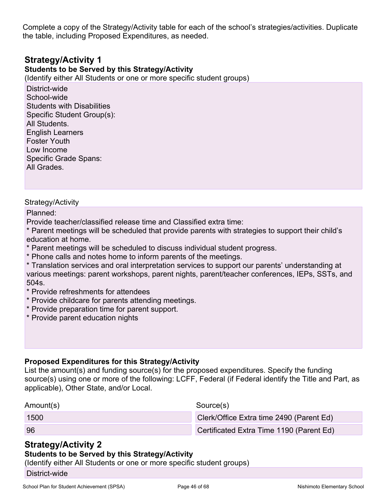Complete a copy of the Strategy/Activity table for each of the school's strategies/activities. Duplicate the table, including Proposed Expenditures, as needed.

### **Strategy/Activity 1**

### **Students to be Served by this Strategy/Activity**

(Identify either All Students or one or more specific student groups)

District-wide School-wide Students with Disabilities Specific Student Group(s): All Students. English Learners Foster Youth Low Income Specific Grade Spans: All Grades.

#### Strategy/Activity

Planned:

Provide teacher/classified release time and Classified extra time:

\* Parent meetings will be scheduled that provide parents with strategies to support their child's education at home.

- \* Parent meetings will be scheduled to discuss individual student progress.
- \* Phone calls and notes home to inform parents of the meetings.

\* Translation services and oral interpretation services to support our parents' understanding at various meetings: parent workshops, parent nights, parent/teacher conferences, IEPs, SSTs, and 504s.

- \* Provide refreshments for attendees
- \* Provide childcare for parents attending meetings.
- \* Provide preparation time for parent support.
- \* Provide parent education nights

#### **Proposed Expenditures for this Strategy/Activity**

List the amount(s) and funding source(s) for the proposed expenditures. Specify the funding source(s) using one or more of the following: LCFF, Federal (if Federal identify the Title and Part, as applicable), Other State, and/or Local.

| Amount(s) | Source(s)                                |
|-----------|------------------------------------------|
| 1500      | Clerk/Office Extra time 2490 (Parent Ed) |
| 96        | Certificated Extra Time 1190 (Parent Ed) |

### **Strategy/Activity 2**

#### **Students to be Served by this Strategy/Activity**

(Identify either All Students or one or more specific student groups)

District-wide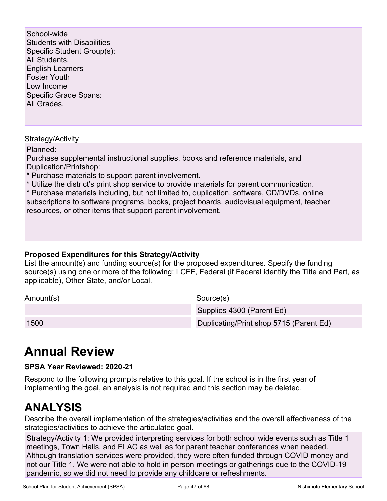School-wide Students with Disabilities Specific Student Group(s): All Students. English Learners Foster Youth Low Income Specific Grade Spans: All Grades.

#### Strategy/Activity

Planned:

Purchase supplemental instructional supplies, books and reference materials, and Duplication/Printshop:

- \* Purchase materials to support parent involvement.
- \* Utilize the district's print shop service to provide materials for parent communication.

\* Purchase materials including, but not limited to, duplication, software, CD/DVDs, online subscriptions to software programs, books, project boards, audiovisual equipment, teacher resources, or other items that support parent involvement.

#### **Proposed Expenditures for this Strategy/Activity**

List the amount(s) and funding source(s) for the proposed expenditures. Specify the funding source(s) using one or more of the following: LCFF, Federal (if Federal identify the Title and Part, as applicable), Other State, and/or Local.

| Amount(s) | Source(s)                               |
|-----------|-----------------------------------------|
|           | Supplies 4300 (Parent Ed)               |
| 1500      | Duplicating/Print shop 5715 (Parent Ed) |

# **Annual Review**

#### **SPSA Year Reviewed: 2020-21**

Respond to the following prompts relative to this goal. If the school is in the first year of implementing the goal, an analysis is not required and this section may be deleted.

### **ANALYSIS**

Describe the overall implementation of the strategies/activities and the overall effectiveness of the strategies/activities to achieve the articulated goal.

Strategy/Activity 1: We provided interpreting services for both school wide events such as Title 1 meetings, Town Halls, and ELAC as well as for parent teacher conferences when needed. Although translation services were provided, they were often funded through COVID money and not our Title 1. We were not able to hold in person meetings or gatherings due to the COVID-19 pandemic, so we did not need to provide any childcare or refreshments.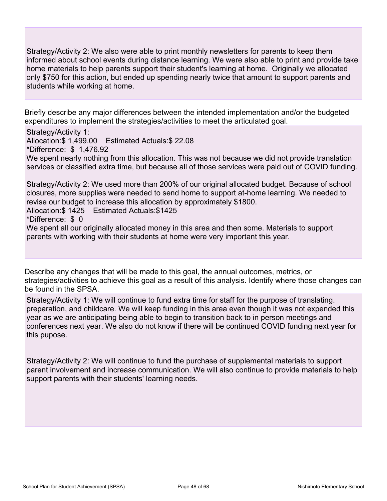Strategy/Activity 2: We also were able to print monthly newsletters for parents to keep them informed about school events during distance learning. We were also able to print and provide take home materials to help parents support their student's learning at home. Originally we allocated only \$750 for this action, but ended up spending nearly twice that amount to support parents and students while working at home.

Briefly describe any major differences between the intended implementation and/or the budgeted expenditures to implement the strategies/activities to meet the articulated goal.

Strategy/Activity 1: Allocation:\$ 1,499.00 Estimated Actuals:\$ 22.08 \*Difference: \$ 1,476.92 We spent nearly nothing from this allocation. This was not because we did not provide translation services or classified extra time, but because all of those services were paid out of COVID funding.

Strategy/Activity 2: We used more than 200% of our original allocated budget. Because of school closures, more supplies were needed to send home to support at-home learning. We needed to revise our budget to increase this allocation by approximately \$1800. Allocation:\$ 1425 Estimated Actuals:\$1425 \*Difference: \$ 0

We spent all our originally allocated money in this area and then some. Materials to support parents with working with their students at home were very important this year.

Describe any changes that will be made to this goal, the annual outcomes, metrics, or strategies/activities to achieve this goal as a result of this analysis. Identify where those changes can be found in the SPSA.

Strategy/Activity 1: We will continue to fund extra time for staff for the purpose of translating. preparation, and childcare. We will keep funding in this area even though it was not expended this year as we are anticipating being able to begin to transition back to in person meetings and conferences next year. We also do not know if there will be continued COVID funding next year for this pupose.

Strategy/Activity 2: We will continue to fund the purchase of supplemental materials to support parent involvement and increase communication. We will also continue to provide materials to help support parents with their students' learning needs.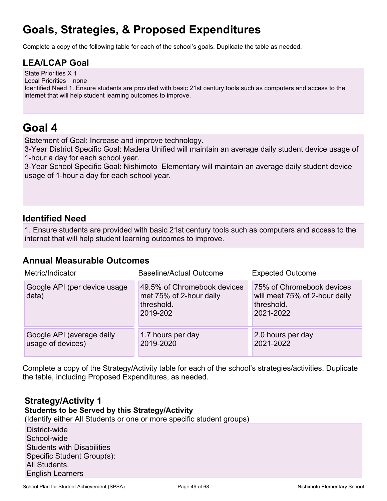# **Goals, Strategies, & Proposed Expenditures**

Complete a copy of the following table for each of the school's goals. Duplicate the table as needed.

### **LEA/LCAP Goal**

State Priorities X 1 Local Priorities none

Identified Need 1. Ensure students are provided with basic 21st century tools such as computers and access to the internet that will help student learning outcomes to improve.

### **Goal 4**

Statement of Goal: Increase and improve technology.

3-Year District Specific Goal: Madera Unified will maintain an average daily student device usage of 1-hour a day for each school year.

3-Year School Specific Goal: Nishimoto Elementary will maintain an average daily student device usage of 1-hour a day for each school year.

### **Identified Need**

1. Ensure students are provided with basic 21st century tools such as computers and access to the internet that will help student learning outcomes to improve.

### **Annual Measurable Outcomes**

| Metric/Indicator                               | Baseline/Actual Outcome                                                          | <b>Expected Outcome</b>                                                               |
|------------------------------------------------|----------------------------------------------------------------------------------|---------------------------------------------------------------------------------------|
| Google API (per device usage<br>data)          | 49.5% of Chromebook devices<br>met 75% of 2-hour daily<br>threshold.<br>2019-202 | 75% of Chromebook devices<br>will meet 75% of 2-hour daily<br>threshold.<br>2021-2022 |
| Google API (average daily<br>usage of devices) | 1.7 hours per day<br>2019-2020                                                   | 2.0 hours per day<br>2021-2022                                                        |

Complete a copy of the Strategy/Activity table for each of the school's strategies/activities. Duplicate the table, including Proposed Expenditures, as needed.

### **Strategy/Activity 1**

**Students to be Served by this Strategy/Activity**

(Identify either All Students or one or more specific student groups)

District-wide School-wide Students with Disabilities Specific Student Group(s): All Students. English Learners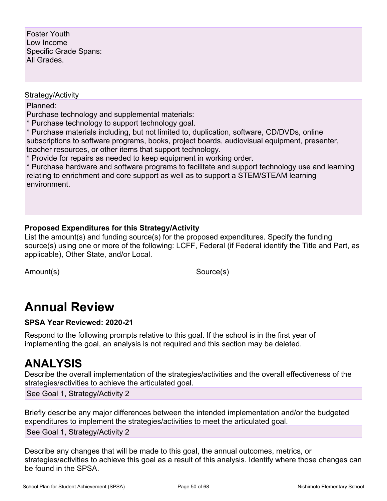Foster Youth Low Income Specific Grade Spans: All Grades.

#### Strategy/Activity

Planned:

Purchase technology and supplemental materials:

\* Purchase technology to support technology goal.

\* Purchase materials including, but not limited to, duplication, software, CD/DVDs, online subscriptions to software programs, books, project boards, audiovisual equipment, presenter, teacher resources, or other items that support technology.

\* Provide for repairs as needed to keep equipment in working order.

\* Purchase hardware and software programs to facilitate and support technology use and learning relating to enrichment and core support as well as to support a STEM/STEAM learning environment.

### **Proposed Expenditures for this Strategy/Activity**

List the amount(s) and funding source(s) for the proposed expenditures. Specify the funding source(s) using one or more of the following: LCFF, Federal (if Federal identify the Title and Part, as applicable), Other State, and/or Local.

Amount(s) Source(s)

# **Annual Review**

#### **SPSA Year Reviewed: 2020-21**

Respond to the following prompts relative to this goal. If the school is in the first year of implementing the goal, an analysis is not required and this section may be deleted.

### **ANALYSIS**

Describe the overall implementation of the strategies/activities and the overall effectiveness of the strategies/activities to achieve the articulated goal.

See Goal 1, Strategy/Activity 2

Briefly describe any major differences between the intended implementation and/or the budgeted expenditures to implement the strategies/activities to meet the articulated goal. See Goal 1, Strategy/Activity 2

Describe any changes that will be made to this goal, the annual outcomes, metrics, or strategies/activities to achieve this goal as a result of this analysis. Identify where those changes can be found in the SPSA.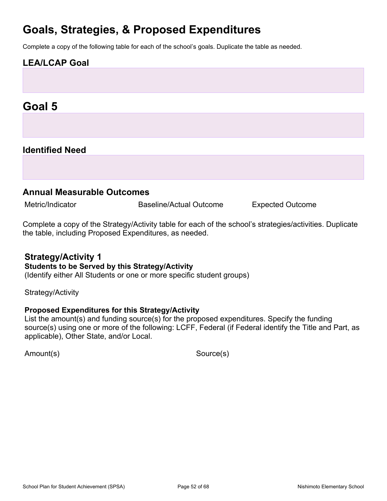# **Goals, Strategies, & Proposed Expenditures**

Complete a copy of the following table for each of the school's goals. Duplicate the table as needed.

### **LEA/LCAP Goal**

### **Goal 5**

### **Identified Need**

### **Annual Measurable Outcomes**

Metric/Indicator **Baseline/Actual Outcome** Expected Outcome

Complete a copy of the Strategy/Activity table for each of the school's strategies/activities. Duplicate the table, including Proposed Expenditures, as needed.

### **Strategy/Activity 1**

#### **Students to be Served by this Strategy/Activity**

(Identify either All Students or one or more specific student groups)

Strategy/Activity

#### **Proposed Expenditures for this Strategy/Activity**

List the amount(s) and funding source(s) for the proposed expenditures. Specify the funding source(s) using one or more of the following: LCFF, Federal (if Federal identify the Title and Part, as applicable), Other State, and/or Local.

Amount(s) Source(s)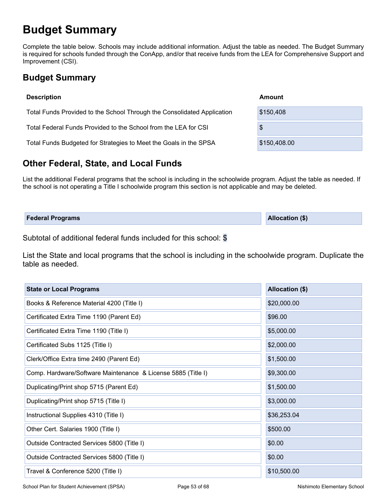# **Budget Summary**

Complete the table below. Schools may include additional information. Adjust the table as needed. The Budget Summary is required for schools funded through the ConApp, and/or that receive funds from the LEA for Comprehensive Support and Improvement (CSI).

### **Budget Summary**

| <b>Description</b>                                                      | Amount       |
|-------------------------------------------------------------------------|--------------|
| Total Funds Provided to the School Through the Consolidated Application | \$150,408    |
| Total Federal Funds Provided to the School from the LEA for CSI         | \$           |
| Total Funds Budgeted for Strategies to Meet the Goals in the SPSA       | \$150,408.00 |

### **Other Federal, State, and Local Funds**

List the additional Federal programs that the school is including in the schoolwide program. Adjust the table as needed. If the school is not operating a Title I schoolwide program this section is not applicable and may be deleted.

| <b>Allocation (\$)</b><br><b>Federal Programs</b> |
|---------------------------------------------------|
|                                                   |

Subtotal of additional federal funds included for this school: \$

List the State and local programs that the school is including in the schoolwide program. Duplicate the table as needed.

| <b>State or Local Programs</b>                               | Allocation (\$) |
|--------------------------------------------------------------|-----------------|
| Books & Reference Material 4200 (Title I)                    | \$20,000.00     |
| Certificated Extra Time 1190 (Parent Ed)                     | \$96.00         |
| Certificated Extra Time 1190 (Title I)                       | \$5,000.00      |
| Certificated Subs 1125 (Title I)                             | \$2,000.00      |
| Clerk/Office Extra time 2490 (Parent Ed)                     | \$1,500.00      |
| Comp. Hardware/Software Maintenance & License 5885 (Title I) | \$9,300.00      |
| Duplicating/Print shop 5715 (Parent Ed)                      | \$1,500.00      |
| Duplicating/Print shop 5715 (Title I)                        | \$3,000.00      |
| Instructional Supplies 4310 (Title I)                        | \$36,253.04     |
| Other Cert. Salaries 1900 (Title I)                          | \$500.00        |
| Outside Contracted Services 5800 (Title I)                   | \$0.00          |
| Outside Contracted Services 5800 (Title I)                   | \$0.00          |
| Travel & Conference 5200 (Title I)                           | \$10,500.00     |

School Plan for Student Achievement (SPSA) Page 53 of 68 Nishimoto Elementary School Plan for Student Achievement (SPSA)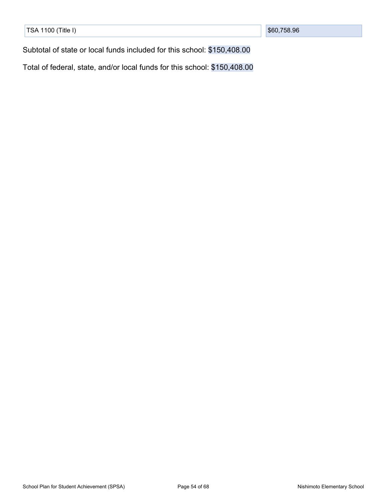|  |  | TSA 1100 (Title I) |  |
|--|--|--------------------|--|
|--|--|--------------------|--|

Subtotal of state or local funds included for this school: \$150,408.00

Total of federal, state, and/or local funds for this school: \$150,408.00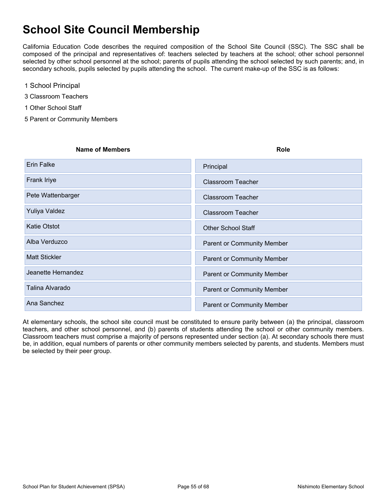# **School Site Council Membership**

California Education Code describes the required composition of the School Site Council (SSC). The SSC shall be composed of the principal and representatives of: teachers selected by teachers at the school; other school personnel selected by other school personnel at the school; parents of pupils attending the school selected by such parents; and, in secondary schools, pupils selected by pupils attending the school. The current make-up of the SSC is as follows:

- 1 School Principal
- 3 Classroom Teachers
- 1 Other School Staff
- 5 Parent or Community Members

# **Name of Members Role** Erin Falke XPrincipal Accords Accords Accords Accords Accords Accords Accords Accords Accords Accords Accords Accords Accords Accords Accords Accords Accords Accords Accords Accords Accords Accords Accords Accords Accords Frank Iriye XClassroom Teacher XClassroom Teacher Pete Wattenbarger XClassroom Teacher Yuliya Valdez XClassroom Teacher Katie Otstot XOTher School Staff Alba Verduzco XParent or Community Member Matt Stickler XParent or Community Member Jeanette Hernandez **XParent or Community Member** Talina Alvarado XParent or Community Member Ana Sanchez XParent or Community Member

At elementary schools, the school site council must be constituted to ensure parity between (a) the principal, classroom teachers, and other school personnel, and (b) parents of students attending the school or other community members. Classroom teachers must comprise a majority of persons represented under section (a). At secondary schools there must be, in addition, equal numbers of parents or other community members selected by parents, and students. Members must be selected by their peer group.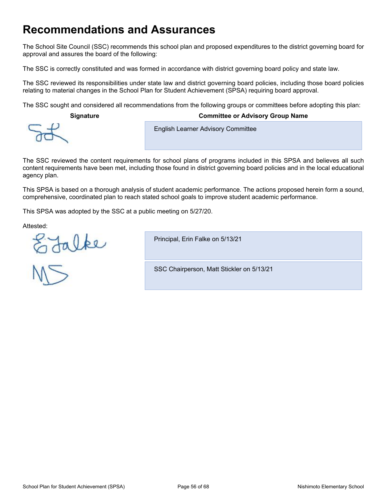### **Recommendations and Assurances**

The School Site Council (SSC) recommends this school plan and proposed expenditures to the district governing board for approval and assures the board of the following:

The SSC is correctly constituted and was formed in accordance with district governing board policy and state law.

The SSC reviewed its responsibilities under state law and district governing board policies, including those board policies relating to material changes in the School Plan for Student Achievement (SPSA) requiring board approval.

The SSC sought and considered all recommendations from the following groups or committees before adopting this plan:

**Signature Committee or Advisory Group Name**

**English Learner Advisory Committee** 

The SSC reviewed the content requirements for school plans of programs included in this SPSA and believes all such content requirements have been met, including those found in district governing board policies and in the local educational agency plan.

This SPSA is based on a thorough analysis of student academic performance. The actions proposed herein form a sound, comprehensive, coordinated plan to reach stated school goals to improve student academic performance.

This SPSA was adopted by the SSC at a public meeting on 5/27/20.

Attested:

E Jalke



Principal, Erin Falke on 5/13/21

SSC Chairperson, Matt Stickler on 5/13/21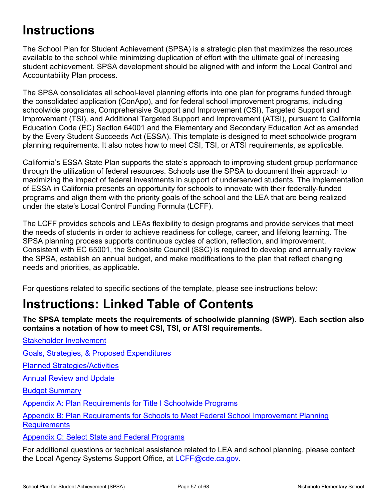# **Instructions**

The School Plan for Student Achievement (SPSA) is a strategic plan that maximizes the resources available to the school while minimizing duplication of effort with the ultimate goal of increasing student achievement. SPSA development should be aligned with and inform the Local Control and Accountability Plan process.

The SPSA consolidates all school-level planning efforts into one plan for programs funded through the consolidated application (ConApp), and for federal school improvement programs, including schoolwide programs, Comprehensive Support and Improvement (CSI), Targeted Support and Improvement (TSI), and Additional Targeted Support and Improvement (ATSI), pursuant to California Education Code (EC) Section 64001 and the Elementary and Secondary Education Act as amended by the Every Student Succeeds Act (ESSA). This template is designed to meet schoolwide program planning requirements. It also notes how to meet CSI, TSI, or ATSI requirements, as applicable.

California's ESSA State Plan supports the state's approach to improving student group performance through the utilization of federal resources. Schools use the SPSA to document their approach to maximizing the impact of federal investments in support of underserved students. The implementation of ESSA in California presents an opportunity for schools to innovate with their federally-funded programs and align them with the priority goals of the school and the LEA that are being realized under the state's Local Control Funding Formula (LCFF).

The LCFF provides schools and LEAs flexibility to design programs and provide services that meet the needs of students in order to achieve readiness for college, career, and lifelong learning. The SPSA planning process supports continuous cycles of action, reflection, and improvement. Consistent with EC 65001, the Schoolsite Council (SSC) is required to develop and annually review the SPSA, establish an annual budget, and make modifications to the plan that reflect changing needs and priorities, as applicable.

For questions related to specific sections of the template, please see instructions below:

# **Instructions: Linked Table of Contents**

**The SPSA template meets the requirements of schoolwide planning (SWP). Each section also contains a notation of how to meet CSI, TSI, or ATSI requirements.**

Stakeholder [Involvement](#page-57-0)

Goals, Strategies, & Proposed [Expenditures](#page-58-0)

Planned [Strategies/Activities](#page-58-1)

Annual [Review](#page-59-0) and Update

Budget [Summary](#page-60-0)

Appendix A: Plan [Requirements](#page-62-0) for Title I Schoolwide Programs

Appendix B: Plan [Requirements](#page-65-0) for Schools to Meet Federal School Improvement Planning **[Requirements](#page-65-0)** 

Appendix C: Select State and Federal [Programs](#page-67-0)

For additional questions or technical assistance related to LEA and school planning, please contact the Local Agency Systems Support Office, at [LCFF@cde.ca.gov.](mailto:LCFF@cde.ca.gov)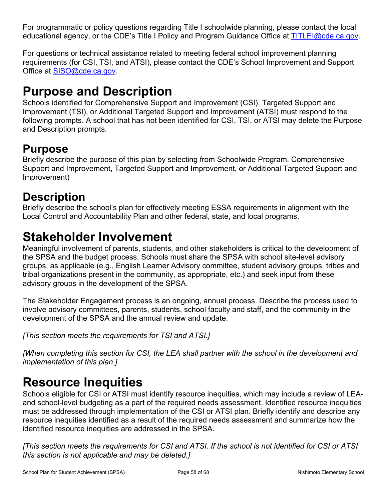For programmatic or policy questions regarding Title I schoolwide planning, please contact the local educational agency, or the CDE's Title I Policy and Program Guidance Office at [TITLEI@cde.ca.gov](mailto:TITLEI@cde.ca.gov).

For questions or technical assistance related to meeting federal school improvement planning requirements (for CSI, TSI, and ATSI), please contact the CDE's School Improvement and Support Office at [SISO@cde.ca.gov.](mailto:SISO@cde.ca.gov)

# **Purpose and Description**

Schools identified for Comprehensive Support and Improvement (CSI), Targeted Support and Improvement (TSI), or Additional Targeted Support and Improvement (ATSI) must respond to the following prompts. A school that has not been identified for CSI, TSI, or ATSI may delete the Purpose and Description prompts.

### **Purpose**

Briefly describe the purpose of this plan by selecting from Schoolwide Program, Comprehensive Support and Improvement, Targeted Support and Improvement, or Additional Targeted Support and Improvement)

## **Description**

Briefly describe the school's plan for effectively meeting ESSA requirements in alignment with the Local Control and Accountability Plan and other federal, state, and local programs.

# <span id="page-57-0"></span>**Stakeholder Involvement**

Meaningful involvement of parents, students, and other stakeholders is critical to the development of the SPSA and the budget process. Schools must share the SPSA with school site-level advisory groups, as applicable (e.g., English Learner Advisory committee, student advisory groups, tribes and tribal organizations present in the community, as appropriate, etc.) and seek input from these advisory groups in the development of the SPSA.

The Stakeholder Engagement process is an ongoing, annual process. Describe the process used to involve advisory committees, parents, students, school faculty and staff, and the community in the development of the SPSA and the annual review and update.

*[This section meets the requirements for TSI and ATSI.]*

*[When completing this section for CSI, the LEA shall partner with the school in the development and implementation of this plan.]*

# **Resource Inequities**

Schools eligible for CSI or ATSI must identify resource inequities, which may include a review of LEAand school-level budgeting as a part of the required needs assessment. Identified resource inequities must be addressed through implementation of the CSI or ATSI plan. Briefly identify and describe any resource inequities identified as a result of the required needs assessment and summarize how the identified resource inequities are addressed in the SPSA.

[This section meets the requirements for CSI and ATSI. If the school is not identified for CSI or ATSI *this section is not applicable and may be deleted.]*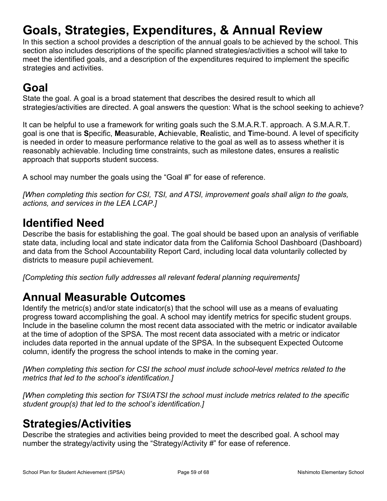# <span id="page-58-0"></span>**Goals, Strategies, Expenditures, & Annual Review**

In this section a school provides a description of the annual goals to be achieved by the school. This section also includes descriptions of the specific planned strategies/activities a school will take to meet the identified goals, and a description of the expenditures required to implement the specific strategies and activities.

# **Goal**

State the goal. A goal is a broad statement that describes the desired result to which all strategies/activities are directed. A goal answers the question: What is the school seeking to achieve?

It can be helpful to use a framework for writing goals such the S.M.A.R.T. approach. A S.M.A.R.T. goal is one that is **S**pecific, **M**easurable, **A**chievable, **R**ealistic, and **T**ime-bound. A level of specificity is needed in order to measure performance relative to the goal as well as to assess whether it is reasonably achievable. Including time constraints, such as milestone dates, ensures a realistic approach that supports student success.

A school may number the goals using the "Goal #" for ease of reference.

*[When completing this section for CSI, TSI, and ATSI, improvement goals shall align to the goals, actions, and services in the LEA LCAP.]*

### **Identified Need**

Describe the basis for establishing the goal. The goal should be based upon an analysis of verifiable state data, including local and state indicator data from the California School Dashboard (Dashboard) and data from the School Accountability Report Card, including local data voluntarily collected by districts to measure pupil achievement.

*[Completing this section fully addresses all relevant federal planning requirements]*

### **Annual Measurable Outcomes**

Identify the metric(s) and/or state indicator(s) that the school will use as a means of evaluating progress toward accomplishing the goal. A school may identify metrics for specific student groups. Include in the baseline column the most recent data associated with the metric or indicator available at the time of adoption of the SPSA. The most recent data associated with a metric or indicator includes data reported in the annual update of the SPSA. In the subsequent Expected Outcome column, identify the progress the school intends to make in the coming year.

*[When completing this section for CSI the school must include school-level metrics related to the metrics that led to the school's identification.]*

*[When completing this section for TSI/ATSI the school must include metrics related to the specific student group(s) that led to the school's identification.]*

### <span id="page-58-1"></span>**Strategies/Activities**

Describe the strategies and activities being provided to meet the described goal. A school may number the strategy/activity using the "Strategy/Activity #" for ease of reference.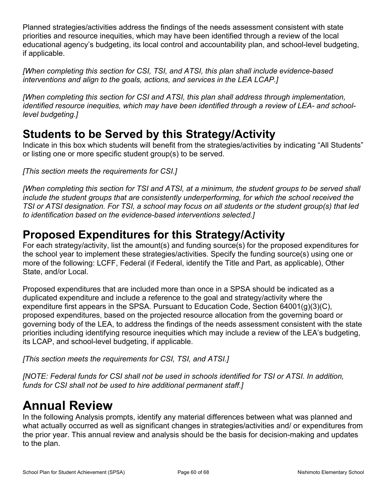Planned strategies/activities address the findings of the needs assessment consistent with state priorities and resource inequities, which may have been identified through a review of the local educational agency's budgeting, its local control and accountability plan, and school-level budgeting, if applicable.

*[When completing this section for CSI, TSI, and ATSI, this plan shall include evidence-based interventions and align to the goals, actions, and services in the LEA LCAP.]*

*[When completing this section for CSI and ATSI, this plan shall address through implementation, identified resource inequities, which may have been identified through a review of LEA- and schoollevel budgeting.]*

### **Students to be Served by this Strategy/Activity**

Indicate in this box which students will benefit from the strategies/activities by indicating "All Students" or listing one or more specific student group(s) to be served.

*[This section meets the requirements for CSI.]*

[When completing this section for TSI and ATSI, at a minimum, the student groups to be served shall *include the student groups that are consistently underperforming, for which the school received the* TSI or ATSI designation. For TSI, a school may focus on all students or the student group(s) that led *to identification based on the evidence-based interventions selected.]*

### **Proposed Expenditures for this Strategy/Activity**

For each strategy/activity, list the amount(s) and funding source(s) for the proposed expenditures for the school year to implement these strategies/activities. Specify the funding source(s) using one or more of the following: LCFF, Federal (if Federal, identify the Title and Part, as applicable), Other State, and/or Local.

Proposed expenditures that are included more than once in a SPSA should be indicated as a duplicated expenditure and include a reference to the goal and strategy/activity where the expenditure first appears in the SPSA. Pursuant to Education Code, Section 64001(g)(3)(C), proposed expenditures, based on the projected resource allocation from the governing board or governing body of the LEA, to address the findings of the needs assessment consistent with the state priorities including identifying resource inequities which may include a review of the LEA's budgeting, its LCAP, and school-level budgeting, if applicable.

*[This section meets the requirements for CSI, TSI, and ATSI.]*

*[NOTE: Federal funds for CSI shall not be used in schools identified for TSI or ATSI. In addition, funds for CSI shall not be used to hire additional permanent staff.]*

# <span id="page-59-0"></span>**Annual Review**

In the following Analysis prompts, identify any material differences between what was planned and what actually occurred as well as significant changes in strategies/activities and/ or expenditures from the prior year. This annual review and analysis should be the basis for decision-making and updates to the plan.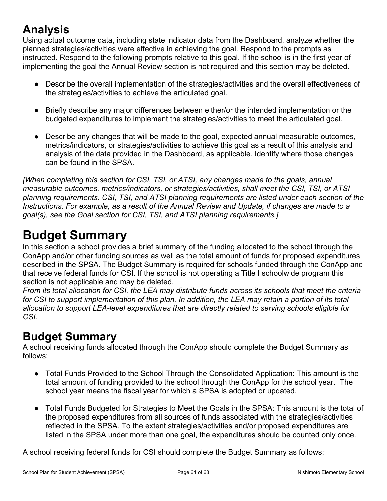# **Analysis**

Using actual outcome data, including state indicator data from the Dashboard, analyze whether the planned strategies/activities were effective in achieving the goal. Respond to the prompts as instructed. Respond to the following prompts relative to this goal. If the school is in the first year of implementing the goal the Annual Review section is not required and this section may be deleted.

- Describe the overall implementation of the strategies/activities and the overall effectiveness of the strategies/activities to achieve the articulated goal.
- Briefly describe any major differences between either/or the intended implementation or the budgeted expenditures to implement the strategies/activities to meet the articulated goal.
- Describe any changes that will be made to the goal, expected annual measurable outcomes, metrics/indicators, or strategies/activities to achieve this goal as a result of this analysis and analysis of the data provided in the Dashboard, as applicable. Identify where those changes can be found in the SPSA.

*[When completing this section for CSI, TSI, or ATSI, any changes made to the goals, annual measurable outcomes, metrics/indicators, or strategies/activities, shall meet the CSI, TSI, or ATSI planning requirements. CSI, TSI, and ATSI planning requirements are listed under each section of the Instructions. For example, as a result of the Annual Review and Update, if changes are made to a goal(s), see the Goal section for CSI, TSI, and ATSI planning requirements.]*

# <span id="page-60-0"></span>**Budget Summary**

In this section a school provides a brief summary of the funding allocated to the school through the ConApp and/or other funding sources as well as the total amount of funds for proposed expenditures described in the SPSA. The Budget Summary is required for schools funded through the ConApp and that receive federal funds for CSI. If the school is not operating a Title I schoolwide program this section is not applicable and may be deleted.

From its total allocation for CSI, the LEA may distribute funds across its schools that meet the criteria for CSI to support implementation of this plan. In addition, the LEA may retain a portion of its total *allocation to support LEA-level expenditures that are directly related to serving schools eligible for CSI.*

## **Budget Summary**

A school receiving funds allocated through the ConApp should complete the Budget Summary as follows:

- Total Funds Provided to the School Through the Consolidated Application: This amount is the total amount of funding provided to the school through the ConApp for the school year. The school year means the fiscal year for which a SPSA is adopted or updated.
- Total Funds Budgeted for Strategies to Meet the Goals in the SPSA: This amount is the total of the proposed expenditures from all sources of funds associated with the strategies/activities reflected in the SPSA. To the extent strategies/activities and/or proposed expenditures are listed in the SPSA under more than one goal, the expenditures should be counted only once.

A school receiving federal funds for CSI should complete the Budget Summary as follows: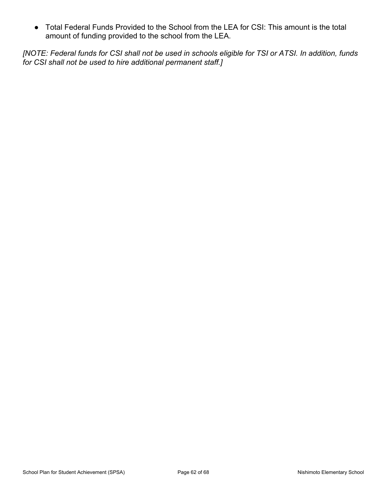● Total Federal Funds Provided to the School from the LEA for CSI: This amount is the total amount of funding provided to the school from the LEA.

[NOTE: Federal funds for CSI shall not be used in schools eligible for TSI or ATSI. In addition, funds *for CSI shall not be used to hire additional permanent staff.]*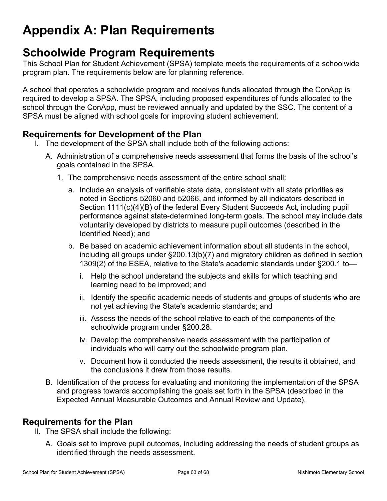# <span id="page-62-0"></span>**Appendix A: Plan Requirements**

### **Schoolwide Program Requirements**

This School Plan for Student Achievement (SPSA) template meets the requirements of a schoolwide program plan. The requirements below are for planning reference.

A school that operates a schoolwide program and receives funds allocated through the ConApp is required to develop a SPSA. The SPSA, including proposed expenditures of funds allocated to the school through the ConApp, must be reviewed annually and updated by the SSC. The content of a SPSA must be aligned with school goals for improving student achievement.

### **Requirements for Development of the Plan**

- I. The development of the SPSA shall include both of the following actions:
	- A. Administration of a comprehensive needs assessment that forms the basis of the school's goals contained in the SPSA.
		- 1. The comprehensive needs assessment of the entire school shall:
			- a. Include an analysis of verifiable state data, consistent with all state priorities as noted in Sections 52060 and 52066, and informed by all indicators described in Section 1111(c)(4)(B) of the federal Every Student Succeeds Act, including pupil performance against state-determined long-term goals. The school may include data voluntarily developed by districts to measure pupil outcomes (described in the Identified Need); and
			- b. Be based on academic achievement information about all students in the school, including all groups under §200.13(b)(7) and migratory children as defined in section 1309(2) of the ESEA, relative to the State's academic standards under §200.1 to
				- i. Help the school understand the subjects and skills for which teaching and learning need to be improved; and
				- ii. Identify the specific academic needs of students and groups of students who are not yet achieving the State's academic standards; and
				- iii. Assess the needs of the school relative to each of the components of the schoolwide program under §200.28.
				- iv. Develop the comprehensive needs assessment with the participation of individuals who will carry out the schoolwide program plan.
				- v. Document how it conducted the needs assessment, the results it obtained, and the conclusions it drew from those results.
	- B. Identification of the process for evaluating and monitoring the implementation of the SPSA and progress towards accomplishing the goals set forth in the SPSA (described in the Expected Annual Measurable Outcomes and Annual Review and Update).

### **Requirements for the Plan**

- II. The SPSA shall include the following:
	- A. Goals set to improve pupil outcomes, including addressing the needs of student groups as identified through the needs assessment.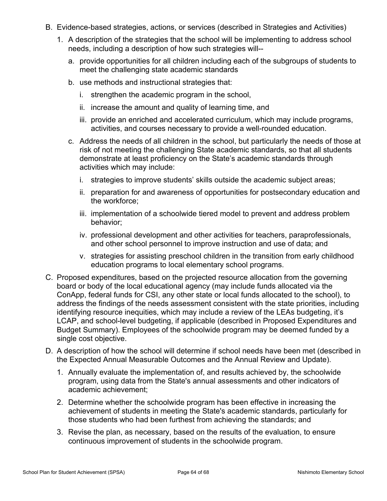- B. Evidence-based strategies, actions, or services (described in Strategies and Activities)
	- 1. A description of the strategies that the school will be implementing to address school needs, including a description of how such strategies will-
		- a. provide opportunities for all children including each of the subgroups of students to meet the challenging state academic standards
		- b. use methods and instructional strategies that:
			- i. strengthen the academic program in the school,
			- ii. increase the amount and quality of learning time, and
			- iii. provide an enriched and accelerated curriculum, which may include programs, activities, and courses necessary to provide a well-rounded education.
		- c. Address the needs of all children in the school, but particularly the needs of those at risk of not meeting the challenging State academic standards, so that all students demonstrate at least proficiency on the State's academic standards through activities which may include:
			- i. strategies to improve students' skills outside the academic subject areas;
			- ii. preparation for and awareness of opportunities for postsecondary education and the workforce;
			- iii. implementation of a schoolwide tiered model to prevent and address problem behavior;
			- iv. professional development and other activities for teachers, paraprofessionals, and other school personnel to improve instruction and use of data; and
			- v. strategies for assisting preschool children in the transition from early childhood education programs to local elementary school programs.
- C. Proposed expenditures, based on the projected resource allocation from the governing board or body of the local educational agency (may include funds allocated via the ConApp, federal funds for CSI, any other state or local funds allocated to the school), to address the findings of the needs assessment consistent with the state priorities, including identifying resource inequities, which may include a review of the LEAs budgeting, it's LCAP, and school-level budgeting, if applicable (described in Proposed Expenditures and Budget Summary). Employees of the schoolwide program may be deemed funded by a single cost objective.
- D. A description of how the school will determine if school needs have been met (described in the Expected Annual Measurable Outcomes and the Annual Review and Update).
	- 1. Annually evaluate the implementation of, and results achieved by, the schoolwide program, using data from the State's annual assessments and other indicators of academic achievement;
	- 2. Determine whether the schoolwide program has been effective in increasing the achievement of students in meeting the State's academic standards, particularly for those students who had been furthest from achieving the standards; and
	- 3. Revise the plan, as necessary, based on the results of the evaluation, to ensure continuous improvement of students in the schoolwide program.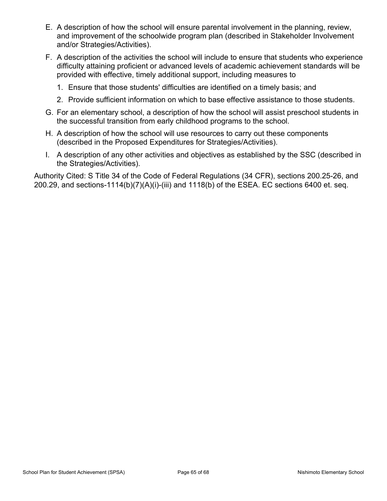- E. A description of how the school will ensure parental involvement in the planning, review, and improvement of the schoolwide program plan (described in Stakeholder Involvement and/or Strategies/Activities).
- F. A description of the activities the school will include to ensure that students who experience difficulty attaining proficient or advanced levels of academic achievement standards will be provided with effective, timely additional support, including measures to
	- 1. Ensure that those students' difficulties are identified on a timely basis; and
	- 2. Provide sufficient information on which to base effective assistance to those students.
- G. For an elementary school, a description of how the school will assist preschool students in the successful transition from early childhood programs to the school.
- H. A description of how the school will use resources to carry out these components (described in the Proposed Expenditures for Strategies/Activities).
- I. A description of any other activities and objectives as established by the SSC (described in the Strategies/Activities).

Authority Cited: S Title 34 of the Code of Federal Regulations (34 CFR), sections 200.25-26, and 200.29, and sections-1114(b)(7)(A)(i)-(iii) and 1118(b) of the ESEA. EC sections 6400 et. seq.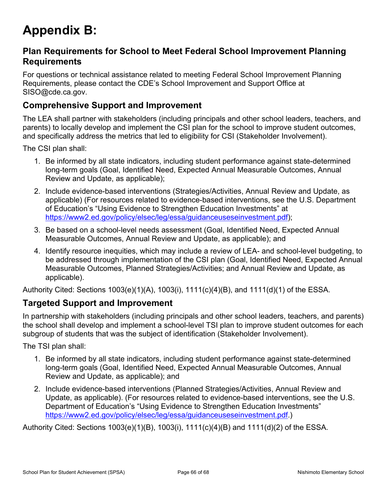# <span id="page-65-0"></span>**Appendix B:**

### **Plan Requirements for School to Meet Federal School Improvement Planning Requirements**

For questions or technical assistance related to meeting Federal School Improvement Planning Requirements, please contact the CDE's School Improvement and Support Office at SISO@cde.ca.gov.

### **Comprehensive Support and Improvement**

The LEA shall partner with stakeholders (including principals and other school leaders, teachers, and parents) to locally develop and implement the CSI plan for the school to improve student outcomes, and specifically address the metrics that led to eligibility for CSI (Stakeholder Involvement).

The CSI plan shall:

- 1. Be informed by all state indicators, including student performance against state-determined long-term goals (Goal, Identified Need, Expected Annual Measurable Outcomes, Annual Review and Update, as applicable);
- 2. Include evidence-based interventions (Strategies/Activities, Annual Review and Update, as applicable) (For resources related to evidence-based interventions, see the U.S. Department of Education's "Using Evidence to Strengthen Education Investments" at [https://www2.ed.gov/policy/elsec/leg/essa/guidanceuseseinvestment.pdf\)](https://www2.ed.gov/policy/elsec/leg/essa/guidanceuseseinvestment.pdf);
- 3. Be based on a school-level needs assessment (Goal, Identified Need, Expected Annual Measurable Outcomes, Annual Review and Update, as applicable); and
- 4. Identify resource inequities, which may include a review of LEA- and school-level budgeting, to be addressed through implementation of the CSI plan (Goal, Identified Need, Expected Annual Measurable Outcomes, Planned Strategies/Activities; and Annual Review and Update, as applicable).

Authority Cited: Sections 1003(e)(1)(A), 1003(i), 1111(c)(4)(B), and 1111(d)(1) of the ESSA.

### **Targeted Support and Improvement**

In partnership with stakeholders (including principals and other school leaders, teachers, and parents) the school shall develop and implement a school-level TSI plan to improve student outcomes for each subgroup of students that was the subject of identification (Stakeholder Involvement).

The TSI plan shall:

- 1. Be informed by all state indicators, including student performance against state-determined long-term goals (Goal, Identified Need, Expected Annual Measurable Outcomes, Annual Review and Update, as applicable); and
- 2. Include evidence-based interventions (Planned Strategies/Activities, Annual Review and Update, as applicable). (For resources related to evidence-based interventions, see the U.S. Department of Education's "Using Evidence to Strengthen Education Investments" [https://www2.ed.gov/policy/elsec/leg/essa/guidanceuseseinvestment.pdf.](https://www2.ed.gov/policy/elsec/leg/essa/guidanceuseseinvestment.pdf))

Authority Cited: Sections 1003(e)(1)(B), 1003(i), 1111(c)(4)(B) and 1111(d)(2) of the ESSA.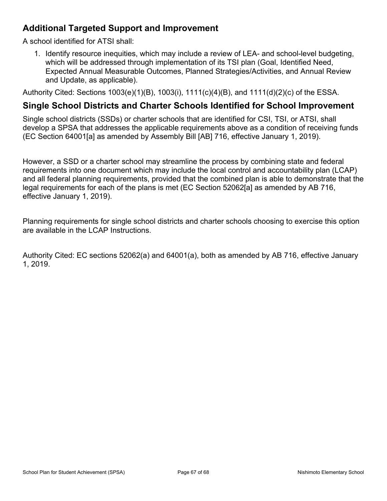### **Additional Targeted Support and Improvement**

A school identified for ATSI shall:

1. Identify resource inequities, which may include a review of LEA- and school-level budgeting, which will be addressed through implementation of its TSI plan (Goal, Identified Need, Expected Annual Measurable Outcomes, Planned Strategies/Activities, and Annual Review and Update, as applicable).

Authority Cited: Sections 1003(e)(1)(B), 1003(i), 1111(c)(4)(B), and 1111(d)(2)(c) of the ESSA.

### **Single School Districts and Charter Schools Identified for School Improvement**

Single school districts (SSDs) or charter schools that are identified for CSI, TSI, or ATSI, shall develop a SPSA that addresses the applicable requirements above as a condition of receiving funds (EC Section 64001[a] as amended by Assembly Bill [AB] 716, effective January 1, 2019).

However, a SSD or a charter school may streamline the process by combining state and federal requirements into one document which may include the local control and accountability plan (LCAP) and all federal planning requirements, provided that the combined plan is able to demonstrate that the legal requirements for each of the plans is met (EC Section 52062[a] as amended by AB 716, effective January 1, 2019).

Planning requirements for single school districts and charter schools choosing to exercise this option are available in the LCAP Instructions.

Authority Cited: EC sections 52062(a) and 64001(a), both as amended by AB 716, effective January 1, 2019.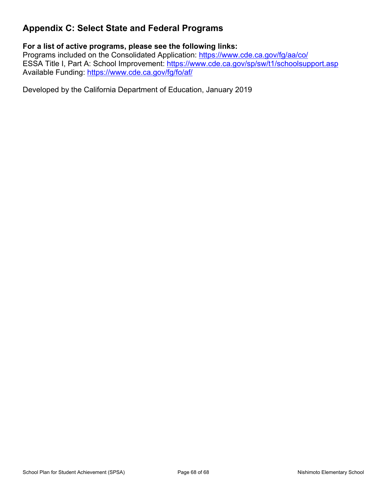### <span id="page-67-0"></span>**Appendix C: Select State and Federal Programs**

### **For a list of active programs, please see the following links:**

Programs included on the Consolidated Application: <https://www.cde.ca.gov/fg/aa/co/> ESSA Title I, Part A: School Improvement: <https://www.cde.ca.gov/sp/sw/t1/schoolsupport.asp> Available Funding: <https://www.cde.ca.gov/fg/fo/af/>

Developed by the California Department of Education, January 2019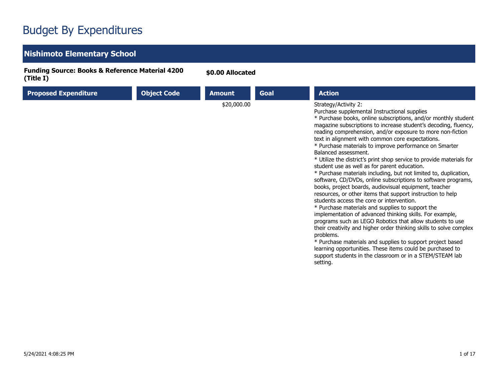## Budget By Expenditures

### **Nishimoto Elementary School**

**Funding Source: Books & Reference Material 4200 (Title I)**

**\$0.00 Allocated**

| <b>Proposed Expenditure</b> | <b>Object Code</b> | <b>Amount</b> | Goal | <b>Action</b>                                                                                                                                                                                                                                                                                                                                                                                                                                                                                                                                                                                                                                                                                                                                                                                                                                                                                                                                                                                                                                                                                                                                                                                                                                                                                                     |
|-----------------------------|--------------------|---------------|------|-------------------------------------------------------------------------------------------------------------------------------------------------------------------------------------------------------------------------------------------------------------------------------------------------------------------------------------------------------------------------------------------------------------------------------------------------------------------------------------------------------------------------------------------------------------------------------------------------------------------------------------------------------------------------------------------------------------------------------------------------------------------------------------------------------------------------------------------------------------------------------------------------------------------------------------------------------------------------------------------------------------------------------------------------------------------------------------------------------------------------------------------------------------------------------------------------------------------------------------------------------------------------------------------------------------------|
|                             |                    | \$20,000.00   |      | Strategy/Activity 2:<br>Purchase supplemental Instructional supplies<br>* Purchase books, online subscriptions, and/or monthly student<br>magazine subscriptions to increase student's decoding, fluency,<br>reading comprehension, and/or exposure to more non-fiction<br>text in alignment with common core expectations.<br>* Purchase materials to improve performance on Smarter<br>Balanced assessment.<br>* Utilize the district's print shop service to provide materials for<br>student use as well as for parent education.<br>* Purchase materials including, but not limited to, duplication,<br>software, CD/DVDs, online subscriptions to software programs,<br>books, project boards, audiovisual equipment, teacher<br>resources, or other items that support instruction to help<br>students access the core or intervention.<br>* Purchase materials and supplies to support the<br>implementation of advanced thinking skills. For example,<br>programs such as LEGO Robotics that allow students to use<br>their creativity and higher order thinking skills to solve complex<br>problems.<br>* Purchase materials and supplies to support project based<br>learning opportunities. These items could be purchased to<br>support students in the classroom or in a STEM/STEAM lab<br>setting. |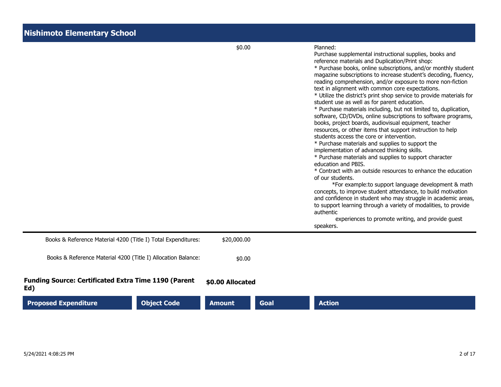|                                                                    |                    | \$0.00           |      | Planned:<br>Purchase supplemental instructional supplies, books and<br>reference materials and Duplication/Print shop:<br>* Purchase books, online subscriptions, and/or monthly student<br>magazine subscriptions to increase student's decoding, fluency,<br>reading comprehension, and/or exposure to more non-fiction<br>text in alignment with common core expectations.<br>* Utilize the district's print shop service to provide materials for<br>student use as well as for parent education.<br>* Purchase materials including, but not limited to, duplication,<br>software, CD/DVDs, online subscriptions to software programs,<br>books, project boards, audiovisual equipment, teacher<br>resources, or other items that support instruction to help<br>students access the core or intervention.<br>* Purchase materials and supplies to support the<br>implementation of advanced thinking skills.<br>* Purchase materials and supplies to support character<br>education and PBIS.<br>* Contract with an outside resources to enhance the education<br>of our students.<br>*For example: to support language development & math<br>concepts, to improve student attendance, to build motivation<br>and confidence in student who may struggle in academic areas,<br>to support learning through a variety of modalities, to provide<br>authentic<br>experiences to promote writing, and provide guest<br>speakers. |
|--------------------------------------------------------------------|--------------------|------------------|------|------------------------------------------------------------------------------------------------------------------------------------------------------------------------------------------------------------------------------------------------------------------------------------------------------------------------------------------------------------------------------------------------------------------------------------------------------------------------------------------------------------------------------------------------------------------------------------------------------------------------------------------------------------------------------------------------------------------------------------------------------------------------------------------------------------------------------------------------------------------------------------------------------------------------------------------------------------------------------------------------------------------------------------------------------------------------------------------------------------------------------------------------------------------------------------------------------------------------------------------------------------------------------------------------------------------------------------------------------------------------------------------------------------------------------------|
| Books & Reference Material 4200 (Title I) Total Expenditures:      |                    | \$20,000.00      |      |                                                                                                                                                                                                                                                                                                                                                                                                                                                                                                                                                                                                                                                                                                                                                                                                                                                                                                                                                                                                                                                                                                                                                                                                                                                                                                                                                                                                                                    |
| Books & Reference Material 4200 (Title I) Allocation Balance:      |                    | \$0.00           |      |                                                                                                                                                                                                                                                                                                                                                                                                                                                                                                                                                                                                                                                                                                                                                                                                                                                                                                                                                                                                                                                                                                                                                                                                                                                                                                                                                                                                                                    |
| <b>Funding Source: Certificated Extra Time 1190 (Parent</b><br>Ed) |                    | \$0.00 Allocated |      |                                                                                                                                                                                                                                                                                                                                                                                                                                                                                                                                                                                                                                                                                                                                                                                                                                                                                                                                                                                                                                                                                                                                                                                                                                                                                                                                                                                                                                    |
| <b>Proposed Expenditure</b>                                        | <b>Object Code</b> | <b>Amount</b>    | Goal | <b>Action</b>                                                                                                                                                                                                                                                                                                                                                                                                                                                                                                                                                                                                                                                                                                                                                                                                                                                                                                                                                                                                                                                                                                                                                                                                                                                                                                                                                                                                                      |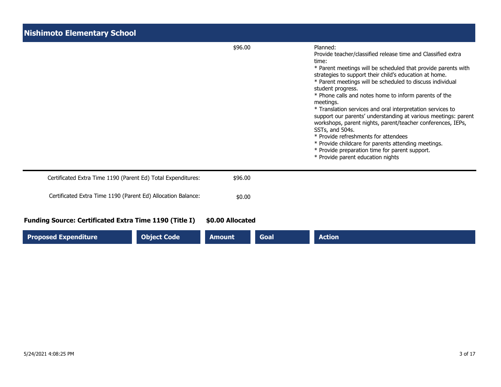| <b>Nishimoto Elementary School</b>                            |                              |                                                                                                                                                                                                                                                                                                                                                                                                                                                                                                                                                                                                                                                                                                                                                                              |  |  |  |
|---------------------------------------------------------------|------------------------------|------------------------------------------------------------------------------------------------------------------------------------------------------------------------------------------------------------------------------------------------------------------------------------------------------------------------------------------------------------------------------------------------------------------------------------------------------------------------------------------------------------------------------------------------------------------------------------------------------------------------------------------------------------------------------------------------------------------------------------------------------------------------------|--|--|--|
|                                                               | \$96.00                      | Planned:<br>Provide teacher/classified release time and Classified extra<br>time:<br>* Parent meetings will be scheduled that provide parents with<br>strategies to support their child's education at home.<br>* Parent meetings will be scheduled to discuss individual<br>student progress.<br>* Phone calls and notes home to inform parents of the<br>meetings.<br>* Translation services and oral interpretation services to<br>support our parents' understanding at various meetings: parent<br>workshops, parent nights, parent/teacher conferences, IEPs,<br>SSTs, and 504s.<br>* Provide refreshments for attendees<br>* Provide childcare for parents attending meetings.<br>* Provide preparation time for parent support.<br>* Provide parent education nights |  |  |  |
| Certificated Extra Time 1190 (Parent Ed) Total Expenditures:  | \$96.00                      |                                                                                                                                                                                                                                                                                                                                                                                                                                                                                                                                                                                                                                                                                                                                                                              |  |  |  |
| Certificated Extra Time 1190 (Parent Ed) Allocation Balance:  | \$0.00                       |                                                                                                                                                                                                                                                                                                                                                                                                                                                                                                                                                                                                                                                                                                                                                                              |  |  |  |
| <b>Funding Source: Certificated Extra Time 1190 (Title I)</b> | \$0.00 Allocated             |                                                                                                                                                                                                                                                                                                                                                                                                                                                                                                                                                                                                                                                                                                                                                                              |  |  |  |
| <b>Object Code</b><br><b>Proposed Expenditure</b>             | <b>Amount</b><br><b>Goal</b> | <b>Action</b>                                                                                                                                                                                                                                                                                                                                                                                                                                                                                                                                                                                                                                                                                                                                                                |  |  |  |

н.

ш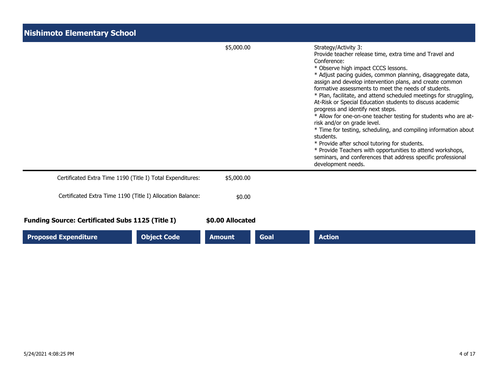| <b>Nishimoto Elementary School</b>                         |                    |                  |             |                                                                                                                                                                                                                                                                                                                                                                                                                                                                                                                                                                                                                                                                                                                                                                                                                                                                                        |  |
|------------------------------------------------------------|--------------------|------------------|-------------|----------------------------------------------------------------------------------------------------------------------------------------------------------------------------------------------------------------------------------------------------------------------------------------------------------------------------------------------------------------------------------------------------------------------------------------------------------------------------------------------------------------------------------------------------------------------------------------------------------------------------------------------------------------------------------------------------------------------------------------------------------------------------------------------------------------------------------------------------------------------------------------|--|
|                                                            |                    | \$5,000.00       |             | Strategy/Activity 3:<br>Provide teacher release time, extra time and Travel and<br>Conference:<br>* Observe high impact CCCS lessons.<br>* Adjust pacing guides, common planning, disaggregate data,<br>assign and develop intervention plans, and create common<br>formative assessments to meet the needs of students.<br>* Plan, facilitate, and attend scheduled meetings for struggling,<br>At-Risk or Special Education students to discuss academic<br>progress and identify next steps.<br>* Allow for one-on-one teacher testing for students who are at-<br>risk and/or on grade level.<br>* Time for testing, scheduling, and compiling information about<br>students.<br>* Provide after school tutoring for students.<br>* Provide Teachers with opportunities to attend workshops,<br>seminars, and conferences that address specific professional<br>development needs. |  |
| Certificated Extra Time 1190 (Title I) Total Expenditures: |                    | \$5,000.00       |             |                                                                                                                                                                                                                                                                                                                                                                                                                                                                                                                                                                                                                                                                                                                                                                                                                                                                                        |  |
| Certificated Extra Time 1190 (Title I) Allocation Balance: |                    | \$0.00           |             |                                                                                                                                                                                                                                                                                                                                                                                                                                                                                                                                                                                                                                                                                                                                                                                                                                                                                        |  |
| <b>Funding Source: Certificated Subs 1125 (Title I)</b>    |                    | \$0.00 Allocated |             |                                                                                                                                                                                                                                                                                                                                                                                                                                                                                                                                                                                                                                                                                                                                                                                                                                                                                        |  |
| <b>Proposed Expenditure</b>                                | <b>Object Code</b> | <b>Amount</b>    | <b>Goal</b> | <b>Action</b>                                                                                                                                                                                                                                                                                                                                                                                                                                                                                                                                                                                                                                                                                                                                                                                                                                                                          |  |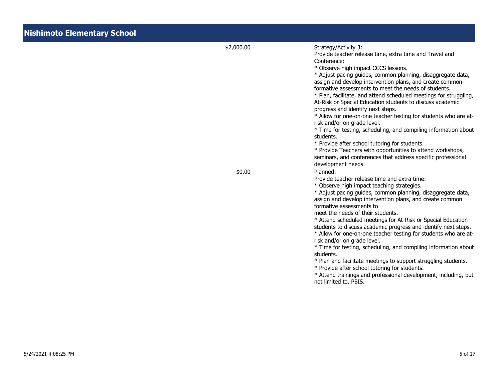| <b>Nishimoto Elementary School</b> |            |                                                                                                                                                                                                                                                                                                                                                                                                                                                                                                                                                                                                                                                                                                                                                                                                                                                                                        |
|------------------------------------|------------|----------------------------------------------------------------------------------------------------------------------------------------------------------------------------------------------------------------------------------------------------------------------------------------------------------------------------------------------------------------------------------------------------------------------------------------------------------------------------------------------------------------------------------------------------------------------------------------------------------------------------------------------------------------------------------------------------------------------------------------------------------------------------------------------------------------------------------------------------------------------------------------|
|                                    | \$2,000.00 | Strategy/Activity 3:<br>Provide teacher release time, extra time and Travel and<br>Conference:<br>* Observe high impact CCCS lessons.<br>* Adjust pacing guides, common planning, disaggregate data,<br>assign and develop intervention plans, and create common<br>formative assessments to meet the needs of students.<br>* Plan, facilitate, and attend scheduled meetings for struggling,<br>At-Risk or Special Education students to discuss academic<br>progress and identify next steps.<br>* Allow for one-on-one teacher testing for students who are at-<br>risk and/or on grade level.<br>* Time for testing, scheduling, and compiling information about<br>students.<br>* Provide after school tutoring for students.<br>* Provide Teachers with opportunities to attend workshops,<br>seminars, and conferences that address specific professional<br>development needs. |
|                                    | \$0.00     | Planned:<br>Provide teacher release time and extra time:<br>* Observe high impact teaching strategies.<br>* Adjust pacing guides, common planning, disaggregate data,<br>assign and develop intervention plans, and create common<br>formative assessments to<br>meet the needs of their students.<br>* Attend scheduled meetings for At-Risk or Special Education<br>students to discuss academic progress and identify next steps.<br>* Allow for one-on-one teacher testing for students who are at-<br>risk and/or on grade level.<br>* Time for testing, scheduling, and compiling information about<br>students.<br>* Plan and facilitate meetings to support struggling students.<br>* Provide after school tutoring for students.<br>* Attend trainings and professional development, including, but<br>not limited to, PBIS.                                                  |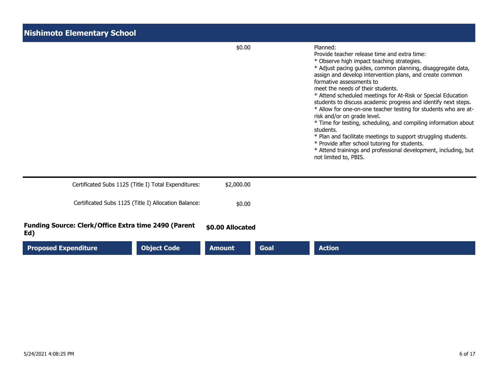| <b>Nishimoto Elementary School</b>                          |                  |             |                                                                                                                                                                                                                                                                                                                                                                                                                                                                                                                                                                                                                                                                                                                                                                                                                                       |
|-------------------------------------------------------------|------------------|-------------|---------------------------------------------------------------------------------------------------------------------------------------------------------------------------------------------------------------------------------------------------------------------------------------------------------------------------------------------------------------------------------------------------------------------------------------------------------------------------------------------------------------------------------------------------------------------------------------------------------------------------------------------------------------------------------------------------------------------------------------------------------------------------------------------------------------------------------------|
|                                                             | \$0.00           |             | Planned:<br>Provide teacher release time and extra time:<br>* Observe high impact teaching strategies.<br>* Adjust pacing guides, common planning, disaggregate data,<br>assign and develop intervention plans, and create common<br>formative assessments to<br>meet the needs of their students.<br>* Attend scheduled meetings for At-Risk or Special Education<br>students to discuss academic progress and identify next steps.<br>* Allow for one-on-one teacher testing for students who are at-<br>risk and/or on grade level.<br>* Time for testing, scheduling, and compiling information about<br>students.<br>* Plan and facilitate meetings to support struggling students.<br>* Provide after school tutoring for students.<br>* Attend trainings and professional development, including, but<br>not limited to, PBIS. |
| Certificated Subs 1125 (Title I) Total Expenditures:        | \$2,000.00       |             |                                                                                                                                                                                                                                                                                                                                                                                                                                                                                                                                                                                                                                                                                                                                                                                                                                       |
| Certificated Subs 1125 (Title I) Allocation Balance:        | \$0.00           |             |                                                                                                                                                                                                                                                                                                                                                                                                                                                                                                                                                                                                                                                                                                                                                                                                                                       |
| Funding Source: Clerk/Office Extra time 2490 (Parent<br>Ed) | \$0.00 Allocated |             |                                                                                                                                                                                                                                                                                                                                                                                                                                                                                                                                                                                                                                                                                                                                                                                                                                       |
| <b>Object Code</b><br><b>Proposed Expenditure</b>           | <b>Amount</b>    | <b>Goal</b> | <b>Action</b>                                                                                                                                                                                                                                                                                                                                                                                                                                                                                                                                                                                                                                                                                                                                                                                                                         |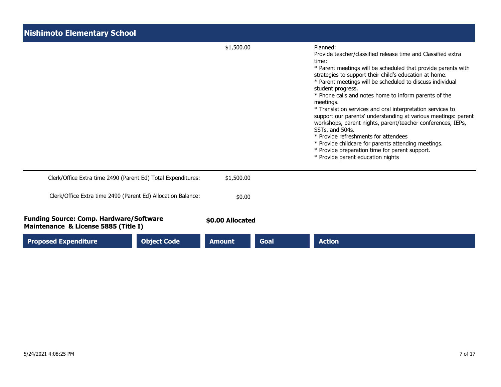| <b>Nishimoto Elementary School</b>                                                     |                  |      |                                                                                                                                                                                                                                                                                                                                                                                                                                                                                                                                                                                                                                                                                                                                                                              |
|----------------------------------------------------------------------------------------|------------------|------|------------------------------------------------------------------------------------------------------------------------------------------------------------------------------------------------------------------------------------------------------------------------------------------------------------------------------------------------------------------------------------------------------------------------------------------------------------------------------------------------------------------------------------------------------------------------------------------------------------------------------------------------------------------------------------------------------------------------------------------------------------------------------|
|                                                                                        | \$1,500.00       |      | Planned:<br>Provide teacher/classified release time and Classified extra<br>time:<br>* Parent meetings will be scheduled that provide parents with<br>strategies to support their child's education at home.<br>* Parent meetings will be scheduled to discuss individual<br>student progress.<br>* Phone calls and notes home to inform parents of the<br>meetings.<br>* Translation services and oral interpretation services to<br>support our parents' understanding at various meetings: parent<br>workshops, parent nights, parent/teacher conferences, IEPs,<br>SSTs, and 504s.<br>* Provide refreshments for attendees<br>* Provide childcare for parents attending meetings.<br>* Provide preparation time for parent support.<br>* Provide parent education nights |
| Clerk/Office Extra time 2490 (Parent Ed) Total Expenditures:                           | \$1,500.00       |      |                                                                                                                                                                                                                                                                                                                                                                                                                                                                                                                                                                                                                                                                                                                                                                              |
| Clerk/Office Extra time 2490 (Parent Ed) Allocation Balance:                           | \$0.00           |      |                                                                                                                                                                                                                                                                                                                                                                                                                                                                                                                                                                                                                                                                                                                                                                              |
| <b>Funding Source: Comp. Hardware/Software</b><br>Maintenance & License 5885 (Title I) | \$0.00 Allocated |      |                                                                                                                                                                                                                                                                                                                                                                                                                                                                                                                                                                                                                                                                                                                                                                              |
| <b>Proposed Expenditure</b><br><b>Object Code</b>                                      | <b>Amount</b>    | Goal | <b>Action</b>                                                                                                                                                                                                                                                                                                                                                                                                                                                                                                                                                                                                                                                                                                                                                                |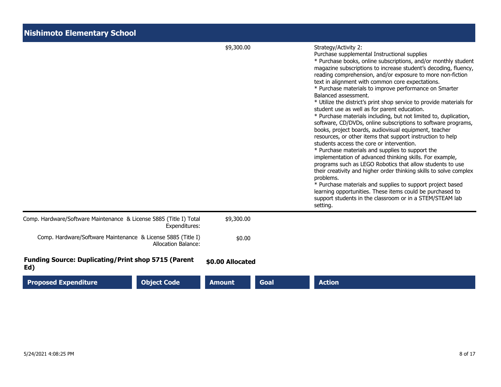| <b>Nishimoto Elementary School</b>                                                  |                  |      |                                                                                                                                                                                                                                                                                                                                                                                                                                                                                                                                                                                                                                                                                                                                                                                                                                                                                                                                                                                                                                                                                                                                                                                                                                                                                                                   |
|-------------------------------------------------------------------------------------|------------------|------|-------------------------------------------------------------------------------------------------------------------------------------------------------------------------------------------------------------------------------------------------------------------------------------------------------------------------------------------------------------------------------------------------------------------------------------------------------------------------------------------------------------------------------------------------------------------------------------------------------------------------------------------------------------------------------------------------------------------------------------------------------------------------------------------------------------------------------------------------------------------------------------------------------------------------------------------------------------------------------------------------------------------------------------------------------------------------------------------------------------------------------------------------------------------------------------------------------------------------------------------------------------------------------------------------------------------|
|                                                                                     | \$9,300.00       |      | Strategy/Activity 2:<br>Purchase supplemental Instructional supplies<br>* Purchase books, online subscriptions, and/or monthly student<br>magazine subscriptions to increase student's decoding, fluency,<br>reading comprehension, and/or exposure to more non-fiction<br>text in alignment with common core expectations.<br>* Purchase materials to improve performance on Smarter<br>Balanced assessment.<br>* Utilize the district's print shop service to provide materials for<br>student use as well as for parent education.<br>* Purchase materials including, but not limited to, duplication,<br>software, CD/DVDs, online subscriptions to software programs,<br>books, project boards, audiovisual equipment, teacher<br>resources, or other items that support instruction to help<br>students access the core or intervention.<br>* Purchase materials and supplies to support the<br>implementation of advanced thinking skills. For example,<br>programs such as LEGO Robotics that allow students to use<br>their creativity and higher order thinking skills to solve complex<br>problems.<br>* Purchase materials and supplies to support project based<br>learning opportunities. These items could be purchased to<br>support students in the classroom or in a STEM/STEAM lab<br>setting. |
| Comp. Hardware/Software Maintenance & License 5885 (Title I) Total<br>Expenditures: | \$9,300.00       |      |                                                                                                                                                                                                                                                                                                                                                                                                                                                                                                                                                                                                                                                                                                                                                                                                                                                                                                                                                                                                                                                                                                                                                                                                                                                                                                                   |
| Comp. Hardware/Software Maintenance & License 5885 (Title I)<br>Allocation Balance: | \$0.00           |      |                                                                                                                                                                                                                                                                                                                                                                                                                                                                                                                                                                                                                                                                                                                                                                                                                                                                                                                                                                                                                                                                                                                                                                                                                                                                                                                   |
| <b>Funding Source: Duplicating/Print shop 5715 (Parent</b><br>Ed)                   | \$0.00 Allocated |      |                                                                                                                                                                                                                                                                                                                                                                                                                                                                                                                                                                                                                                                                                                                                                                                                                                                                                                                                                                                                                                                                                                                                                                                                                                                                                                                   |
| <b>Object Code</b><br><b>Proposed Expenditure</b>                                   | <b>Amount</b>    | Goal | <b>Action</b>                                                                                                                                                                                                                                                                                                                                                                                                                                                                                                                                                                                                                                                                                                                                                                                                                                                                                                                                                                                                                                                                                                                                                                                                                                                                                                     |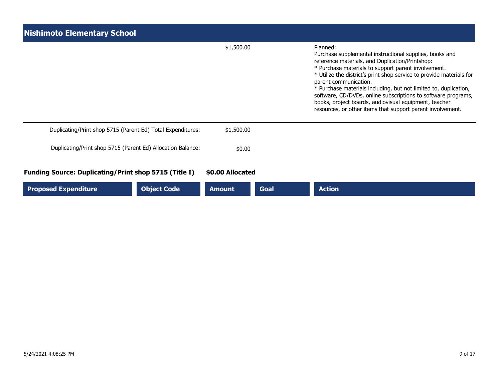| <b>Nishimoto Elementary School</b>                           |                    |                  |             |                                                                                                                                                                                                                                                                                                                                                                                                                                                                                                                                            |
|--------------------------------------------------------------|--------------------|------------------|-------------|--------------------------------------------------------------------------------------------------------------------------------------------------------------------------------------------------------------------------------------------------------------------------------------------------------------------------------------------------------------------------------------------------------------------------------------------------------------------------------------------------------------------------------------------|
|                                                              |                    | \$1,500.00       |             | Planned:<br>Purchase supplemental instructional supplies, books and<br>reference materials, and Duplication/Printshop:<br>* Purchase materials to support parent involvement.<br>* Utilize the district's print shop service to provide materials for<br>parent communication.<br>* Purchase materials including, but not limited to, duplication,<br>software, CD/DVDs, online subscriptions to software programs,<br>books, project boards, audiovisual equipment, teacher<br>resources, or other items that support parent involvement. |
| Duplicating/Print shop 5715 (Parent Ed) Total Expenditures:  |                    | \$1,500.00       |             |                                                                                                                                                                                                                                                                                                                                                                                                                                                                                                                                            |
| Duplicating/Print shop 5715 (Parent Ed) Allocation Balance:  |                    | \$0.00           |             |                                                                                                                                                                                                                                                                                                                                                                                                                                                                                                                                            |
| <b>Funding Source: Duplicating/Print shop 5715 (Title I)</b> |                    | \$0.00 Allocated |             |                                                                                                                                                                                                                                                                                                                                                                                                                                                                                                                                            |
| <b>Proposed Expenditure</b>                                  | <b>Object Code</b> | <b>Amount</b>    | <b>Goal</b> | <b>Action</b>                                                                                                                                                                                                                                                                                                                                                                                                                                                                                                                              |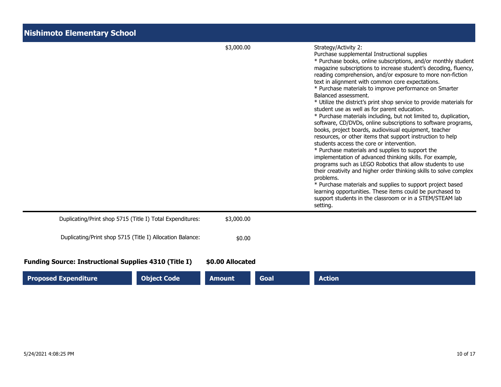| <b>Nishimoto Elementary School</b>                           |                                                           |                  |      |                                                                                                                                                                                                                                                                                                                                                                                                                                                                                                                                                                                                                                                                                                                                                                                                                                                                                                                                                                                                                                                                                                                                                                                                                                                                                                                   |
|--------------------------------------------------------------|-----------------------------------------------------------|------------------|------|-------------------------------------------------------------------------------------------------------------------------------------------------------------------------------------------------------------------------------------------------------------------------------------------------------------------------------------------------------------------------------------------------------------------------------------------------------------------------------------------------------------------------------------------------------------------------------------------------------------------------------------------------------------------------------------------------------------------------------------------------------------------------------------------------------------------------------------------------------------------------------------------------------------------------------------------------------------------------------------------------------------------------------------------------------------------------------------------------------------------------------------------------------------------------------------------------------------------------------------------------------------------------------------------------------------------|
|                                                              |                                                           | \$3,000.00       |      | Strategy/Activity 2:<br>Purchase supplemental Instructional supplies<br>* Purchase books, online subscriptions, and/or monthly student<br>magazine subscriptions to increase student's decoding, fluency,<br>reading comprehension, and/or exposure to more non-fiction<br>text in alignment with common core expectations.<br>* Purchase materials to improve performance on Smarter<br>Balanced assessment.<br>* Utilize the district's print shop service to provide materials for<br>student use as well as for parent education.<br>* Purchase materials including, but not limited to, duplication,<br>software, CD/DVDs, online subscriptions to software programs,<br>books, project boards, audiovisual equipment, teacher<br>resources, or other items that support instruction to help<br>students access the core or intervention.<br>* Purchase materials and supplies to support the<br>implementation of advanced thinking skills. For example,<br>programs such as LEGO Robotics that allow students to use<br>their creativity and higher order thinking skills to solve complex<br>problems.<br>* Purchase materials and supplies to support project based<br>learning opportunities. These items could be purchased to<br>support students in the classroom or in a STEM/STEAM lab<br>setting. |
|                                                              | Duplicating/Print shop 5715 (Title I) Total Expenditures: | \$3,000.00       |      |                                                                                                                                                                                                                                                                                                                                                                                                                                                                                                                                                                                                                                                                                                                                                                                                                                                                                                                                                                                                                                                                                                                                                                                                                                                                                                                   |
|                                                              | Duplicating/Print shop 5715 (Title I) Allocation Balance: | \$0.00           |      |                                                                                                                                                                                                                                                                                                                                                                                                                                                                                                                                                                                                                                                                                                                                                                                                                                                                                                                                                                                                                                                                                                                                                                                                                                                                                                                   |
| <b>Funding Source: Instructional Supplies 4310 (Title I)</b> |                                                           | \$0.00 Allocated |      |                                                                                                                                                                                                                                                                                                                                                                                                                                                                                                                                                                                                                                                                                                                                                                                                                                                                                                                                                                                                                                                                                                                                                                                                                                                                                                                   |
| <b>Proposed Expenditure</b>                                  | <b>Object Code</b>                                        | <b>Amount</b>    | Goal | <b>Action</b>                                                                                                                                                                                                                                                                                                                                                                                                                                                                                                                                                                                                                                                                                                                                                                                                                                                                                                                                                                                                                                                                                                                                                                                                                                                                                                     |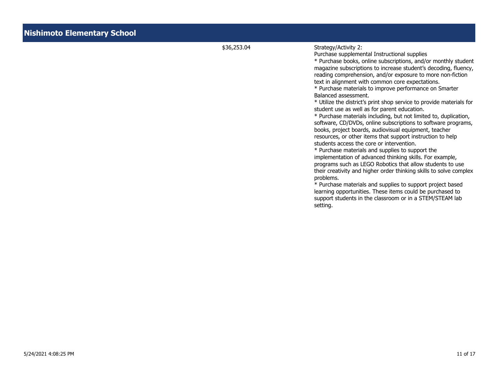## \$36,253.04 Strategy/Activity 2:

Purchase supplemental Instructional supplies

\* Purchase books, online subscriptions, and/or monthly student magazine subscriptions to increase student's decoding, fluency, reading comprehension, and/or exposure to more non-fiction text in alignment with common core expectations.

\* Purchase materials to improve performance on Smarter Balanced assessment.

\* Utilize the district's print shop service to provide materials for student use as well as for parent education.

\* Purchase materials including, but not limited to, duplication, software, CD/DVDs, online subscriptions to software programs, books, project boards, audiovisual equipment, teacher resources, or other items that support instruction to help students access the core or intervention.

\* Purchase materials and supplies to support the implementation of advanced thinking skills. For example, programs such as LEGO Robotics that allow students to use their creativity and higher order thinking skills to solve complex problems.

\* Purchase materials and supplies to support project based learning opportunities. These items could be purchased to support students in the classroom or in a STEM/STEAM lab setting.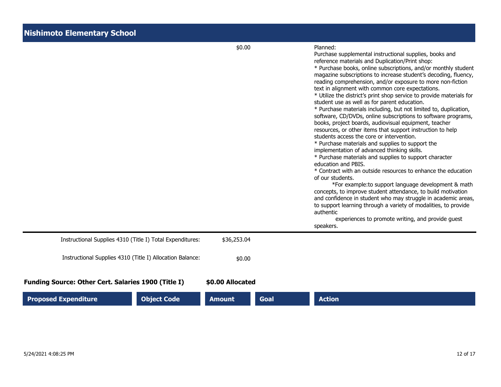|                                                            |                    | \$0.00           |      | Planned:<br>Purchase supplemental instructional supplies, books and<br>reference materials and Duplication/Print shop:<br>* Purchase books, online subscriptions, and/or monthly student<br>magazine subscriptions to increase student's decoding, fluency,<br>reading comprehension, and/or exposure to more non-fiction<br>text in alignment with common core expectations.<br>* Utilize the district's print shop service to provide materials for<br>student use as well as for parent education.<br>* Purchase materials including, but not limited to, duplication,<br>software, CD/DVDs, online subscriptions to software programs,<br>books, project boards, audiovisual equipment, teacher<br>resources, or other items that support instruction to help<br>students access the core or intervention.<br>* Purchase materials and supplies to support the<br>implementation of advanced thinking skills.<br>* Purchase materials and supplies to support character<br>education and PBIS.<br>* Contract with an outside resources to enhance the education<br>of our students.<br>*For example: to support language development & math<br>concepts, to improve student attendance, to build motivation<br>and confidence in student who may struggle in academic areas,<br>to support learning through a variety of modalities, to provide<br>authentic<br>experiences to promote writing, and provide guest<br>speakers. |
|------------------------------------------------------------|--------------------|------------------|------|------------------------------------------------------------------------------------------------------------------------------------------------------------------------------------------------------------------------------------------------------------------------------------------------------------------------------------------------------------------------------------------------------------------------------------------------------------------------------------------------------------------------------------------------------------------------------------------------------------------------------------------------------------------------------------------------------------------------------------------------------------------------------------------------------------------------------------------------------------------------------------------------------------------------------------------------------------------------------------------------------------------------------------------------------------------------------------------------------------------------------------------------------------------------------------------------------------------------------------------------------------------------------------------------------------------------------------------------------------------------------------------------------------------------------------|
| Instructional Supplies 4310 (Title I) Total Expenditures:  |                    | \$36,253.04      |      |                                                                                                                                                                                                                                                                                                                                                                                                                                                                                                                                                                                                                                                                                                                                                                                                                                                                                                                                                                                                                                                                                                                                                                                                                                                                                                                                                                                                                                    |
| Instructional Supplies 4310 (Title I) Allocation Balance:  |                    | \$0.00           |      |                                                                                                                                                                                                                                                                                                                                                                                                                                                                                                                                                                                                                                                                                                                                                                                                                                                                                                                                                                                                                                                                                                                                                                                                                                                                                                                                                                                                                                    |
| <b>Funding Source: Other Cert. Salaries 1900 (Title I)</b> |                    | \$0.00 Allocated |      |                                                                                                                                                                                                                                                                                                                                                                                                                                                                                                                                                                                                                                                                                                                                                                                                                                                                                                                                                                                                                                                                                                                                                                                                                                                                                                                                                                                                                                    |
| <b>Proposed Expenditure</b>                                | <b>Object Code</b> | <b>Amount</b>    | Goal | <b>Action</b>                                                                                                                                                                                                                                                                                                                                                                                                                                                                                                                                                                                                                                                                                                                                                                                                                                                                                                                                                                                                                                                                                                                                                                                                                                                                                                                                                                                                                      |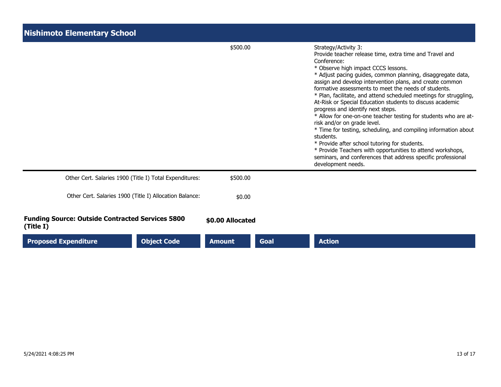| <b>Nishimoto Elementary School</b>                                   |                  |      |                                                                                                                                                                                                                                                                                                                                                                                                                                                                                                                                                                                                                                                                                                                                                                                                                                                                                        |
|----------------------------------------------------------------------|------------------|------|----------------------------------------------------------------------------------------------------------------------------------------------------------------------------------------------------------------------------------------------------------------------------------------------------------------------------------------------------------------------------------------------------------------------------------------------------------------------------------------------------------------------------------------------------------------------------------------------------------------------------------------------------------------------------------------------------------------------------------------------------------------------------------------------------------------------------------------------------------------------------------------|
|                                                                      | \$500.00         |      | Strategy/Activity 3:<br>Provide teacher release time, extra time and Travel and<br>Conference:<br>* Observe high impact CCCS lessons.<br>* Adjust pacing guides, common planning, disaggregate data,<br>assign and develop intervention plans, and create common<br>formative assessments to meet the needs of students.<br>* Plan, facilitate, and attend scheduled meetings for struggling,<br>At-Risk or Special Education students to discuss academic<br>progress and identify next steps.<br>* Allow for one-on-one teacher testing for students who are at-<br>risk and/or on grade level.<br>* Time for testing, scheduling, and compiling information about<br>students.<br>* Provide after school tutoring for students.<br>* Provide Teachers with opportunities to attend workshops,<br>seminars, and conferences that address specific professional<br>development needs. |
| Other Cert. Salaries 1900 (Title I) Total Expenditures:              | \$500.00         |      |                                                                                                                                                                                                                                                                                                                                                                                                                                                                                                                                                                                                                                                                                                                                                                                                                                                                                        |
| Other Cert. Salaries 1900 (Title I) Allocation Balance:              | \$0.00           |      |                                                                                                                                                                                                                                                                                                                                                                                                                                                                                                                                                                                                                                                                                                                                                                                                                                                                                        |
| <b>Funding Source: Outside Contracted Services 5800</b><br>(Title I) | \$0.00 Allocated |      |                                                                                                                                                                                                                                                                                                                                                                                                                                                                                                                                                                                                                                                                                                                                                                                                                                                                                        |
| <b>Proposed Expenditure</b><br><b>Object Code</b>                    | <b>Amount</b>    | Goal | <b>Action</b>                                                                                                                                                                                                                                                                                                                                                                                                                                                                                                                                                                                                                                                                                                                                                                                                                                                                          |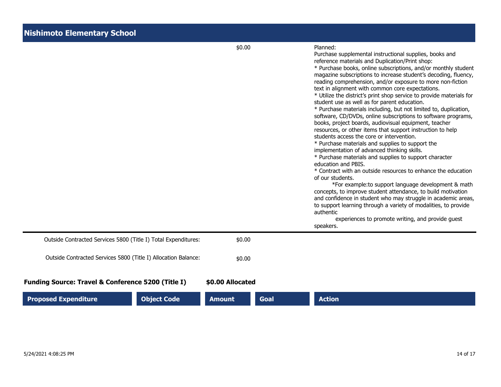|                                                                                                                                 | \$0.00                     |             | Planned:<br>Purchase supplemental instructional supplies, books and<br>reference materials and Duplication/Print shop:<br>* Purchase books, online subscriptions, and/or monthly student<br>magazine subscriptions to increase student's decoding, fluency,<br>reading comprehension, and/or exposure to more non-fiction<br>text in alignment with common core expectations.<br>* Utilize the district's print shop service to provide materials for<br>student use as well as for parent education.<br>* Purchase materials including, but not limited to, duplication,<br>software, CD/DVDs, online subscriptions to software programs,<br>books, project boards, audiovisual equipment, teacher<br>resources, or other items that support instruction to help<br>students access the core or intervention.<br>* Purchase materials and supplies to support the<br>implementation of advanced thinking skills.<br>* Purchase materials and supplies to support character<br>education and PBIS.<br>* Contract with an outside resources to enhance the education<br>of our students.<br>*For example: to support language development & math<br>concepts, to improve student attendance, to build motivation<br>and confidence in student who may struggle in academic areas,<br>to support learning through a variety of modalities, to provide<br>authentic<br>experiences to promote writing, and provide guest<br>speakers. |
|---------------------------------------------------------------------------------------------------------------------------------|----------------------------|-------------|------------------------------------------------------------------------------------------------------------------------------------------------------------------------------------------------------------------------------------------------------------------------------------------------------------------------------------------------------------------------------------------------------------------------------------------------------------------------------------------------------------------------------------------------------------------------------------------------------------------------------------------------------------------------------------------------------------------------------------------------------------------------------------------------------------------------------------------------------------------------------------------------------------------------------------------------------------------------------------------------------------------------------------------------------------------------------------------------------------------------------------------------------------------------------------------------------------------------------------------------------------------------------------------------------------------------------------------------------------------------------------------------------------------------------------|
| Outside Contracted Services 5800 (Title I) Total Expenditures:                                                                  | \$0.00                     |             |                                                                                                                                                                                                                                                                                                                                                                                                                                                                                                                                                                                                                                                                                                                                                                                                                                                                                                                                                                                                                                                                                                                                                                                                                                                                                                                                                                                                                                    |
| Outside Contracted Services 5800 (Title I) Allocation Balance:<br><b>Funding Source: Travel &amp; Conference 5200 (Title I)</b> | \$0.00<br>\$0.00 Allocated |             |                                                                                                                                                                                                                                                                                                                                                                                                                                                                                                                                                                                                                                                                                                                                                                                                                                                                                                                                                                                                                                                                                                                                                                                                                                                                                                                                                                                                                                    |
| <b>Proposed Expenditure</b><br><b>Object Code</b>                                                                               | <b>Amount</b>              | <b>Goal</b> | <b>Action</b>                                                                                                                                                                                                                                                                                                                                                                                                                                                                                                                                                                                                                                                                                                                                                                                                                                                                                                                                                                                                                                                                                                                                                                                                                                                                                                                                                                                                                      |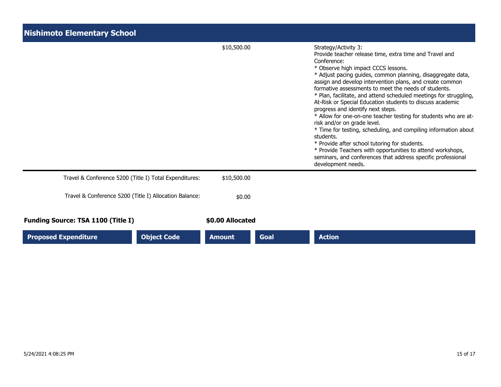| <b>Nishimoto Elementary School</b>                     |                  |      |                                                                                                                                                                                                                                                                                                                                                                                                                                                                                                                                                                                                                                                                                                                                                                                                                                                                                        |
|--------------------------------------------------------|------------------|------|----------------------------------------------------------------------------------------------------------------------------------------------------------------------------------------------------------------------------------------------------------------------------------------------------------------------------------------------------------------------------------------------------------------------------------------------------------------------------------------------------------------------------------------------------------------------------------------------------------------------------------------------------------------------------------------------------------------------------------------------------------------------------------------------------------------------------------------------------------------------------------------|
|                                                        | \$10,500.00      |      | Strategy/Activity 3:<br>Provide teacher release time, extra time and Travel and<br>Conference:<br>* Observe high impact CCCS lessons.<br>* Adjust pacing guides, common planning, disaggregate data,<br>assign and develop intervention plans, and create common<br>formative assessments to meet the needs of students.<br>* Plan, facilitate, and attend scheduled meetings for struggling,<br>At-Risk or Special Education students to discuss academic<br>progress and identify next steps.<br>* Allow for one-on-one teacher testing for students who are at-<br>risk and/or on grade level.<br>* Time for testing, scheduling, and compiling information about<br>students.<br>* Provide after school tutoring for students.<br>* Provide Teachers with opportunities to attend workshops,<br>seminars, and conferences that address specific professional<br>development needs. |
| Travel & Conference 5200 (Title I) Total Expenditures: | \$10,500.00      |      |                                                                                                                                                                                                                                                                                                                                                                                                                                                                                                                                                                                                                                                                                                                                                                                                                                                                                        |
| Travel & Conference 5200 (Title I) Allocation Balance: | \$0.00           |      |                                                                                                                                                                                                                                                                                                                                                                                                                                                                                                                                                                                                                                                                                                                                                                                                                                                                                        |
| <b>Funding Source: TSA 1100 (Title I)</b>              | \$0.00 Allocated |      |                                                                                                                                                                                                                                                                                                                                                                                                                                                                                                                                                                                                                                                                                                                                                                                                                                                                                        |
| <b>Object Code</b><br><b>Proposed Expenditure</b>      | <b>Amount</b>    | Goal | <b>Action</b>                                                                                                                                                                                                                                                                                                                                                                                                                                                                                                                                                                                                                                                                                                                                                                                                                                                                          |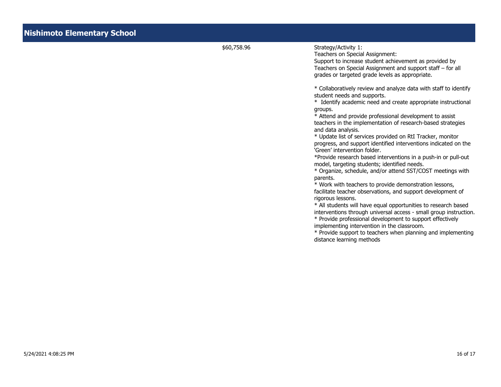| \$60,758.96 |                                                                                                                                                                                                                                                                                                                                                                                                                                                                                                                                                                                                                                                                                                                                                                                                                                                                                                                                                                                                                                                                                                                                                                                                                                                                                                                                                                                                                              |
|-------------|------------------------------------------------------------------------------------------------------------------------------------------------------------------------------------------------------------------------------------------------------------------------------------------------------------------------------------------------------------------------------------------------------------------------------------------------------------------------------------------------------------------------------------------------------------------------------------------------------------------------------------------------------------------------------------------------------------------------------------------------------------------------------------------------------------------------------------------------------------------------------------------------------------------------------------------------------------------------------------------------------------------------------------------------------------------------------------------------------------------------------------------------------------------------------------------------------------------------------------------------------------------------------------------------------------------------------------------------------------------------------------------------------------------------------|
|             | Strategy/Activity 1:<br>Teachers on Special Assignment:<br>Support to increase student achievement as provided by<br>Teachers on Special Assignment and support staff - for all<br>grades or targeted grade levels as appropriate.<br>* Collaboratively review and analyze data with staff to identify<br>student needs and supports.<br>* Identify academic need and create appropriate instructional<br>groups.<br>* Attend and provide professional development to assist<br>teachers in the implementation of research-based strategies<br>and data analysis.<br>* Update list of services provided on RtI Tracker, monitor<br>progress, and support identified interventions indicated on the<br>'Green' intervention folder.<br>*Provide research based interventions in a push-in or pull-out<br>model, targeting students; identified needs.<br>* Organize, schedule, and/or attend SST/COST meetings with<br>parents.<br>* Work with teachers to provide demonstration lessons,<br>facilitate teacher observations, and support development of<br>rigorous lessons.<br>* All students will have equal opportunities to research based<br>interventions through universal access - small group instruction.<br>* Provide professional development to support effectively<br>implementing intervention in the classroom.<br>* Provide support to teachers when planning and implementing<br>distance learning methods |